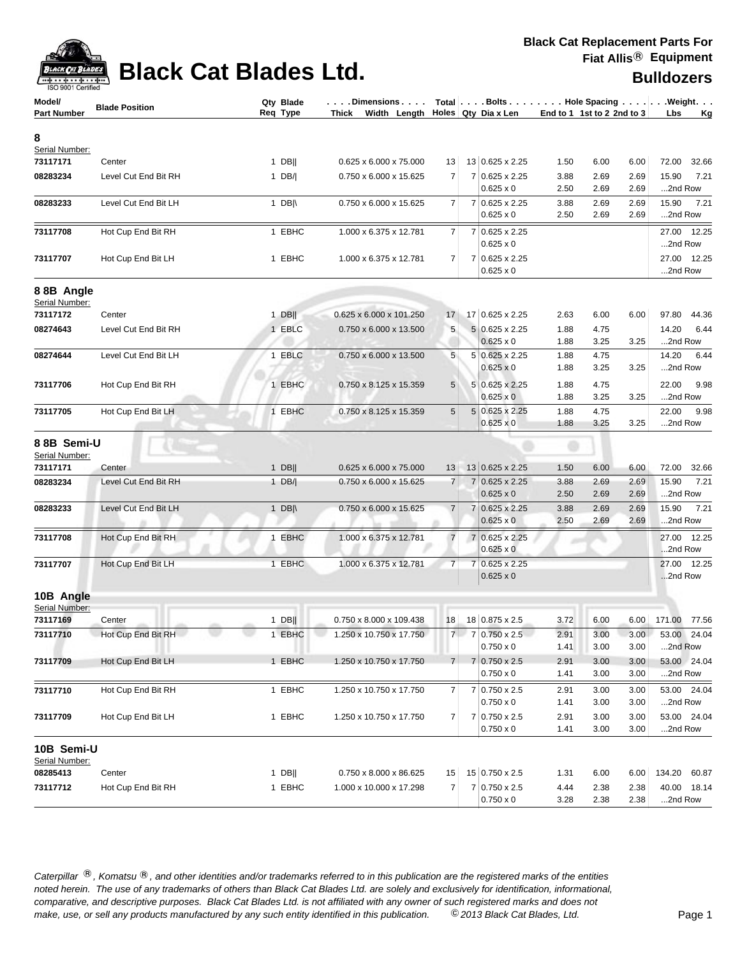

| <b>Bulldozers</b> |  |  |
|-------------------|--|--|
|                   |  |  |

| Model/<br><b>Part Number</b> | <b>Blade Position</b> | Qty Blade<br>Req Type |                  | $\ldots$ . Dimensions $\ldots$ .<br>Thick Width Length $\vert$ Holes Qty Dia x Len |                |                                                    | End to 1 1st to 2 2nd to 3 |              |              | Total   Bolts   Hole Spacing   Weight.<br><b>Lbs</b><br><u>Kg</u> |
|------------------------------|-----------------------|-----------------------|------------------|------------------------------------------------------------------------------------|----------------|----------------------------------------------------|----------------------------|--------------|--------------|-------------------------------------------------------------------|
| 8<br>Serial Number:          |                       |                       |                  |                                                                                    |                |                                                    |                            |              |              |                                                                   |
| 73117171                     | Center                |                       | $1$ DB           | 0.625 x 6.000 x 75.000                                                             | 13             | 13 0.625 x 2.25                                    | 1.50                       | 6.00         | 6.00         | 72.00<br>32.66                                                    |
| 08283234                     | Level Cut End Bit RH  |                       | $1$ DB/          | 0.750 x 6.000 x 15.625                                                             | $\overline{7}$ | 7 0.625 x 2.25                                     | 3.88                       | 2.69         | 2.69         | 15.90<br>7.21                                                     |
|                              |                       |                       |                  |                                                                                    |                | $0.625 \times 0$                                   | 2.50                       | 2.69         | 2.69         | 2nd Row                                                           |
| 08283233                     | Level Cut End Bit LH  |                       | 1 $DB \wedge$    | 0.750 x 6.000 x 15.625                                                             | 7              | 7 0.625 x 2.25                                     | 3.88                       | 2.69         | 2.69         | 15.90<br>7.21                                                     |
|                              |                       |                       |                  |                                                                                    |                | $0.625 \times 0$                                   | 2.50                       | 2.69         | 2.69         | 2nd Row                                                           |
| 73117708                     | Hot Cup End Bit RH    |                       | 1 EBHC           | 1.000 x 6.375 x 12.781                                                             | 7              | 7 0.625 x 2.25<br>$0.625 \times 0$                 |                            |              |              | 27.00<br>12.25<br>2nd Row                                         |
| 73117707                     | Hot Cup End Bit LH    |                       | 1 EBHC           | 1.000 x 6.375 x 12.781                                                             | 7              | 7 0.625 x 2.25<br>$0.625 \times 0$                 |                            |              |              | 27.00 12.25<br>2nd Row                                            |
| 88B Angle                    |                       |                       |                  |                                                                                    |                |                                                    |                            |              |              |                                                                   |
| Serial Number:               |                       |                       |                  |                                                                                    |                |                                                    |                            |              |              |                                                                   |
| 73117172<br>08274643         | Center                |                       | $1$ DB           | 0.625 x 6.000 x 101.250                                                            | 17             | 17 0.625 x 2.25                                    | 2.63                       | 6.00         | 6.00         | 97.80<br>44.36                                                    |
|                              | Level Cut End Bit RH  |                       | 1 EBLC           | 0.750 x 6.000 x 13.500                                                             | 5              | $5 0.625 \times 2.25$<br>$0.625 \times 0$          | 1.88<br>1.88               | 4.75<br>3.25 | 3.25         | 14.20<br>6.44<br>2nd Row                                          |
| 08274644                     | Level Cut End Bit LH  |                       | 1 EBLC           | 0.750 x 6.000 x 13.500                                                             | 5              | 5 0.625 x 2.25                                     | 1.88                       | 4.75         |              | 14.20<br>6.44                                                     |
|                              |                       |                       |                  |                                                                                    |                | $0.625 \times 0$                                   | 1.88                       | 3.25         | 3.25         | 2nd Row                                                           |
| 73117706                     | Hot Cup End Bit RH    |                       | 1 EBHC           | $0.750 \times 8.125 \times 15.359$                                                 | 5              | 5 0.625 x 2.25                                     | 1.88                       | 4.75         |              | 22.00<br>9.98                                                     |
|                              |                       |                       |                  |                                                                                    |                | $0.625 \times 0$                                   | 1.88                       | 3.25         | 3.25         | 2nd Row                                                           |
| 73117705                     | Hot Cup End Bit LH    |                       | 1 EBHC           | 0.750 x 8.125 x 15.359                                                             | 5              | 5 0.625 x 2.25<br>$0.625 \times 0$                 | 1.88<br>1.88               | 4.75<br>3.25 | 3.25         | 22.00<br>9.98<br>2nd Row                                          |
| 88B Semi-U<br>Serial Number: |                       |                       |                  |                                                                                    |                |                                                    |                            |              |              |                                                                   |
| 73117171                     | Center                |                       | $1$ DB           | 0.625 x 6.000 x 75.000                                                             | 13             | 13 0.625 x 2.25                                    | 1.50                       | 6.00         | 6.00         | 72.00<br>32.66                                                    |
| 08283234                     | Level Cut End Bit RH  |                       | 1 $DB/ $         | 0.750 x 6.000 x 15.625                                                             | $\overline{7}$ | 7 0.625 x 2.25                                     | 3.88                       | 2.69         | 2.69         | 15.90<br>7.21                                                     |
|                              |                       |                       |                  |                                                                                    |                | $0.625 \times 0$                                   | 2.50                       | 2.69         | 2.69         | 2nd Row                                                           |
| 08283233                     | Level Cut End Bit LH  |                       | 1 DB $\parallel$ | 0.750 x 6.000 x 15.625                                                             | $\overline{7}$ | 7 0.625 x 2.25<br>$0.625 \times 0$                 | 3.88<br>2.50               | 2.69<br>2.69 | 2.69<br>2.69 | 15.90<br>7.21<br>2nd Row                                          |
| 73117708                     | Hot Cup End Bit RH    |                       | <b>EBHC</b>      | 1.000 x 6.375 x 12.781                                                             | $\overline{7}$ | 7 0.625 x 2.25                                     |                            |              |              | 12.25<br>27.00                                                    |
|                              |                       |                       |                  |                                                                                    |                | $0.625 \times 0$                                   |                            |              |              | 2nd Row                                                           |
| 73117707                     | Hot Cup End Bit LH    |                       | 1 EBHC           | 1.000 x 6.375 x 12.781                                                             | $\overline{7}$ | 7 0.625 x 2.25                                     |                            |              |              | 27.00 12.25                                                       |
|                              |                       |                       |                  |                                                                                    |                | $0.625 \times 0$                                   |                            |              |              | 2nd Row                                                           |
| 10B Angle<br>Serial Number:  |                       |                       |                  |                                                                                    |                |                                                    |                            |              |              |                                                                   |
| 73117169                     | Center                |                       | $1$ DB           | 0.750 x 8.000 x 109.438                                                            | 18             | 18 0.875 x 2.5                                     | 3.72                       | 6.00         | 6.00         | 171.00 77.56                                                      |
| 73117710                     | Hot Cup End Bit RH    |                       | 1 EBHC           | 1.250 x 10.750 x 17.750                                                            |                | $7 \mid 7 \mid 0.750 \times 2.5$<br>$0.750\times0$ | 2.91<br>1.41               | 3.00<br>3.00 | 3.00<br>3.00 | 53.00 24.04<br>2nd Row                                            |
| 73117709                     | Hot Cup End Bit LH    |                       | 1 EBHC           | 1.250 x 10.750 x 17.750                                                            | 7 <sup>1</sup> | 7 0.750 x 2.5                                      | 2.91                       | 3.00         | 3.00         | 53.00 24.04                                                       |
|                              |                       |                       |                  |                                                                                    |                | $0.750 \times 0$                                   | 1.41                       | 3.00         | 3.00         | 2nd Row                                                           |
| 73117710                     | Hot Cup End Bit RH    |                       | 1 EBHC           | 1.250 x 10.750 x 17.750                                                            | 7              | 7 0.750 x 2.5                                      | 2.91                       | 3.00         | 3.00         | 53.00 24.04                                                       |
|                              |                       |                       |                  |                                                                                    |                | $0.750 \times 0$                                   | 1.41                       | 3.00         | 3.00         | 2nd Row                                                           |
| 73117709                     | Hot Cup End Bit LH    |                       | 1 EBHC           | 1.250 x 10.750 x 17.750                                                            | $\overline{7}$ | 7 0.750 x 2.5<br>$0.750 \times 0$                  | 2.91<br>1.41               | 3.00<br>3.00 | 3.00<br>3.00 | 53.00 24.04<br>2nd Row                                            |
| 10B Semi-U<br>Serial Number: |                       |                       |                  |                                                                                    |                |                                                    |                            |              |              |                                                                   |
| 08285413                     | Center                |                       | $1$ DB           | 0.750 x 8.000 x 86.625                                                             | 15             | 15 0.750 x 2.5                                     | 1.31                       | 6.00         | 6.00         | 134.20 60.87                                                      |
| 73117712                     | Hot Cup End Bit RH    |                       | 1 EBHC           | 1.000 x 10.000 x 17.298                                                            | $\overline{7}$ | 7 0.750 x 2.5<br>$0.750 \times 0$                  | 4.44<br>3.28               | 2.38<br>2.38 | 2.38<br>2.38 | 40.00 18.14<br>2nd Row                                            |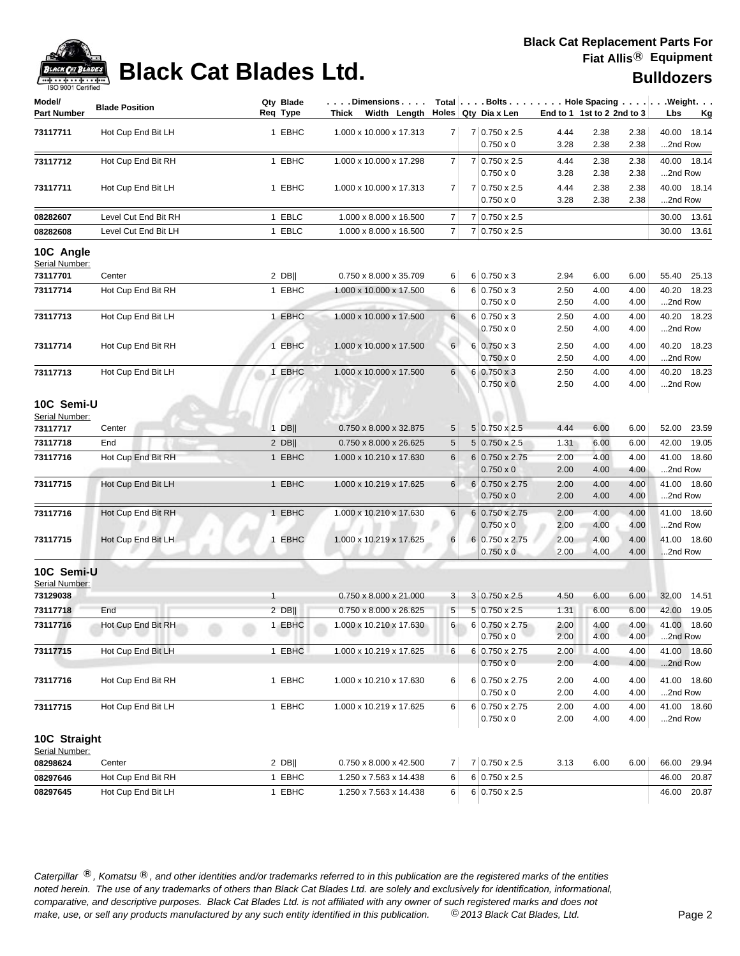

| <br>ISO 9001 Certified       |                       |                             |                                    |                 |                                             |              |                            |              | <b>DUIIUUZEI S</b>                                   |
|------------------------------|-----------------------|-----------------------------|------------------------------------|-----------------|---------------------------------------------|--------------|----------------------------|--------------|------------------------------------------------------|
| Model/<br><b>Part Number</b> | <b>Blade Position</b> | Qty Blade<br>Req Type       | . Dimensions<br>Thick Width Length |                 | Holes Qty Dia x Len                         |              | End to 1 1st to 2 2nd to 3 |              | Total Bolts Hole Spacing Weight.<br>Lbs<br><u>Kg</u> |
| 73117711                     | Hot Cup End Bit LH    | 1 EBHC                      | 1.000 x 10.000 x 17.313            | $\overline{7}$  | 7 0.750 x 2.5<br>$0.750 \times 0$           | 4.44<br>3.28 | 2.38<br>2.38               | 2.38<br>2.38 | 40.00 18.14<br>2nd Row                               |
| 73117712                     | Hot Cup End Bit RH    | 1 EBHC                      | 1.000 x 10.000 x 17.298            | 7               | 7 0.750 x 2.5<br>$0.750 \times 0$           | 4.44<br>3.28 | 2.38<br>2.38               | 2.38<br>2.38 | 40.00 18.14<br>2nd Row                               |
| 73117711                     | Hot Cup End Bit LH    | 1 EBHC                      | 1.000 x 10.000 x 17.313            | 7               | 7 0.750 x 2.5<br>$0.750 \times 0$           | 4.44<br>3.28 | 2.38<br>2.38               | 2.38<br>2.38 | 40.00 18.14<br>2nd Row                               |
| 08282607                     | Level Cut End Bit RH  | 1 EBLC                      | 1.000 x 8.000 x 16.500             | 7               | 7 0.750 x 2.5                               |              |                            |              | 30.00<br>13.61                                       |
| 08282608                     | Level Cut End Bit LH  | 1 EBLC                      | 1.000 x 8.000 x 16.500             | $\overline{7}$  | 7 0.750 x 2.5                               |              |                            |              | 30.00<br>13.61                                       |
| 10C Angle<br>Serial Number:  |                       |                             |                                    |                 |                                             |              |                            |              |                                                      |
| 73117701                     | Center                | 2 DB                        | 0.750 x 8.000 x 35.709             | 6               | $6 0.750 \times 3$                          | 2.94         | 6.00                       | 6.00         | 55.40<br>25.13                                       |
| 73117714                     | Hot Cup End Bit RH    | 1 EBHC                      | 1.000 x 10.000 x 17.500            | 6               | $6 0.750 \times 3$<br>$0.750 \times 0$      | 2.50<br>2.50 | 4.00<br>4.00               | 4.00<br>4.00 | 40.20<br>18.23<br>2nd Row                            |
| 73117713                     | Hot Cup End Bit LH    | 1 EBHC                      | 1.000 x 10.000 x 17.500            | 6               | $6 0.750 \times 3$                          | 2.50         | 4.00                       | 4.00         | 40.20 18.23                                          |
|                              |                       |                             |                                    |                 | $0.750 \times 0$                            | 2.50         | 4.00                       | 4.00         | 2nd Row                                              |
| 73117714                     | Hot Cup End Bit RH    | 1 EBHC                      | 1.000 x 10.000 x 17.500            | 6               | $6 \ 0.750 \times 3$                        | 2.50         | 4.00                       | 4.00         | 40.20 18.23                                          |
|                              |                       |                             |                                    |                 | $0.750 \times 0$                            | 2.50         | 4.00                       | 4.00         | 2nd Row                                              |
| 73117713                     | Hot Cup End Bit LH    | 1 EBHC                      | 1.000 x 10.000 x 17.500            | 6               | $6 \mid 0.750 \times 3$<br>$0.750 \times 0$ | 2.50<br>2.50 | 4.00<br>4.00               | 4.00<br>4.00 | 40.20 18.23<br>2nd Row                               |
| 10C Semi-U<br>Serial Number: |                       |                             |                                    |                 |                                             |              |                            |              |                                                      |
| 73117717                     | Center                | $1$ DB                      | 0.750 x 8.000 x 32.875             | 5               | $5 0.750 \times 2.5$                        | 4.44         | 6.00                       | 6.00         | 52.00<br>23.59                                       |
| 73117718                     | End                   | $2$ DB                      | 0.750 x 8.000 x 26.625             | $5\phantom{.0}$ | $5 0.750 \times 2.5$                        | 1.31         | 6.00                       | 6.00         | 42.00<br>19.05                                       |
| 73117716                     | Hot Cup End Bit RH    | 1 EBHC                      | 1.000 x 10.210 x 17.630            | 6               | $6 0.750 \times 2.75$<br>$0.750 \times 0$   | 2.00<br>2.00 | 4.00<br>4.00               | 4.00<br>4.00 | 41.00<br>18.60<br>2nd Row                            |
| 73117715                     | Hot Cup End Bit LH    | 1 EBHC                      | 1.000 x 10.219 x 17.625            | 6               | 6 0.750 x 2.75<br>$0.750 \times 0$          | 2.00<br>2.00 | 4.00<br>4.00               | 4.00<br>4.00 | 41.00<br>18.60<br>2nd Row                            |
| 73117716                     | Hot Cup End Bit RH    | 1 EBHC                      | 1.000 x 10.210 x 17.630            | 6               | 6 0.750 x 2.75<br>$0.750 \times 0$          | 2.00<br>2.00 | 4.00<br>4.00               | 4.00<br>4.00 | 41.00<br>18.60<br>2nd Row                            |
| 73117715                     | Hot Cup End Bit LH    | <b>EBHC</b><br>$\mathbf{1}$ | 1.000 x 10.219 x 17.625            | 6               | 6 0.750 x 2.75<br>$0.750 \times 0$          | 2.00<br>2.00 | 4.00<br>4.00               | 4.00<br>4.00 | 41.00 18.60<br>2nd Row                               |
| 10C Semi-U                   |                       |                             |                                    |                 |                                             |              |                            |              |                                                      |
| Serial Number:<br>73129038   |                       | $\mathbf{1}$                | 0.750 x 8.000 x 21.000             | 3 <sup>2</sup>  | $3 0.750 \times 2.5$                        | 4.50         | 6.00                       | 6.00         | 32.00<br>14.51                                       |
| 73117718                     | End                   | $2$ DB                      | 0.750 x 8.000 x 26.625             | 5               | $5 0.750 \times 2.5$                        | 1.31         | 6.00                       | 6.00         | 42.00<br>19.05                                       |
| 73117716                     | Hot Cup End Bit RH    | 1 EBHC                      | 1.000 x 10.210 x 17.630            | $6 \mid$        | 6 0.750 x 2.75<br>$0.750 \times 0$          | 2.00<br>2.00 | 4.00<br>4.00               | 4.00<br>4.00 | 41.00 18.60<br>2nd Row                               |
| 73117715                     | Hot Cup End Bit LH    | 1 EBHC                      | 1.000 x 10.219 x 17.625            | 6               | $6 0.750 \times 2.75$<br>$0.750 \times 0$   | 2.00<br>2.00 | 4.00<br>4.00               | 4.00<br>4.00 | 41.00 18.60<br>2nd Row                               |
| 73117716                     | Hot Cup End Bit RH    | 1 EBHC                      | 1.000 x 10.210 x 17.630            | 6               | 6 0.750 x 2.75                              | 2.00         | 4.00                       | 4.00         | 41.00 18.60                                          |
| 73117715                     | Hot Cup End Bit LH    | 1 EBHC                      | 1.000 x 10.219 x 17.625            | 6               | $0.750 \times 0$<br>6 0.750 x 2.75          | 2.00<br>2.00 | 4.00<br>4.00               | 4.00<br>4.00 | 2nd Row<br>41.00 18.60                               |
| 10C Straight                 |                       |                             |                                    |                 | $0.750 \times 0$                            | 2.00         | 4.00                       | 4.00         | 2nd Row                                              |
| Serial Number:<br>08298624   | Center                | $2$ DB                      | 0.750 x 8.000 x 42.500             | $\overline{7}$  | 7 0.750 x 2.5                               | 3.13         | 6.00                       | 6.00         | 66.00<br>29.94                                       |
| 08297646                     | Hot Cup End Bit RH    | 1 EBHC                      | 1.250 x 7.563 x 14.438             | 6               | $6 0.750 \times 2.5$                        |              |                            |              | 46.00<br>20.87                                       |
| 08297645                     | Hot Cup End Bit LH    | 1 EBHC                      | 1.250 x 7.563 x 14.438             | 6 <sup>1</sup>  | $6 0.750 \times 2.5 $                       |              |                            |              | 46.00 20.87                                          |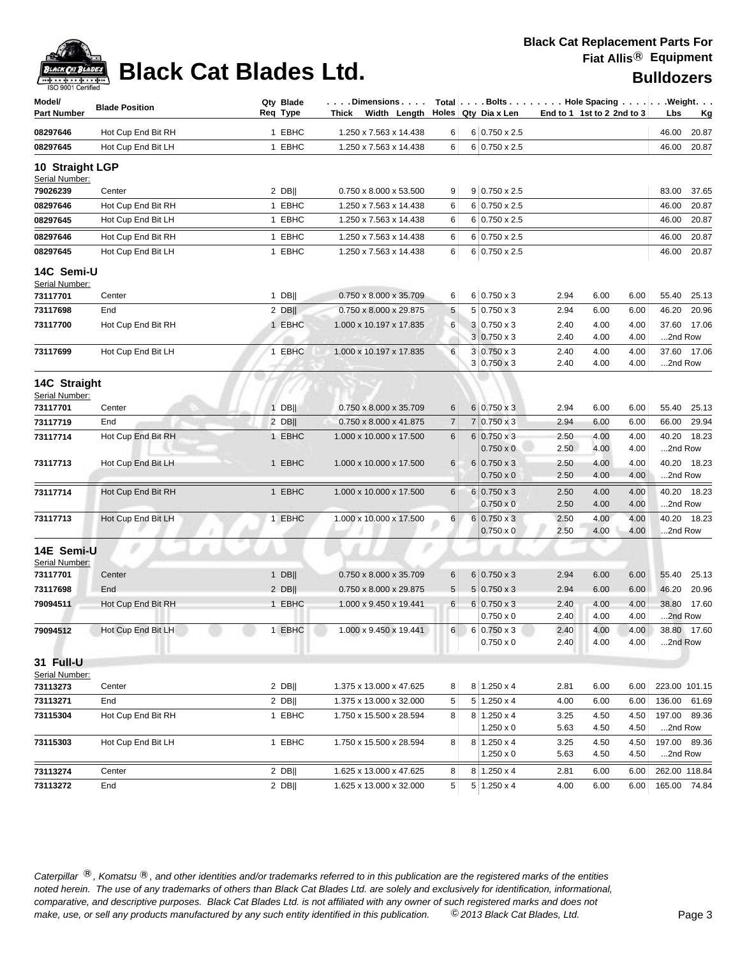| <b>ACK CAT</b> |
|----------------|
|                |

| Model/<br><b>Part Number</b>      | <b>Blade Position</b> | Qty Blade<br>Req Type | . Dimensions<br>Width Length<br>Thick |          | Total Bolts Hole Spacing Weight.<br>Holes   Qty Dia x Len |              | End to 1 1st to 2 2nd to 3 |              | Lbs                     | <u>Kg</u>   |
|-----------------------------------|-----------------------|-----------------------|---------------------------------------|----------|-----------------------------------------------------------|--------------|----------------------------|--------------|-------------------------|-------------|
| 08297646                          | Hot Cup End Bit RH    | 1 EBHC                | 1.250 x 7.563 x 14.438                | 6        | 6 0.750 x 2.5                                             |              |                            |              | 46.00                   | 20.87       |
| 08297645                          | Hot Cup End Bit LH    | 1 EBHC                | 1.250 x 7.563 x 14.438                | 6        | 6 0.750 x 2.5                                             |              |                            |              | 46.00                   | 20.87       |
| 10 Straight LGP<br>Serial Number: |                       |                       |                                       |          |                                                           |              |                            |              |                         |             |
| 79026239                          | Center                | $2$ DB                | 0.750 x 8.000 x 53.500                | 9        | $9 0.750 \times 2.5$                                      |              |                            |              | 83.00                   | 37.65       |
| 08297646                          | Hot Cup End Bit RH    | 1 EBHC                | 1.250 x 7.563 x 14.438                | 6        | 6 0.750 x 2.5                                             |              |                            |              | 46.00                   | 20.87       |
| 08297645                          | Hot Cup End Bit LH    | 1 EBHC                | 1.250 x 7.563 x 14.438                | 6        | $6 0.750 \times 2.5$                                      |              |                            |              | 46.00                   | 20.87       |
| 08297646                          | Hot Cup End Bit RH    | 1 EBHC                | 1.250 x 7.563 x 14.438                | 6        | $6 0.750 \times 2.5$                                      |              |                            |              | 46.00                   | 20.87       |
| 08297645                          | Hot Cup End Bit LH    | 1 EBHC                | 1.250 x 7.563 x 14.438                | 6        | 6 0.750 x 2.5                                             |              |                            |              | 46.00                   | 20.87       |
| 14C Semi-U<br>Serial Number:      |                       |                       |                                       |          |                                                           |              |                            |              |                         |             |
| 73117701                          | Center                | $1$ DB                | 0.750 x 8.000 x 35.709                | 6        | $6 0.750 \times 3$                                        | 2.94         | 6.00                       | 6.00         | 55.40                   | 25.13       |
| 73117698                          | End                   | $2$ DB                | 0.750 x 8.000 x 29.875                | 5        | $5 0.750 \times 3$                                        | 2.94         | 6.00                       | 6.00         | 46.20                   | 20.96       |
| 73117700                          | Hot Cup End Bit RH    | 1 EBHC                | 1.000 x 10.197 x 17.835               | 6        | $3 0.750 \times 3$                                        | 2.40         | 4.00                       | 4.00         |                         | 37.60 17.06 |
|                                   |                       |                       |                                       |          | $3 0.750 \times 3$                                        | 2.40         | 4.00                       | 4.00         | 2nd Row                 |             |
| 73117699                          | Hot Cup End Bit LH    | 1 EBHC                | 1.000 x 10.197 x 17.835               | 6        | $3 0.750 \times 3$                                        | 2.40         | 4.00                       | 4.00         |                         | 37.60 17.06 |
|                                   |                       |                       |                                       |          | 3   0.750 x 3                                             | 2.40         | 4.00                       | 4.00         | 2nd Row                 |             |
| 14C Straight<br>Serial Number:    |                       |                       |                                       |          |                                                           |              |                            |              |                         |             |
| 73117701                          | Center                | $1$ DB                | 0.750 x 8.000 x 35.709                | 6        | $6 0.750 \times 3$                                        | 2.94         | 6.00                       | 6.00         |                         | 55.40 25.13 |
| 73117719                          | End                   | $2$ DB                | 0.750 x 8.000 x 41.875                | 7        | $7 0.750 \times 3$                                        | 2.94         | 6.00                       | 6.00         | 66.00                   | 29.94       |
| 73117714                          | Hot Cup End Bit RH    | 1 EBHC                | 1.000 x 10.000 x 17.500               | 6        | $6 0.750 \times 3$                                        | 2.50         | 4.00                       | 4.00         |                         | 40.20 18.23 |
|                                   |                       |                       |                                       |          | $0.750 \times 0$                                          | 2.50         | 4.00                       | 4.00         | 2nd Row                 |             |
| 73117713                          | Hot Cup End Bit LH    | 1 EBHC                | 1.000 x 10.000 x 17.500               | 6        | $6 0.750 \times 3$<br>$0.750 \times 0$                    | 2.50<br>2.50 | 4.00<br>4.00               | 4.00<br>4.00 | 2nd Row                 | 40.20 18.23 |
|                                   |                       |                       |                                       |          |                                                           |              |                            |              |                         |             |
| 73117714                          | Hot Cup End Bit RH    | 1 EBHC                | 1.000 x 10.000 x 17.500               | 6        | $6 0.750 \times 3$<br>$0.750 \times 0$                    | 2.50<br>2.50 | 4.00<br>4.00               | 4.00<br>4.00 | 2nd Row                 | 40.20 18.23 |
| 73117713                          | Hot Cup End Bit LH    | 1 EBHC                | 1.000 x 10.000 x 17.500               | $6 \mid$ | $6 0.750 \times 3$                                        | 2.50         | 4.00                       | 4.00         |                         | 40.20 18.23 |
|                                   |                       |                       |                                       |          | $0.750 \times 0$                                          | 2.50         | 4.00                       | 4.00         | 2nd Row                 |             |
| 14E Semi-U<br>Serial Number:      |                       |                       |                                       |          |                                                           |              |                            |              |                         |             |
| 73117701                          | Center                | $1$ DB                | 0.750 x 8.000 x 35.709                | 6        | $6 0.750 \times 3$                                        | 2.94         | 6.00                       | 6.00         | 55.40                   | 25.13       |
| 73117698                          | End                   | $2$ DB                | 0.750 x 8.000 x 29.875                | 5        | $5 0.750 \times 3$                                        | 2.94         | 6.00                       | 6.00         | 46.20                   | 20.96       |
| 79094511                          | Hot Cup End Bit RH    | 1 EBHC                | 1.000 x 9.450 x 19.441                | 6        | $6 0.750 \times 3$                                        | 2.40         | 4.00                       | 4.00         |                         | 38.80 17.60 |
|                                   |                       |                       |                                       |          | $0.750 \times 0$                                          | 2.40         | 4.00                       | 4.00         | 2nd Row                 |             |
| 79094512                          | Hot Cup End Bit LH    | 1 EBHC                | 1.000 x 9.450 x 19.441                | $6 \mid$ | $6 0.750 \times 3$                                        | 2.40         | 4.00                       | 4.00         |                         | 38.80 17.60 |
|                                   |                       |                       |                                       |          | $0.750 \times 0$                                          | 2.40         | 4.00                       | 4.00         | 2nd Row                 |             |
| 31 Full-U                         |                       |                       |                                       |          |                                                           |              |                            |              |                         |             |
| Serial Number:                    |                       |                       |                                       |          |                                                           |              |                            |              |                         |             |
| 73113273                          | Center                | $2$ DB                | 1.375 x 13.000 x 47.625               | 8        | $8 \mid 1.250 \times 4$                                   | 2.81         | 6.00                       | 6.00         | 223.00 101.15           |             |
| 73113271                          | End                   | $2$ DB                | 1.375 x 13.000 x 32.000               | 5        | $5 \mid 1.250 \times 4$                                   | 4.00         | 6.00                       | 6.00         | 136.00 61.69            |             |
| 73115304                          | Hot Cup End Bit RH    | 1 EBHC                | 1.750 x 15.500 x 28.594               | 8        | $8 \mid 1.250 \times 4$<br>$1.250 \times 0$               | 3.25<br>5.63 | 4.50<br>4.50               | 4.50<br>4.50 | 197.00 89.36<br>2nd Row |             |
| 73115303                          | Hot Cup End Bit LH    | 1 EBHC                | 1.750 x 15.500 x 28.594               | 8        | $8 \mid 1.250 \times 4$                                   | 3.25         | 4.50                       | 4.50         | 197.00 89.36            |             |
|                                   |                       |                       |                                       |          | $1.250 \times 0$                                          | 5.63         | 4.50                       | 4.50         | 2nd Row                 |             |
| 73113274                          | Center                | $2$ DB                | 1.625 x 13.000 x 47.625               | 8        | $8 \mid 1.250 \times 4$                                   | 2.81         | 6.00                       | 6.00         | 262.00 118.84           |             |
| 73113272                          | End                   | $2$ DB                | 1.625 x 13.000 x 32.000               | 5        | $5 \mid 1.250 \times 4$                                   | 4.00         | 6.00                       | 6.00         | 165.00 74.84            |             |
|                                   |                       |                       |                                       |          |                                                           |              |                            |              |                         |             |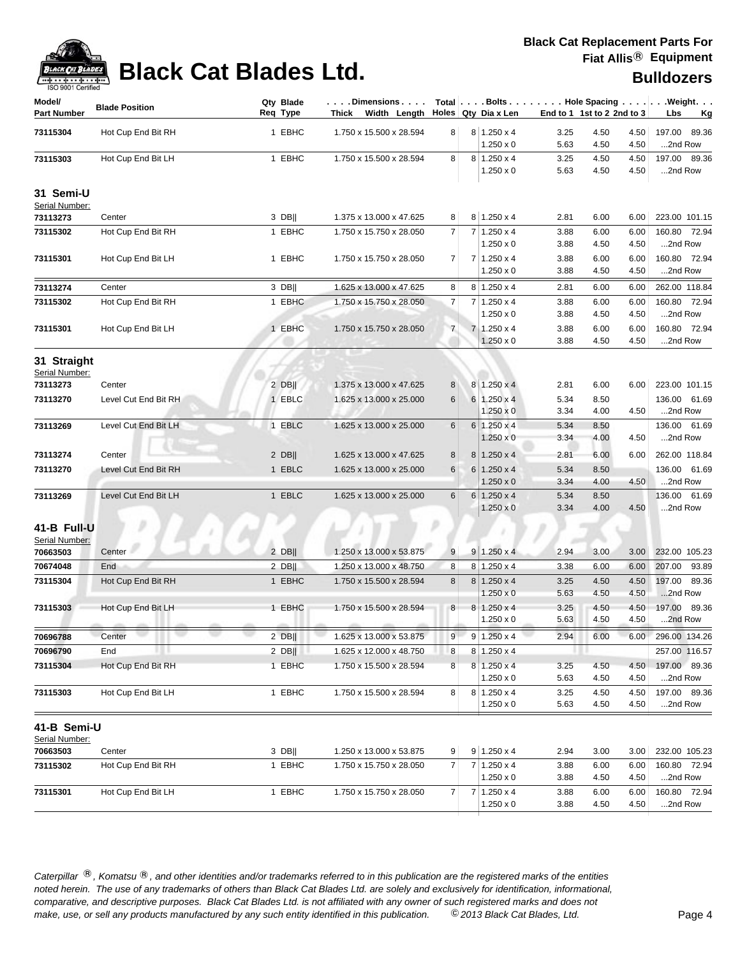

| 190 300 I CENTING             |                       |                       |                                    |                |                |                                        |              |                            |              |                                                            |
|-------------------------------|-----------------------|-----------------------|------------------------------------|----------------|----------------|----------------------------------------|--------------|----------------------------|--------------|------------------------------------------------------------|
| Model/<br><b>Part Number</b>  | <b>Blade Position</b> | Qty Blade<br>Req Type | . Dimensions<br>Thick Width Length |                |                | Holes Qty Dia x Len                    |              | End to 1 1st to 2 2nd to 3 |              | Total   Bolts   Hole Spacing   Weight.<br>Lbs<br><u>Kg</u> |
| 73115304                      | Hot Cup End Bit RH    | 1 EBHC                | 1.750 x 15.500 x 28.594            | 8              |                | $8 \mid 1.250 \times 4$                | 3.25         | 4.50                       | 4.50         | 197.00 89.36                                               |
|                               |                       |                       |                                    |                |                | $1.250 \times 0$                       | 5.63         | 4.50                       | 4.50         | 2nd Row                                                    |
| 73115303                      | Hot Cup End Bit LH    | 1 EBHC                | 1.750 x 15.500 x 28.594            | 8              |                | $8 1.250 \times 4$                     | 3.25         | 4.50                       | 4.50         | 197.00 89.36                                               |
|                               |                       |                       |                                    |                |                | $1.250 \times 0$                       | 5.63         | 4.50                       | 4.50         | 2nd Row                                                    |
| 31 Semi-U<br>Serial Number:   |                       |                       |                                    |                |                |                                        |              |                            |              |                                                            |
| 73113273                      | Center                | 3 DB                  | 1.375 x 13.000 x 47.625            | 8              |                | $8 1.250 \times 4$                     | 2.81         | 6.00                       | 6.00         | 223.00 101.15                                              |
| 73115302                      | Hot Cup End Bit RH    | 1 EBHC                | 1.750 x 15.750 x 28.050            | $\overline{7}$ |                | $7 1.250 \times 4$<br>$1.250 \times 0$ | 3.88<br>3.88 | 6.00<br>4.50               | 6.00<br>4.50 | 160.80 72.94<br>2nd Row                                    |
| 73115301                      | Hot Cup End Bit LH    | 1 EBHC                | 1.750 x 15.750 x 28.050            | $\overline{7}$ |                | $71.250 \times 4$                      | 3.88         | 6.00                       | 6.00         | 160.80 72.94                                               |
|                               |                       |                       |                                    |                |                | $1.250 \times 0$                       | 3.88         | 4.50                       | 4.50         | 2nd Row                                                    |
| 73113274                      | Center                | 3 DB                  | 1.625 x 13.000 x 47.625            | 8              |                | $8 \mid 1.250 \times 4$                | 2.81         | 6.00                       | 6.00         | 262.00 118.84                                              |
| 73115302                      | Hot Cup End Bit RH    | 1 EBHC                | 1.750 x 15.750 x 28.050            | 7              |                | $7 1.250 \times 4$                     | 3.88         | 6.00                       | 6.00         | 160.80 72.94                                               |
|                               |                       |                       |                                    |                |                | $1.250 \times 0$                       | 3.88         | 4.50                       | 4.50         | 2nd Row                                                    |
| 73115301                      | Hot Cup End Bit LH    | 1 EBHC                | 1.750 x 15.750 x 28.050            | $\overline{7}$ |                | $7 1.250 \times 4$                     | 3.88         | 6.00                       | 6.00         | 160.80 72.94                                               |
|                               |                       |                       |                                    |                |                | $1.250 \times 0$                       | 3.88         | 4.50                       | 4.50         | 2nd Row                                                    |
| 31 Straight<br>Serial Number: |                       |                       |                                    |                |                |                                        |              |                            |              |                                                            |
| 73113273                      | Center                | $2$ DB                | 1.375 x 13.000 x 47.625            | 8              |                | $8 1.250 \times 4$                     | 2.81         | 6.00                       | 6.00         | 223.00 101.15                                              |
| 73113270                      | Level Cut End Bit RH  | 1 EBLC                | 1.625 x 13.000 x 25.000            | 6              |                | 6 1.250 x 4                            | 5.34         | 8.50                       |              | 136.00 61.69                                               |
|                               |                       |                       |                                    |                |                | $1.250 \times 0$                       | 3.34         | 4.00                       | 4.50         | 2nd Row                                                    |
| 73113269                      | Level Cut End Bit LH  | 1 EBLC                | 1.625 x 13.000 x 25.000            | 6              |                | $6 1.250 \times 4$                     | 5.34         | 8.50                       |              | 136.00 61.69                                               |
|                               |                       |                       |                                    |                |                | $1.250 \times 0$                       | 3.34         | 4.00                       | 4.50         | 2nd Row                                                    |
| 73113274                      | Center                | $2$ DB                | 1.625 x 13.000 x 47.625            | 8              | 8 <sup>1</sup> | $1.250 \times 4$                       | 2.81         | 6.00                       | 6.00         | 262.00 118.84                                              |
| 73113270                      | Level Cut End Bit RH  | 1 EBLC                | 1.625 x 13.000 x 25.000            | 6              | 6              | $1.250 \times 4$                       | 5.34         | 8.50                       |              | 136.00 61.69                                               |
|                               |                       |                       |                                    |                |                | $1.250 \times 0$                       | 3.34         | 4.00                       | 4.50         | 2nd Row                                                    |
| 73113269                      | Level Cut End Bit LH  | 1 EBLC                | 1.625 x 13.000 x 25.000            | 6              |                | $6 1.250 \times 4$                     | 5.34         | 8.50                       |              | 136.00 61.69                                               |
|                               |                       |                       |                                    |                |                | $1.250 \times 0$                       | 3.34         | 4.00                       | 4.50         | 2nd Row                                                    |
| 41-B Full-U<br>Serial Number: |                       |                       |                                    |                |                |                                        |              |                            |              |                                                            |
| 70663503                      | Center                | $2$ DB                | 1.250 x 13.000 x 53.875            | 9              |                | $9 1.250 \times 4$                     | 2.94         | 3.00                       | 3.00         | 232.00 105.23                                              |
| 70674048                      | End                   | $2$ DB                | 1.250 x 13.000 x 48.750            | 8              | 8              | $1.250 \times 4$                       | 3.38         | 6.00                       | 6.00         | 207.00<br>93.89                                            |
| 73115304                      | Hot Cup End Bit RH    | 1 EBHC                | 1.750 x 15.500 x 28.594            | 8              |                | $8 1.250 \times 4$                     | 3.25         | 4.50                       | 4.50         | 197.00<br>89.36                                            |
|                               |                       |                       |                                    |                |                | $1.250 \times 0$                       | 5.63         | 4.50                       | 4.50         | 2nd Row                                                    |
| 73115303                      | Hot Cup End Bit LH    | 1 EBHC                | 1.750 x 15.500 x 28.594            | 8 <sup>1</sup> |                | $8 1.250 \times 4$                     | 3.25         | 4.50                       | 4.50         | 197.00<br>89.36                                            |
|                               |                       |                       |                                    |                |                | $1.250 \times 0$                       | 5.63         | 4.50                       | 4.50         | 2nd Row                                                    |
| 70696788                      | Center                | $2$ DB                | 1.625 x 13.000 x 53.875            | 9              |                | $9 \mid 1.250 \times 4$                | 2.94         | 6.00                       | 6.00         | 296.00 134.26                                              |
| 70696790                      | End                   | $2$ DB                | 1.625 x 12.000 x 48.750            | 8              |                | $8 1.250 \times 4$                     |              |                            |              | 257.00 116.57                                              |
| 73115304                      | Hot Cup End Bit RH    | 1 EBHC                | 1.750 x 15.500 x 28.594            | 8              |                | $8 1.250 \times 4$                     | 3.25         | 4.50                       | 4.50         | 197.00 89.36                                               |
|                               |                       |                       |                                    |                |                | $1.250 \times 0$                       | 5.63         | 4.50                       | 4.50         | 2nd Row                                                    |
| 73115303                      | Hot Cup End Bit LH    | 1 EBHC                | 1.750 x 15.500 x 28.594            | 8              |                | $8 \mid 1.250 \times 4$                | 3.25         | 4.50                       | 4.50         | 197.00 89.36                                               |
|                               |                       |                       |                                    |                |                | $1.250 \times 0$                       | 5.63         | 4.50                       | 4.50         | 2nd Row                                                    |
| 41-B Semi-U<br>Serial Number: |                       |                       |                                    |                |                |                                        |              |                            |              |                                                            |
| 70663503                      | Center                | 3 DB                  | 1.250 x 13.000 x 53.875            | 9              |                | $9 1.250 \times 4$                     | 2.94         | 3.00                       | 3.00         | 232.00 105.23                                              |
| 73115302                      | Hot Cup End Bit RH    | 1 EBHC                | 1.750 x 15.750 x 28.050            | 7              |                | 7 1.250 x 4                            | 3.88         | 6.00                       | 6.00         | 160.80 72.94                                               |
|                               |                       |                       |                                    |                |                | $1.250 \times 0$                       | 3.88         | 4.50                       | 4.50         | 2nd Row                                                    |
| 73115301                      | Hot Cup End Bit LH    | 1 EBHC                | 1.750 x 15.750 x 28.050            | 7              |                | $7 1.250 \times 4$                     | 3.88         | 6.00                       | 6.00         | 160.80 72.94                                               |
|                               |                       |                       |                                    |                |                | $1.250 \times 0$                       | 3.88         | 4.50                       | 4.50         | 2nd Row                                                    |
|                               |                       |                       |                                    |                |                |                                        |              |                            |              |                                                            |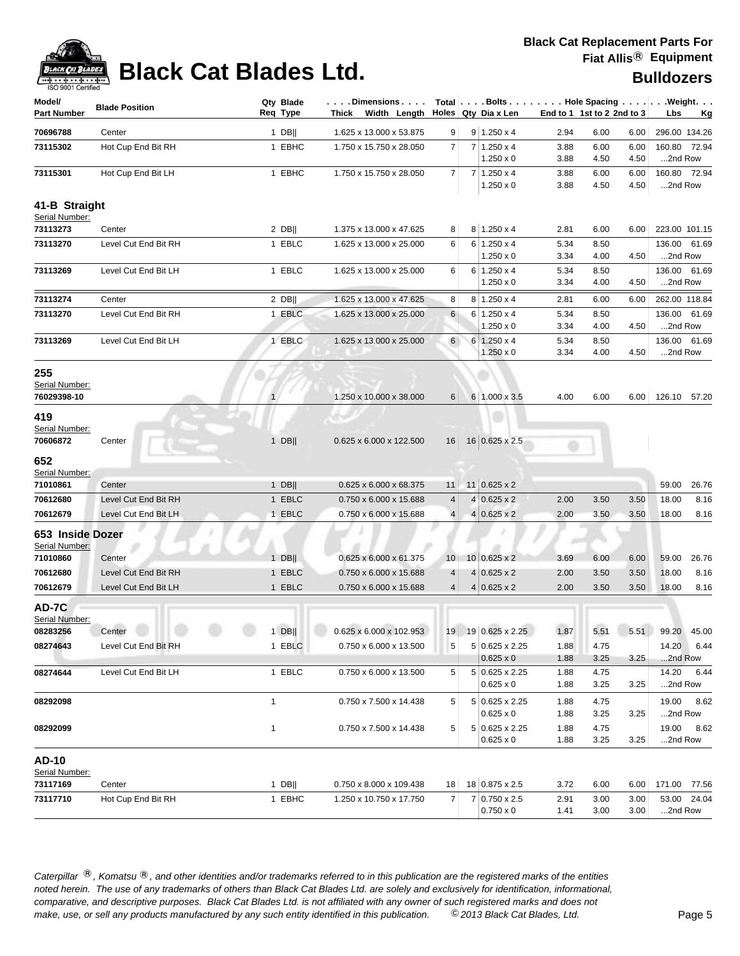

# **Black Cat Blades Ltd. Black Cat Blades Ltd. Black Cat Blades Ltd. Bulldozers**

| Model/<br><b>Part Number</b>         | <b>Blade Position</b> | Qty Blade<br>Req Type | $\ldots$ . Dimensions $\ldots$ .<br>Thick Width Length Holes Qty Dia x Len |                 |                |                                        | End to 1 1st to 2 2nd to 3 |              |              | Total   Bolts   Hole Spacing   Weight.<br>Lbs<br>Kg |
|--------------------------------------|-----------------------|-----------------------|----------------------------------------------------------------------------|-----------------|----------------|----------------------------------------|----------------------------|--------------|--------------|-----------------------------------------------------|
| 70696788                             | Center                | $1$ DB                | 1.625 x 13.000 x 53.875                                                    | 9               |                | $9 1.250 \times 4$                     | 2.94                       | 6.00         | 6.00         | 296.00 134.26                                       |
| 73115302                             | Hot Cup End Bit RH    | 1 EBHC                | 1.750 x 15.750 x 28.050                                                    | $\overline{7}$  | 7 <sup>1</sup> | $1.250 \times 4$                       | 3.88                       | 6.00         | 6.00         | 160.80 72.94                                        |
|                                      |                       |                       |                                                                            |                 |                | $1.250 \times 0$                       | 3.88                       | 4.50         | 4.50         | 2nd Row                                             |
| 73115301                             | Hot Cup End Bit LH    | 1 EBHC                | 1.750 x 15.750 x 28.050                                                    | $\overline{7}$  |                | $7 1.250 \times 4$<br>$1.250 \times 0$ | 3.88<br>3.88               | 6.00<br>4.50 | 6.00<br>4.50 | 160.80 72.94<br>2nd Row                             |
| 41-B Straight                        |                       |                       |                                                                            |                 |                |                                        |                            |              |              |                                                     |
| Serial Number:                       |                       |                       |                                                                            |                 |                |                                        |                            |              |              |                                                     |
| 73113273                             | Center                | $2$ DB                | 1.375 x 13.000 x 47.625                                                    | 8               |                | $8 \mid 1.250 \times 4$                | 2.81                       | 6.00         | 6.00         | 223.00 101.15                                       |
| 73113270                             | Level Cut End Bit RH  | 1 EBLC                | 1.625 x 13.000 x 25.000                                                    | 6               | 6              | $1.250 \times 4$<br>$1.250 \times 0$   | 5.34<br>3.34               | 8.50<br>4.00 | 4.50         | 136.00 61.69<br>2nd Row                             |
| 73113269                             | Level Cut End Bit LH  | 1 EBLC                | 1.625 x 13.000 x 25.000                                                    | 6               |                | $6 1.250 \times 4$                     | 5.34                       | 8.50         |              | 136.00 61.69                                        |
|                                      |                       |                       |                                                                            |                 |                | $1.250 \times 0$                       | 3.34                       | 4.00         | 4.50         | 2nd Row                                             |
| 73113274                             | Center                | $2$ DB                | 1.625 x 13.000 x 47.625                                                    | 8               |                | $8 1.250 \times 4$                     | 2.81                       | 6.00         | 6.00         | 262.00 118.84                                       |
| 73113270                             | Level Cut End Bit RH  | 1 EBLC                | 1.625 x 13.000 x 25.000                                                    | 6               |                | $6 1.250 \times 4$                     | 5.34                       | 8.50         |              | 61.69<br>136.00                                     |
|                                      |                       |                       |                                                                            |                 |                | $1.250 \times 0$                       | 3.34                       | 4.00         | 4.50         | 2nd Row                                             |
| 73113269                             | Level Cut End Bit LH  | 1 EBLC                | 1.625 x 13.000 x 25.000                                                    | 6               |                | $6 1.250 \times 4$<br>$1.250 \times 0$ | 5.34<br>3.34               | 8.50<br>4.00 | 4.50         | 136.00 61.69<br>2nd Row                             |
| 255<br>Serial Number:<br>76029398-10 |                       | $\mathbf{1}$          | 1.250 x 10.000 x 38.000                                                    | 6               |                | 6 1.000 x 3.5                          | 4.00                       | 6.00         | 6.00         | 126.10 57.20                                        |
| 419<br>Serial Number:<br>70606872    | Center                | $1$ DB                | 0.625 x 6.000 x 122.500                                                    | 16              |                | 16 0.625 x 2.5                         | m                          |              |              |                                                     |
| 652<br>Serial Number:                |                       |                       |                                                                            |                 |                |                                        |                            |              |              |                                                     |
| 71010861                             | Center                | $1$ DB                | 0.625 x 6.000 x 68.375                                                     | 11              |                | 11 0.625 x 2                           |                            |              |              | 59.00<br>26.76                                      |
| 70612680                             | Level Cut End Bit RH  | 1 EBLC                | 0.750 x 6.000 x 15.688                                                     | $\overline{4}$  |                | $4 0.625 \times 2$                     | 2.00                       | 3.50         | 3.50         | 18.00<br>8.16                                       |
| 70612679                             | Level Cut End Bit LH  | 1 EBLC                | 0.750 x 6.000 x 15.688                                                     | $\overline{4}$  |                | $4 0.625 \times 2$                     | 2.00                       | 3.50         | 3.50         | 18.00<br>8.16                                       |
| 653 Inside Dozer<br>Serial Number:   |                       |                       |                                                                            |                 |                |                                        |                            |              |              |                                                     |
| 71010860                             | Center                | $1$ DB                | 0.625 x 6.000 x 61.375                                                     | 10 <sup>°</sup> |                | $10 0.625 \times 2$                    | 3.69                       | 6.00         | 6.00         | 59.00<br>26.76                                      |
| 70612680                             | Level Cut End Bit RH  | 1 EBLC                | 0.750 x 6.000 x 15.688                                                     | 4               |                | $4 0.625 \times 2$                     | 2.00                       | 3.50         | 3.50         | 18.00<br>8.16                                       |
| 70612679                             | Level Cut End Bit LH  | 1 EBLC                | 0.750 x 6.000 x 15.688                                                     | $\overline{4}$  |                | $4 0.625 \times 2$                     | 2.00                       | 3.50         | 3.50         | 18.00<br>8.16                                       |
| AD-7C<br>Serial Number:              |                       |                       |                                                                            |                 |                |                                        |                            |              |              |                                                     |
| 08283256                             | Center                |                       | 1 DB     0.625 x 6.000 x 102.953   19   19   0.625 x 2.25                  |                 |                |                                        |                            |              |              | 1.87   5.51   5.51   99.20   45.00                  |
| 08274643                             | Level Cut End Bit RH  | 1 EBLC                | 0.750 x 6.000 x 13.500                                                     | 5               |                | 5 0.625 x 2.25<br>$0.625 \times 0$     | 1.88<br>1.88               | 4.75<br>3.25 | 3.25         | 14.20 6.44<br>2nd Row                               |
| 08274644                             | Level Cut End Bit LH  | 1 EBLC                | 0.750 x 6.000 x 13.500                                                     | 5               |                | 5 0.625 x 2.25                         | 1.88                       | 4.75         |              | 14.20<br>6.44                                       |
|                                      |                       |                       |                                                                            |                 |                | $0.625 \times 0$                       | 1.88                       | 3.25         | 3.25         | 2nd Row                                             |
| 08292098                             |                       | $\mathbf{1}$          | 0.750 x 7.500 x 14.438                                                     | 5               |                | 5 0.625 x 2.25<br>$0.625 \times 0$     | 1.88<br>1.88               | 4.75<br>3.25 | 3.25         | 19.00<br>8.62<br>2nd Row                            |
| 08292099                             |                       | $\mathbf{1}$          | 0.750 x 7.500 x 14.438                                                     | 5               |                | 5 0.625 x 2.25                         | 1.88                       | 4.75         |              | 19.00<br>8.62                                       |
| <b>AD-10</b>                         |                       |                       |                                                                            |                 |                | $0.625 \times 0$                       | 1.88                       | 3.25         | 3.25         | 2nd Row                                             |
| Serial Number:                       |                       |                       |                                                                            |                 |                |                                        |                            |              |              |                                                     |
| 73117169                             | Center                | $1$ DB                | 0.750 x 8.000 x 109.438                                                    | 18              |                | 18 0.875 x 2.5                         | 3.72                       | 6.00         | 6.00         | 171.00 77.56                                        |
| 73117710                             | Hot Cup End Bit RH    | 1 EBHC                | 1.250 x 10.750 x 17.750                                                    | 7               |                | 7 0.750 x 2.5<br>$0.750 \times 0$      | 2.91<br>1.41               | 3.00<br>3.00 | 3.00<br>3.00 | 53.00 24.04<br>2nd Row                              |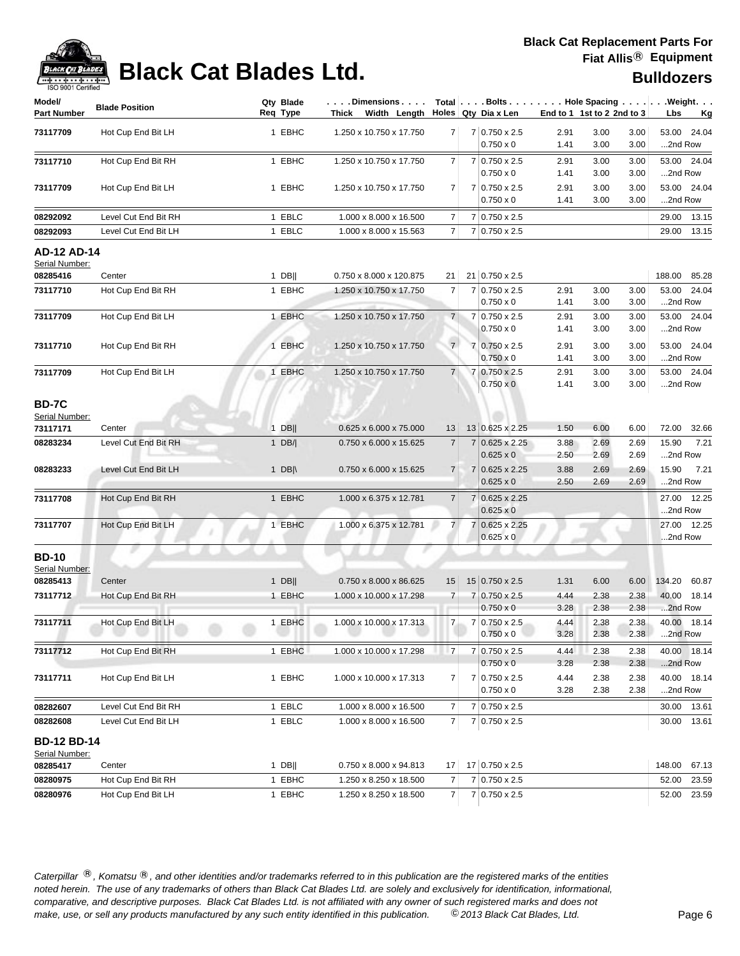

## **Black Cat Blades Ltd. Black Cat Blades Ltd. Bulldozers**

| ISO 9001 Certified                   | $+ \cdot + \cdot$     |                       |                                   |                 |                                          |              | <b>DUIIUUZEI S</b>         |              |                                                            |
|--------------------------------------|-----------------------|-----------------------|-----------------------------------|-----------------|------------------------------------------|--------------|----------------------------|--------------|------------------------------------------------------------|
| Model/<br>Part Number                | <b>Blade Position</b> | Qty Blade<br>Req Type | .Dimensions<br>Thick Width Length |                 | Holes Qty Dia x Len                      |              | End to 1 1st to 2 2nd to 3 |              | Total   Bolts   Hole Spacing   Weight.<br>Lbs<br><u>Kg</u> |
| 73117709                             | Hot Cup End Bit LH    | 1 EBHC                | 1.250 x 10.750 x 17.750           | 7               | 7 0.750 x 2.5<br>$0.750 \times 0$        | 2.91<br>1.41 | 3.00<br>3.00               | 3.00<br>3.00 | 53.00 24.04<br>2nd Row                                     |
| 73117710                             | Hot Cup End Bit RH    | 1 EBHC                | 1.250 x 10.750 x 17.750           | 7               | $7 0.750 \times 2.5$<br>$0.750 \times 0$ | 2.91<br>1.41 | 3.00<br>3.00               | 3.00<br>3.00 | 53.00 24.04<br>2nd Row                                     |
| 73117709                             | Hot Cup End Bit LH    | 1 EBHC                | 1.250 x 10.750 x 17.750           | 7               | 7 0.750 x 2.5<br>$0.750 \times 0$        | 2.91<br>1.41 | 3.00<br>3.00               | 3.00<br>3.00 | 53.00 24.04<br>2nd Row                                     |
| 08292092                             | Level Cut End Bit RH  | 1 EBLC                | 1.000 x 8.000 x 16.500            | 7               | 7 0.750 x 2.5                            |              |                            |              | 13.15<br>29.00                                             |
| 08292093                             | Level Cut End Bit LH  | 1 EBLC                | 1.000 x 8.000 x 15.563            | 7               | $7 0.750 \times 2.5$                     |              |                            |              | 29.00<br>13.15                                             |
| <b>AD-12 AD-14</b><br>Serial Number: |                       |                       |                                   |                 |                                          |              |                            |              |                                                            |
| 08285416                             | Center                | $1$ DB                | 0.750 x 8.000 x 120.875           | 21              | 21 0.750 x 2.5                           |              |                            |              | 188.00<br>85.28                                            |
| 73117710                             | Hot Cup End Bit RH    | 1 EBHC                | 1.250 x 10.750 x 17.750           | 7               | 7 0.750 x 2.5<br>$0.750 \times 0$        | 2.91<br>1.41 | 3.00<br>3.00               | 3.00<br>3.00 | 53.00<br>24.04<br>2nd Row                                  |
| 73117709                             | Hot Cup End Bit LH    | 1 EBHC                | 1.250 x 10.750 x 17.750           | $\overline{7}$  | 7 0.750 x 2.5                            | 2.91         | 3.00                       | 3.00         | 53.00 24.04                                                |
|                                      |                       |                       |                                   |                 | $0.750 \times 0$                         | 1.41         | 3.00                       | 3.00         | 2nd Row                                                    |
| 73117710                             | Hot Cup End Bit RH    | 1 EBHC                | 1.250 x 10.750 x 17.750           | $\overline{7}$  | 7 0.750 x 2.5<br>$0.750 \times 0$        | 2.91<br>1.41 | 3.00<br>3.00               | 3.00<br>3.00 | 53.00 24.04<br>2nd Row                                     |
| 73117709                             | Hot Cup End Bit LH    | 1 EBHC                | 1.250 x 10.750 x 17.750           | $\overline{7}$  | 7 0.750 x 2.5                            | 2.91         | 3.00                       | 3.00         | 53.00 24.04                                                |
|                                      |                       |                       |                                   |                 | $0.750 \times 0$                         | 1.41         | 3.00                       | 3.00         | 2nd Row                                                    |
| <b>BD-7C</b><br>Serial Number:       |                       |                       |                                   |                 |                                          |              |                            |              |                                                            |
| 73117171                             | Center                | $1$ DB                | 0.625 x 6.000 x 75.000            | 13              | 13 0.625 x 2.25                          | 1.50         | 6.00                       | 6.00         | 72.00<br>32.66                                             |
| 08283234                             | Level Cut End Bit RH  | 1 $DB/$               | 0.750 x 6.000 x 15.625            | 7               | 7 0.625 x 2.25<br>$0.625 \times 0$       | 3.88<br>2.50 | 2.69<br>2.69               | 2.69<br>2.69 | 15.90<br>7.21<br>2nd Row                                   |
| 08283233                             | Level Cut End Bit LH  | 1 DB $\parallel$      | 0.750 x 6.000 x 15.625            | 7               | 7 0.625 x 2.25<br>$0.625 \times 0$       | 3.88<br>2.50 | 2.69<br>2.69               | 2.69<br>2.69 | 15.90<br>7.21<br>2nd Row                                   |
| 73117708                             | Hot Cup End Bit RH    | 1 EBHC                | 1.000 x 6.375 x 12.781            | 7               | 7 0.625 x 2.25<br>$0.625 \times 0$       |              |                            |              | 12.25<br>27.00<br>2nd Row                                  |
| 73117707                             | Hot Cup End Bit LH    | 1 EBHC                | 1.000 x 6.375 x 12.781            | $\overline{7}$  | $0.625 \times 2.25$<br>$0.625 \times 0$  |              |                            |              | 27.00 12.25<br>2nd Row                                     |
| <b>BD-10</b><br>Serial Number:       |                       |                       |                                   |                 |                                          |              |                            |              |                                                            |
| 08285413                             | Center                | $1$ DB                | 0.750 x 8.000 x 86.625            | 15              | 15 0.750 x 2.5                           | 1.31         | 6.00                       | 6.00         | 134.20<br>60.87                                            |
| 73117712                             | Hot Cup End Bit RH    | 1 EBHC                | 1.000 x 10.000 x 17.298           | $\overline{7}$  | 7 0.750 x 2.5<br>$0.750 \times 0$        | 4.44<br>3.28 | 2.38<br>2.38               | 2.38<br>2.38 | 18.14<br>40.00<br>2nd Row                                  |
| 73117711                             | Hot Cup End Bit LH    | 1 EBHC                | 1.000 x 10.000 x 17.313           | $\overline{7}$  | 7 0.750 x 2.5<br>$0.750 \times 0$        | 4.44<br>3.28 | 2.38<br>2.38               | 2.38<br>2.38 | 40.00 18.14<br>2nd Row                                     |
| 73117712                             | Hot Cup End Bit RH    | 1 EBHC                | 1.000 x 10.000 x 17.298           | $\overline{7}$  | 7 0.750 x 2.5<br>$0.750 \times 0$        | 4.44<br>3.28 | 2.38<br>2.38               | 2.38<br>2.38 | 40.00 18.14<br>2nd Row                                     |
| 73117711                             | Hot Cup End Bit LH    | 1 EBHC                | 1.000 x 10.000 x 17.313           | 7               | $7 0.750 \times 2.5$<br>$0.750 \times 0$ | 4.44<br>3.28 | 2.38<br>2.38               | 2.38<br>2.38 | 40.00 18.14<br>2nd Row                                     |
| 08282607                             | Level Cut End Bit RH  | 1 EBLC                | 1.000 x 8.000 x 16.500            | 7               | 7 0.750 x 2.5                            |              |                            |              | 30.00 13.61                                                |
| 08282608                             | Level Cut End Bit LH  | 1 EBLC                | 1.000 x 8.000 x 16.500            | $\overline{7}$  | 7 0.750 x 2.5                            |              |                            |              | 30.00 13.61                                                |
| <b>BD-12 BD-14</b><br>Serial Number: |                       |                       |                                   |                 |                                          |              |                            |              |                                                            |
| 08285417                             | Center                | $1$ DB                | 0.750 x 8.000 x 94.813            | 17 <sup>1</sup> | 17 0.750 x 2.5                           |              |                            |              | 148.00<br>67.13                                            |
| 08280975                             | Hot Cup End Bit RH    | 1 EBHC                | 1.250 x 8.250 x 18.500            | 7               | 7 0.750 x 2.5                            |              |                            |              | 52.00<br>23.59                                             |
| 08280976                             | Hot Cup End Bit LH    | 1 EBHC                | 1.250 x 8.250 x 18.500            | 7 <sup>1</sup>  | $7 0.750 \times 2.5$                     |              |                            |              | 52.00 23.59                                                |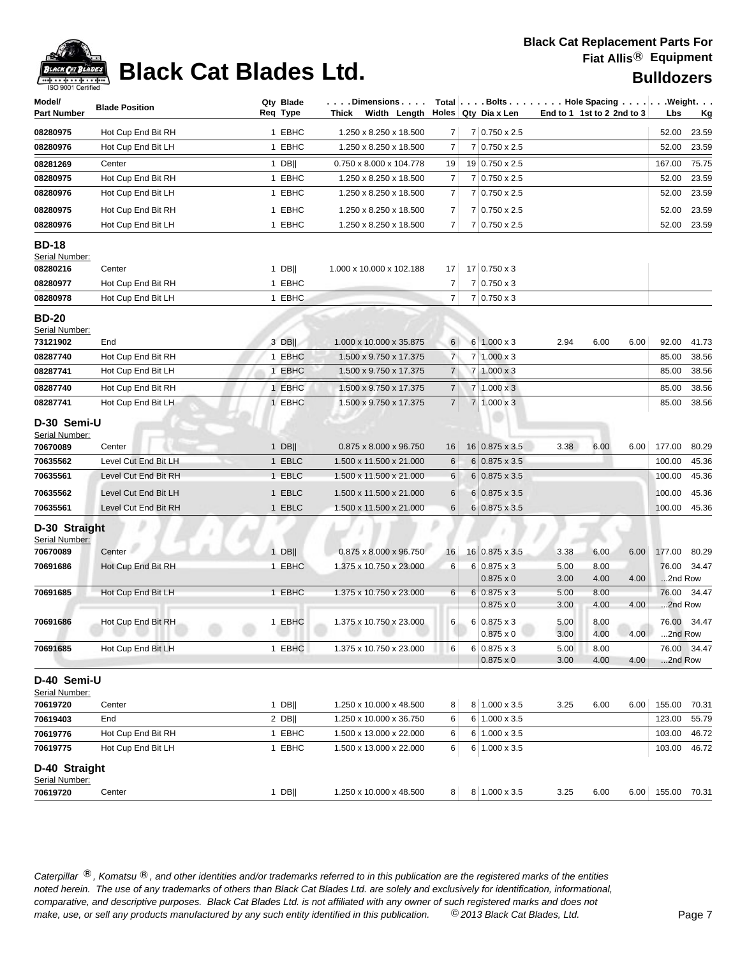

# **Black Cat Blades Ltd. Black Cat Blades Ltd. Black Cat Blades Ltd. Bulldozers**

| Model/<br>Part Number                     | <b>Blade Position</b> | Qty Blade<br>Reg Type | . Dimensions<br>Thick Width Length Holes Qty Diax Len |                |                                        |              | Total $\left[\ldots\right]$ Bolts $\ldots$ $\left[\ldots\right]$ Hole Spacing $\ldots\left[\ldots\right]$ . Weight. $\ldots$<br>End to 1 1st to 2 2nd to 3 | Lbs          | <u>Kg</u>              |
|-------------------------------------------|-----------------------|-----------------------|-------------------------------------------------------|----------------|----------------------------------------|--------------|------------------------------------------------------------------------------------------------------------------------------------------------------------|--------------|------------------------|
| 08280975                                  | Hot Cup End Bit RH    | 1 EBHC                | 1.250 x 8.250 x 18.500                                | 7              | 7 0.750 x 2.5                          |              |                                                                                                                                                            | 52.00        | 23.59                  |
| 08280976                                  | Hot Cup End Bit LH    | 1 EBHC                | 1.250 x 8.250 x 18.500                                | 7              | 7 0.750 x 2.5                          |              |                                                                                                                                                            | 52.00        | 23.59                  |
| 08281269                                  | Center                | $1$ DB                | 0.750 x 8.000 x 104.778                               | 19             | 19 0.750 x 2.5                         |              |                                                                                                                                                            | 167.00       | 75.75                  |
| 08280975                                  | Hot Cup End Bit RH    | 1 EBHC                | 1.250 x 8.250 x 18.500                                | 7              | 7 0.750 x 2.5                          |              |                                                                                                                                                            | 52.00        | 23.59                  |
| 08280976                                  | Hot Cup End Bit LH    | 1 EBHC                | 1.250 x 8.250 x 18.500                                | 7              | $7 0.750 \times 2.5$                   |              |                                                                                                                                                            | 52.00        | 23.59                  |
| 08280975                                  | Hot Cup End Bit RH    | 1 EBHC                | 1.250 x 8.250 x 18.500                                | 7              | 7 0.750 x 2.5                          |              |                                                                                                                                                            | 52.00        | 23.59                  |
| 08280976                                  | Hot Cup End Bit LH    | 1 EBHC                | 1.250 x 8.250 x 18.500                                | 7              | 7 0.750 x 2.5                          |              |                                                                                                                                                            | 52.00        | 23.59                  |
| <b>BD-18</b><br>Serial Number:            |                       |                       |                                                       |                |                                        |              |                                                                                                                                                            |              |                        |
| 08280216                                  | Center                | 1 DB                  | 1.000 x 10.000 x 102.188                              | 17             | 17 0.750 x 3                           |              |                                                                                                                                                            |              |                        |
| 08280977                                  | Hot Cup End Bit RH    | 1 EBHC                |                                                       | $\overline{7}$ | $7 0.750 \times 3$                     |              |                                                                                                                                                            |              |                        |
| 08280978                                  | Hot Cup End Bit LH    | 1 EBHC                |                                                       | 7              | $7 0.750 \times 3$                     |              |                                                                                                                                                            |              |                        |
| <b>BD-20</b><br>Serial Number:            |                       |                       |                                                       |                |                                        |              |                                                                                                                                                            |              |                        |
| 73121902                                  | End                   | 3 DB                  | 1.000 x 10.000 x 35.875                               | 6              | $6 1.000 \times 3$                     | 2.94         | 6.00<br>6.00                                                                                                                                               | 92.00        | 41.73                  |
| 08287740                                  | Hot Cup End Bit RH    | 1 EBHC                | 1.500 x 9.750 x 17.375                                | $\overline{7}$ | $7 1.000 \times 3$                     |              |                                                                                                                                                            | 85.00        | 38.56                  |
| 08287741                                  | Hot Cup End Bit LH    | 1 EBHC                | 1.500 x 9.750 x 17.375                                | 7              | $7 1.000 \times 3$                     |              |                                                                                                                                                            | 85.00        | 38.56                  |
| 08287740                                  | Hot Cup End Bit RH    | 1 EBHC                | 1.500 x 9.750 x 17.375                                | $\overline{7}$ | $7 1.000 \times 3$                     |              |                                                                                                                                                            | 85.00        | 38.56                  |
| 08287741                                  | Hot Cup End Bit LH    | 1 EBHC                | 1.500 x 9.750 x 17.375                                | $\overline{7}$ | 7 1.000 x 3                            |              |                                                                                                                                                            | 85.00        | 38.56                  |
| D-30 Semi-U<br>Serial Number:<br>70670089 | Center                | $1$ DB                | 0.875 x 8.000 x 96.750                                | 16             | 16 0.875 x 3.5                         | 3.38         | 6.00<br>6.00                                                                                                                                               | 177.00       | 80.29                  |
| 70635562                                  | Level Cut End Bit LH  | 1 EBLC                | 1.500 x 11.500 x 21.000                               | 6              | $6 0.875 \times 3.5$                   |              |                                                                                                                                                            | 100.00       | 45.36                  |
| 70635561                                  | Level Cut End Bit RH  | 1 EBLC                | 1.500 x 11.500 x 21.000                               | 6              | $6 0.875 \times 3.5$                   |              |                                                                                                                                                            | 100.00       | 45.36                  |
| 70635562                                  | Level Cut End Bit LH  | 1 EBLC                | 1.500 x 11.500 x 21.000                               | 6              | $6 0.875 \times 3.5$                   |              |                                                                                                                                                            | 100.00       | 45.36                  |
| 70635561                                  | Level Cut End Bit RH  | 1 EBLC                | 1.500 x 11.500 x 21.000                               | 6              | $6 0.875 \times 3.5$                   |              |                                                                                                                                                            | 100.00       | 45.36                  |
| D-30 Straight<br>Serial Number:           |                       |                       |                                                       |                |                                        |              |                                                                                                                                                            |              |                        |
| 70670089                                  | Center                | $1$ DB                | 0.875 x 8.000 x 96.750                                | 16             | 16 0.875 x 3.5                         | 3.38         | 6.00<br>6.00                                                                                                                                               | 177.00       | 80.29                  |
| 70691686                                  | Hot Cup End Bit RH    | 1 EBHC                | 1.375 x 10.750 x 23.000                               | 6              | $6 0.875 \times 3$                     | 5.00         | 8.00                                                                                                                                                       | 76.00        | 34.47                  |
|                                           |                       |                       |                                                       |                | $0.875 \times 0$                       | 3.00         | 4.00<br>4.00                                                                                                                                               | 2nd Row      |                        |
| 70691685                                  | Hot Cup End Bit LH    | 1 EBHC                | 1.375 x 10.750 x 23.000                               | 6              | $6 0.875 \times 3$                     | 5.00         | 8.00                                                                                                                                                       |              | 76.00 34.47            |
|                                           |                       |                       |                                                       |                | $0.875 \times 0$                       | 3.00         | 4.00<br>4.00                                                                                                                                               | 2nd Row      |                        |
| 70691686                                  | Hot Cup End Bit RH    | 1 EBHC                | 1.375 x 10.750 x 23.000                               | 6              | $6 0.875 \times 3$<br>$0.875 \times 0$ | 5.00<br>3.00 | 8.00<br>4.00<br>4.00                                                                                                                                       |              | 76.00 34.47<br>2nd Row |
| 70691685                                  | Hot Cup End Bit LH    | 1 EBHC                | 1.375 x 10.750 x 23.000                               | 6              | $6 0.875 \times 3$                     | 5.00         | 8.00                                                                                                                                                       |              | 76.00 34.47            |
|                                           |                       |                       |                                                       |                | $0.875 \times 0$                       | 3.00         | 4.00<br>4.00                                                                                                                                               | 2nd Row      |                        |
| D-40 Semi-U<br>Serial Number:             |                       |                       |                                                       |                |                                        |              |                                                                                                                                                            |              |                        |
| 70619720                                  | Center                | 1 DB                  | 1.250 x 10.000 x 48.500                               | 8              | 8 1.000 x 3.5                          | 3.25         | 6.00<br>6.00                                                                                                                                               | 155.00       | 70.31                  |
| 70619403                                  | End                   | $2$ DB                | 1.250 x 10.000 x 36.750                               | 6              | 6 1.000 x 3.5                          |              |                                                                                                                                                            | 123.00       | 55.79                  |
| 70619776                                  | Hot Cup End Bit RH    | 1 EBHC                | 1.500 x 13.000 x 22.000                               | 6              | 6 1.000 x 3.5                          |              |                                                                                                                                                            | 103.00       | 46.72                  |
| 70619775                                  | Hot Cup End Bit LH    | 1 EBHC                | 1.500 x 13.000 x 22.000                               | 6              | 6 1.000 x 3.5                          |              |                                                                                                                                                            | 103.00       | 46.72                  |
| D-40 Straight<br>Serial Number:           |                       |                       |                                                       |                |                                        |              |                                                                                                                                                            |              |                        |
| 70619720                                  | Center                | $1$ DB                | 1.250 x 10.000 x 48.500                               | 8              | 8 1.000 x 3.5                          | 3.25         | 6.00<br>6.00                                                                                                                                               | 155.00 70.31 |                        |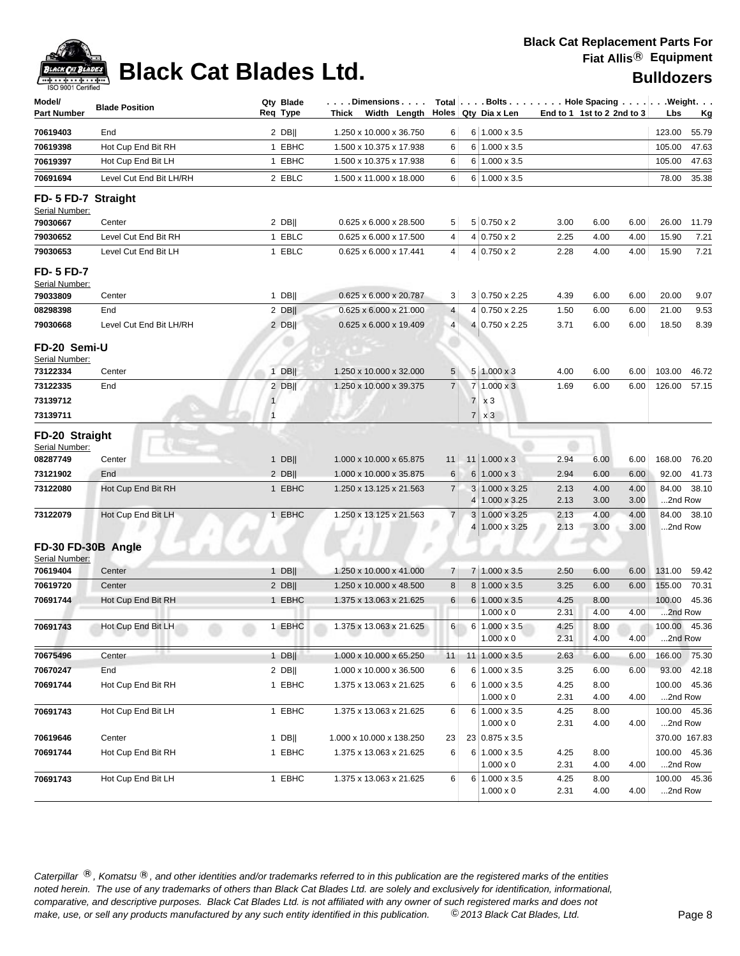| Model/<br><b>Part Number</b>                   | <b>Blade Position</b>   | Qty Blade<br>Req Type | . Dimensions<br>Width Length<br>Thick |                |                | Total   Bolts Hole Spacing Weight.<br>Holes $Qty$ Dia x Len |              | End to 1 1st to 2 2nd to 3 |              | Lbs                     | <u>Kg</u> |
|------------------------------------------------|-------------------------|-----------------------|---------------------------------------|----------------|----------------|-------------------------------------------------------------|--------------|----------------------------|--------------|-------------------------|-----------|
| 70619403                                       | End                     | $2$ DB                | 1.250 x 10.000 x 36.750               | 6              |                | $6 1.000 \times 3.5$                                        |              |                            |              | 123.00                  | 55.79     |
| 70619398                                       | Hot Cup End Bit RH      | 1 EBHC                | 1.500 x 10.375 x 17.938               | 6              |                | $6 1.000 \times 3.5$                                        |              |                            |              | 105.00                  | 47.63     |
| 70619397                                       | Hot Cup End Bit LH      | 1 EBHC                | 1.500 x 10.375 x 17.938               | 6              |                | $6 1.000 \times 3.5$                                        |              |                            |              | 105.00                  | 47.63     |
| 70691694                                       | Level Cut End Bit LH/RH | 2 EBLC                | 1.500 x 11.000 x 18.000               | 6              |                | $6 1.000 \times 3.5$                                        |              |                            |              | 78.00                   | 35.38     |
| FD- 5 FD-7 Straight<br>Serial Number:          |                         |                       |                                       |                |                |                                                             |              |                            |              |                         |           |
| 79030667                                       | Center                  | $2$ DB                | 0.625 x 6.000 x 28.500                | 5              |                | $5 0.750 \times 2$                                          | 3.00         | 6.00                       | 6.00         | 26.00                   | 11.79     |
| 79030652                                       | Level Cut End Bit RH    | 1 EBLC                | 0.625 x 6.000 x 17.500                | 4              |                | $4 0.750 \times 2$                                          | 2.25         | 4.00                       | 4.00         | 15.90                   | 7.21      |
| 79030653                                       | Level Cut End Bit LH    | 1 EBLC                | 0.625 x 6.000 x 17.441                | 4              |                | $4 0.750 \times 2$                                          | 2.28         | 4.00                       | 4.00         | 15.90                   | 7.21      |
| <b>FD-5 FD-7</b><br>Serial Number:<br>79033809 | Center                  | 1 DB                  | 0.625 x 6.000 x 20.787                | 3              |                | $3 0.750 \times 2.25$                                       | 4.39         | 6.00                       | 6.00         | 20.00                   | 9.07      |
| 08298398                                       | End                     | $2$ DB                | 0.625 x 6.000 x 21.000                | 4              |                | 4 0.750 x 2.25                                              | 1.50         | 6.00                       | 6.00         | 21.00                   | 9.53      |
| 79030668                                       | Level Cut End Bit LH/RH | $2$ DB                | 0.625 x 6.000 x 19.409                | 4 <sup>1</sup> |                | 4 0.750 x 2.25                                              | 3.71         | 6.00                       | 6.00         | 18.50                   | 8.39      |
| FD-20 Semi-U<br>Serial Number:                 |                         |                       |                                       |                |                |                                                             |              |                            |              |                         |           |
| 73122334                                       | Center                  | $1$ DB                | 1.250 x 10.000 x 32.000               | 5              |                | $5 1.000 \times 3$                                          | 4.00         | 6.00                       | 6.00         | 103.00                  | 46.72     |
| 73122335                                       | End                     | $2$ DB                | 1.250 x 10.000 x 39.375               | 7 <sup>1</sup> |                | $7 1.000 \times 3$                                          | 1.69         | 6.00                       | 6.00         | 126.00                  | 57.15     |
| 73139712                                       |                         | 1                     |                                       |                | 7 <sup>1</sup> | x <sub>3</sub>                                              |              |                            |              |                         |           |
| 73139711                                       |                         | $\mathbf{1}$          |                                       |                | 7 <sup>1</sup> | x <sub>3</sub>                                              |              |                            |              |                         |           |
| FD-20 Straight<br>Serial Number:               |                         |                       |                                       |                |                |                                                             |              |                            |              |                         |           |
| 08287749                                       | Center                  | $1$ DB                | 1.000 x 10.000 x 65.875               | 11             |                | $11$   1.000 x 3                                            | 2.94         | 6.00                       | 6.00         | 168.00                  | 76.20     |
| 73121902                                       | End                     | $2$ DB                | 1.000 x 10.000 x 35.875               | 6              |                | $6 1.000 \times 3$                                          | 2.94         | 6.00                       | 6.00         | 92.00                   | 41.73     |
| 73122080                                       | Hot Cup End Bit RH      | 1 EBHC                | 1.250 x 13.125 x 21.563               | $\overline{7}$ |                | 3 1.000 x 3.25<br>4 1.000 x 3.25                            | 2.13<br>2.13 | 4.00<br>3.00               | 4.00<br>3.00 | 84.00<br>2nd Row        | 38.10     |
| 73122079                                       | Hot Cup End Bit LH      | 1 EBHC                | 1.250 x 13.125 x 21.563               | $\overline{7}$ |                | $3 1.000 \times 3.25$<br>4 1.000 x 3.25                     | 2.13<br>2.13 | 4.00<br>3.00               | 4.00<br>3.00 | 84.00<br>2nd Row        | 38.10     |
| FD-30 FD-30B Angle<br>Serial Number:           |                         |                       |                                       |                |                |                                                             |              |                            |              |                         |           |
| 70619404                                       | Center                  | 1 DB                  | 1.250 x 10.000 x 41.000               | 7 <sup>1</sup> |                | 7 1.000 x 3.5                                               | 2.50         | 6.00                       | 6.00         | 131.00                  | 59.42     |
| 70619720                                       | Center                  | $2$ DB                | 1.250 x 10.000 x 48.500               | 8              |                | 8 1.000 x 3.5                                               | 3.25         | 6.00                       | 6.00         | 155.00                  | 70.31     |
| 70691744                                       | Hot Cup End Bit RH      | 1 EBHC                | 1.375 x 13.063 x 21.625               | 6              |                | $6 1.000 \times 3.5$                                        | 4.25         | 8.00                       |              | 100.00                  | 45.36     |
|                                                |                         |                       |                                       |                |                | $1.000 \times 0$                                            | 2.31         | 4.00                       | 4.00         | 2nd Row                 |           |
| 70691743                                       | Hot Cup End Bit LH      | 1 EBHC                | 1.375 x 13.063 x 21.625               | 6              |                | 6 1.000 x 3.5<br>$1.000 \times 0$                           | 4.25<br>2.31 | 8.00<br>4.00               | 4.00         | 100.00 45.36<br>2nd Row |           |
| 70675496                                       | Center                  | $1$ DB                | 1.000 x 10.000 x 65.250               | 11             |                | $11$ 1.000 x 3.5                                            | 2.63         | 6.00                       | 6.00         | 166.00                  | 75.30     |
| 70670247                                       | End                     | $2$ DB                | 1.000 x 10.000 x 36.500               | 6              |                | $6 1.000 \times 3.5$                                        | 3.25         | 6.00                       | 6.00         | 93.00                   | 42.18     |
| 70691744                                       | Hot Cup End Bit RH      | 1 EBHC                | 1.375 x 13.063 x 21.625               | 6              |                | $6 1.000 \times 3.5$                                        | 4.25         | 8.00                       |              | 100.00 45.36            |           |
|                                                |                         |                       |                                       |                |                | $1.000 \times 0$                                            | 2.31         | 4.00                       | 4.00         | 2nd Row                 |           |
| 70691743                                       | Hot Cup End Bit LH      | 1 EBHC                | 1.375 x 13.063 x 21.625               | 6              |                | $6 1.000 \times 3.5$                                        | 4.25         | 8.00                       |              | 100.00 45.36            |           |
|                                                |                         |                       |                                       |                |                | $1.000 \times 0$                                            | 2.31         | 4.00                       | 4.00         | 2nd Row                 |           |
| 70619646                                       | Center                  | $1$ DB                | 1.000 x 10.000 x 138.250              | 23             |                | 23 0.875 x 3.5                                              |              |                            |              | 370.00 167.83           |           |
| 70691744                                       | Hot Cup End Bit RH      | 1 EBHC                | 1.375 x 13.063 x 21.625               | 6              |                | $6 1.000 \times 3.5$                                        | 4.25         | 8.00                       |              | 100.00 45.36            |           |
|                                                |                         |                       |                                       |                |                | $1.000 \times 0$                                            | 2.31         | 4.00                       | 4.00         | 2nd Row                 |           |
| 70691743                                       | Hot Cup End Bit LH      | 1 EBHC                | 1.375 x 13.063 x 21.625               | 6              |                | $6 1.000 \times 3.5$<br>1.000 x 0                           | 4.25<br>2.31 | 8.00<br>4.00               | 4.00         | 100.00 45.36<br>2nd Row |           |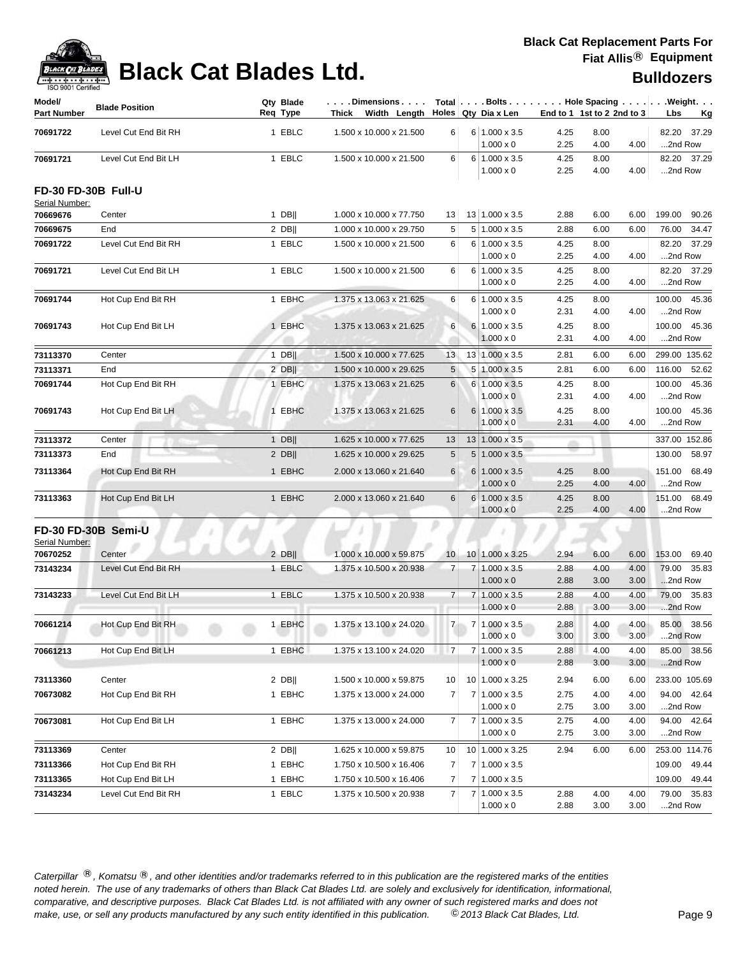

| Model/<br><b>Part Number</b>          | <b>Blade Position</b> | Qty Blade<br>Reg Type | . Dimensions   Total   Bolts   Hole Spacing   Weight.<br>Thick Width Length Holes Qty Diax Len |                |                |                                          | End to 1 1st to 2 2nd to 3 |              |              | Lbs<br><u>Kg</u>           |
|---------------------------------------|-----------------------|-----------------------|------------------------------------------------------------------------------------------------|----------------|----------------|------------------------------------------|----------------------------|--------------|--------------|----------------------------|
| 70691722                              | Level Cut End Bit RH  | 1 EBLC                | 1.500 x 10.000 x 21.500                                                                        | 6              |                | $6 1.000 \times 3.5$                     | 4.25                       | 8.00         |              | 82.20 37.29                |
|                                       |                       |                       |                                                                                                |                |                | $1.000 \times 0$                         | 2.25                       | 4.00         | 4.00         | 2nd Row                    |
| 70691721                              | Level Cut End Bit LH  | 1 EBLC                | 1.500 x 10.000 x 21.500                                                                        | 6              |                | $6 1.000 \times 3.5$<br>$1.000 \times 0$ | 4.25<br>2.25               | 8.00<br>4.00 | 4.00         | 82.20 37.29<br>2nd Row     |
| FD-30 FD-30B Full-U<br>Serial Number: |                       |                       |                                                                                                |                |                |                                          |                            |              |              |                            |
| 70669676                              | Center                | $1$ DB                | 1.000 x 10.000 x 77.750                                                                        | 13             |                | 13 1.000 x 3.5                           | 2.88                       | 6.00         | 6.00         | 199.00 90.26               |
| 70669675                              | End                   | $2$ DB                | 1.000 x 10.000 x 29.750                                                                        | 5              |                | 5 1.000 x 3.5                            | 2.88                       | 6.00         | 6.00         | 76.00 34.47                |
| 70691722                              | Level Cut End Bit RH  | 1 EBLC                | 1.500 x 10.000 x 21.500                                                                        | 6              |                | 6 1.000 x 3.5<br>$1.000 \times 0$        | 4.25<br>2.25               | 8.00<br>4.00 | 4.00         | 82.20 37.29<br>2nd Row     |
| 70691721                              | Level Cut End Bit LH  | 1 EBLC                | 1.500 x 10.000 x 21.500                                                                        | 6              |                | $6 1.000 \times 3.5$<br>$1.000 \times 0$ | 4.25<br>2.25               | 8.00<br>4.00 | 4.00         | 82.20 37.29<br>2nd Row     |
| 70691744                              | Hot Cup End Bit RH    | 1 EBHC                | 1.375 x 13.063 x 21.625                                                                        | 6              |                | $6 1.000 \times 3.5$<br>$1.000 \times 0$ | 4.25<br>2.31               | 8.00<br>4.00 | 4.00         | 100.00 45.36<br>2nd Row    |
| 70691743                              | Hot Cup End Bit LH    | 1 EBHC                | 1.375 x 13.063 x 21.625                                                                        | 6              |                | 6 1.000 x 3.5<br>$1.000 \times 0$        | 4.25<br>2.31               | 8.00<br>4.00 | 4.00         | 100.00 45.36<br>2nd Row    |
| 73113370                              | Center                | $1$ DB                | 1.500 x 10.000 x 77.625                                                                        | 13             |                | 13 1.000 x 3.5                           | 2.81                       | 6.00         | 6.00         | 299.00 135.62              |
| 73113371                              | End                   | $2$ DB                | 1.500 x 10.000 x 29.625                                                                        | 5              |                | 5 1.000 x 3.5                            | 2.81                       | 6.00         | 6.00         | 116.00 52.62               |
| 70691744                              | Hot Cup End Bit RH    | 1 EBHC                | 1.375 x 13.063 x 21.625                                                                        | 6              |                | $6 1.000 \times 3.5$<br>$1.000 \times 0$ | 4.25<br>2.31               | 8.00<br>4.00 | 4.00         | 100.00 45.36<br>2nd Row    |
| 70691743                              | Hot Cup End Bit LH    | 1 EBHC                | 1.375 x 13.063 x 21.625                                                                        | 6              |                | 6 1.000 x 3.5<br>$1.000 \times 0$        | 4.25<br>2.31               | 8.00<br>4.00 | 4.00         | 45.36<br>100.00<br>2nd Row |
| 73113372                              | Center                | $1$ DB                | 1.625 x 10.000 x 77.625                                                                        | 13             |                | $13 1.000 \times 3.5$                    |                            |              |              | 337.00 152.86              |
| 73113373                              | End                   | $2$ DB                | 1.625 x 10.000 x 29.625                                                                        | 5              |                | $5 1.000 \times 3.5$                     |                            |              |              | 130.00 58.97               |
| 73113364                              | Hot Cup End Bit RH    | 1 EBHC                | 2.000 x 13.060 x 21.640                                                                        | 6              |                | $6 1.000 \times 3.5$<br>$1.000 \times 0$ | 4.25<br>2.25               | 8.00<br>4.00 | 4.00         | 151.00 68.49<br>2nd Row    |
| 73113363                              | Hot Cup End Bit LH    | 1 EBHC                | 2.000 x 13.060 x 21.640                                                                        | 6              |                | $6 1.000 \times 3.5$<br>$1.000 \times 0$ | 4.25<br>2.25               | 8.00<br>4.00 | 4.00         | 151.00 68.49<br>2nd Row    |
| Serial Number:                        | FD-30 FD-30B Semi-U   |                       |                                                                                                |                |                |                                          |                            |              |              |                            |
| 70670252                              | Center                | $2$ DB                | 1.000 x 10.000 x 59.875                                                                        | 10             |                | 10 1.000 x 3.25                          | 2.94                       | 6.00         | 6.00         | 153.00<br>69.40            |
| 73143234                              | Level Cut End Bit RH  | 1 EBLC                | 1.375 x 10.500 x 20.938                                                                        | $\overline{7}$ |                | 7 1.000 x 3.5<br>$1.000 \times 0$        | 2.88<br>2.88               | 4.00<br>3.00 | 4.00<br>3.00 | 79.00 35.83<br>2nd Row     |
| 73143233                              | Level Cut End Bit LH  | 1 EBLC                | 1.375 x 10.500 x 20.938                                                                        | $\overline{7}$ |                | 7 1.000 x 3.5<br>$1.000 \times 0$        | 2.88<br>2.88               | 4.00<br>3.00 | 4.00<br>3.00 | 79.00 35.83<br>2nd Row     |
| 70661214                              | Hot Cup End Bit RH    | 1 EBHC                | 1.375 x 13.100 x 24.020                                                                        | $\overline{7}$ |                | 7 1.000 x 3.5<br>$1.000 \times 0$        | 2.88<br>3.00               | 4.00<br>3.00 | 4.00<br>3.00 | 85.00 38.56<br>2nd Row     |
| 70661213                              | Hot Cup End Bit LH    | 1 EBHC                | 1.375 x 13.100 x 24.020                                                                        | $\overline{7}$ |                | 7 1.000 x 3.5<br>$1.000 \times 0$        | 2.88<br>2.88               | 4.00<br>3.00 | 4.00<br>3.00 | 85.00 38.56<br>2nd Row     |
| 73113360                              | Center                | $2$ DB                | 1.500 x 10.000 x 59.875                                                                        | 10             |                | 10 1.000 x 3.25                          | 2.94                       | 6.00         | 6.00         | 233.00 105.69              |
| 70673082                              | Hot Cup End Bit RH    | 1 EBHC                | 1.375 x 13.000 x 24.000                                                                        | 7              | 7 <sup>1</sup> | $1.000 \times 3.5$<br>$1.000 \times 0$   | 2.75<br>2.75               | 4.00<br>3.00 | 4.00<br>3.00 | 94.00 42.64<br>2nd Row     |
| 70673081                              | Hot Cup End Bit LH    | 1 EBHC                | 1.375 x 13.000 x 24.000                                                                        | 7              |                | $7 1.000 \times 3.5$<br>$1.000 \times 0$ | 2.75<br>2.75               | 4.00<br>3.00 | 4.00<br>3.00 | 94.00 42.64<br>2nd Row     |
| 73113369                              | Center                | $2$ DB                | 1.625 x 10.000 x 59.875                                                                        | 10             |                | 10 1.000 x 3.25                          | 2.94                       | 6.00         | 6.00         | 253.00 114.76              |
| 73113366                              | Hot Cup End Bit RH    | 1 EBHC                | 1.750 x 10.500 x 16.406                                                                        | 7              |                | 7 1.000 x 3.5                            |                            |              |              | 49.44<br>109.00            |
| 73113365                              | Hot Cup End Bit LH    | 1 EBHC                | 1.750 x 10.500 x 16.406                                                                        | $\overline{7}$ |                | $7 1.000 \times 3.5$                     |                            |              |              | 109.00 49.44               |
| 73143234                              | Level Cut End Bit RH  | 1 EBLC                | 1.375 x 10.500 x 20.938                                                                        | $\overline{7}$ |                | $7 1.000 \times 3.5$<br>$1.000 \times 0$ | 2.88<br>2.88               | 4.00<br>3.00 | 4.00<br>3.00 | 79.00 35.83<br>2nd Row     |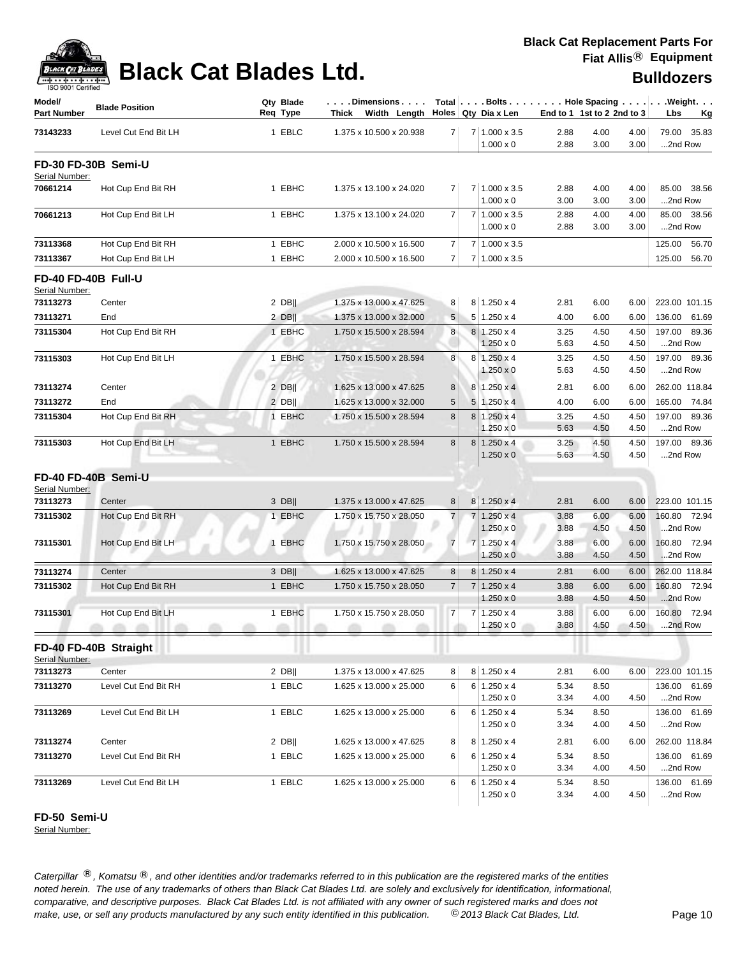

| Model/<br><b>Part Number</b>          | <b>Blade Position</b> | Qty Blade<br>Req Type | Dimensions<br>Thick Width Length |                 |                | $Total   \ldots$ Bolts $\ldots   \ldots$ . Hole Spacing $\ldots   \ldots$ . Weight. $\ldots$<br>Holes Qty Dia x Len |              | End to 1 1st to 2 2nd to 3 |              | Lbs     | <u>Kg</u>     |
|---------------------------------------|-----------------------|-----------------------|----------------------------------|-----------------|----------------|---------------------------------------------------------------------------------------------------------------------|--------------|----------------------------|--------------|---------|---------------|
| 73143233                              | Level Cut End Bit LH  | 1 EBLC                | 1.375 x 10.500 x 20.938          | $\overline{7}$  |                | 7 1.000 x 3.5                                                                                                       | 2.88         | 4.00                       | 4.00         |         | 79.00 35.83   |
|                                       | FD-30 FD-30B Semi-U   |                       |                                  |                 |                | $1.000 \times 0$                                                                                                    | 2.88         | 3.00                       | 3.00         | 2nd Row |               |
| Serial Number:                        |                       |                       |                                  |                 |                |                                                                                                                     |              |                            |              |         |               |
| 70661214                              | Hot Cup End Bit RH    | 1 EBHC                | 1.375 x 13.100 x 24.020          | 7               |                | 7 1.000 x 3.5<br>$1.000 \times 0$                                                                                   | 2.88<br>3.00 | 4.00<br>3.00               | 4.00<br>3.00 | 2nd Row | 85.00 38.56   |
| 70661213                              | Hot Cup End Bit LH    | 1 EBHC                | 1.375 x 13.100 x 24.020          | $\overline{7}$  |                | 7 1.000 x 3.5<br>$1.000 \times 0$                                                                                   | 2.88<br>2.88 | 4.00<br>3.00               | 4.00<br>3.00 | 2nd Row | 85.00 38.56   |
| 73113368                              | Hot Cup End Bit RH    | 1 EBHC                | 2.000 x 10.500 x 16.500          | 7               |                | 7 1.000 x 3.5                                                                                                       |              |                            |              | 125.00  | 56.70         |
| 73113367                              | Hot Cup End Bit LH    | 1 EBHC                | 2.000 x 10.500 x 16.500          | $\overline{7}$  |                | 7 1.000 x 3.5                                                                                                       |              |                            |              | 125.00  | 56.70         |
| FD-40 FD-40B Full-U<br>Serial Number: |                       |                       |                                  |                 |                |                                                                                                                     |              |                            |              |         |               |
| 73113273                              | Center                | $2$ DB                | 1.375 x 13.000 x 47.625          | 8               |                | $8 \mid 1.250 \times 4$                                                                                             | 2.81         | 6.00                       | 6.00         |         | 223.00 101.15 |
| 73113271                              | End                   | $2$ DB                | 1.375 x 13.000 x 32.000          | 5               |                | $5 1.250 \times 4$                                                                                                  | 4.00         | 6.00                       | 6.00         | 136.00  | 61.69         |
| 73115304                              | Hot Cup End Bit RH    | 1 EBHC                | 1.750 x 15.500 x 28.594          | 8               |                | 8 1.250 x 4<br>$1.250 \times 0$                                                                                     | 3.25<br>5.63 | 4.50<br>4.50               | 4.50<br>4.50 | 2nd Row | 197.00 89.36  |
| 73115303                              | Hot Cup End Bit LH    | 1 EBHC                | 1.750 x 15.500 x 28.594          | 8               |                | 8 1.250 x 4                                                                                                         | 3.25         | 4.50                       | 4.50         |         | 197.00 89.36  |
|                                       |                       |                       |                                  |                 |                | $1.250 \times 0$                                                                                                    | 5.63         | 4.50                       | 4.50         | 2nd Row |               |
| 73113274                              | Center                | $2$ DB                | 1.625 x 13.000 x 47.625          | 8               |                | 8 1.250 x 4                                                                                                         | 2.81         | 6.00                       | 6.00         |         | 262.00 118.84 |
| 73113272                              | End                   | $2$ DB                | 1.625 x 13.000 x 32.000          | $5\phantom{.0}$ | 5 <sub>5</sub> | $1.250 \times 4$                                                                                                    | 4.00         | 6.00                       | 6.00         | 165.00  | 74.84         |
| 73115304                              | Hot Cup End Bit RH    | 1 EBHC                | 1.750 x 15.500 x 28.594          | 8               |                | $8 1.250 \times 4$                                                                                                  | 3.25         | 4.50                       | 4.50         | 197.00  | 89.36         |
|                                       |                       |                       |                                  |                 |                | $1.250 \times 0$                                                                                                    | 5.63         | 4.50                       | 4.50         | 2nd Row |               |
| 73115303                              | Hot Cup End Bit LH    | 1 EBHC                | 1.750 x 15.500 x 28.594          | 8               |                | $8 1.250 \times 4$<br>$1.250 \times 0$                                                                              | 3.25<br>5.63 | 4.50<br>4.50               | 4.50<br>4.50 | 2nd Row | 197.00 89.36  |
|                                       | FD-40 FD-40B Semi-U   |                       |                                  |                 |                |                                                                                                                     |              |                            |              |         |               |
| Serial Number:                        |                       |                       |                                  |                 |                |                                                                                                                     |              |                            |              |         |               |
| 73113273                              | Center                | $3$ DB                | 1.375 x 13.000 x 47.625          | 8 <sup>1</sup>  |                | 8 1.250 x 4                                                                                                         | 2.81         | 6.00                       | 6.00         |         | 223.00 101.15 |
| 73115302                              | Hot Cup End Bit RH    | 1 EBHC                | 1.750 x 15.750 x 28.050          | 7 <sup>1</sup>  |                | $7 1.250 \times 4$<br>$1.250 \times 0$                                                                              | 3.88<br>3.88 | 6.00<br>4.50               | 6.00<br>4.50 | 2nd Row | 160.80 72.94  |
| 73115301                              | Hot Cup End Bit LH    | 1 EBHC                | 1.750 x 15.750 x 28.050          | $\overline{7}$  |                | $7 1.250 \times 4$<br>$1.250 \times 0$                                                                              | 3.88<br>3.88 | 6.00<br>4.50               | 6.00<br>4.50 | 2nd Row | 160.80 72.94  |
| 73113274                              | Center                | $3$ DB                | 1.625 x 13.000 x 47.625          | 8               |                | $8 1.250 \times 4$                                                                                                  | 2.81         | 6.00                       | 6.00         |         | 262.00 118.84 |
| 73115302                              | Hot Cup End Bit RH    | 1 EBHC                | 1.750 x 15.750 x 28.050          | $\overline{7}$  | $\overline{7}$ | $1.250 \times 4$                                                                                                    | 3.88         | 6.00                       | 6.00         |         | 160.80 72.94  |
|                                       |                       |                       |                                  |                 |                | $1.250 \times 0$                                                                                                    | 3.88         | 4.50                       | 4.50         | 2nd Row |               |
| 73115301                              | Hot Cup End Bit LH    | 1 EBHC                | 1.750 x 15.750 x 28.050          | $\overline{7}$  |                | $7 1.250 \times 4$<br>$1.250 \times 0$                                                                              | 3.88<br>3.88 | 6.00<br>4.50               | 6.00<br>4.50 | 2nd Row | 160.80 72.94  |
|                                       | FD-40 FD-40B Straight |                       |                                  |                 |                |                                                                                                                     |              |                            |              |         |               |
| Serial Number:<br>73113273            | Center                | $2$ DB                | 1.375 x 13.000 x 47.625          | 8               |                | 8 1.250 x 4                                                                                                         | 2.81         | 6.00                       | 6.00         |         | 223.00 101.15 |
| 73113270                              | Level Cut End Bit RH  | 1 EBLC                | 1.625 x 13.000 x 25.000          | 6               |                | $6 1.250 \times 4$                                                                                                  | 5.34         | 8.50                       |              |         | 136.00 61.69  |
|                                       |                       |                       |                                  |                 |                | $1.250 \times 0$                                                                                                    | 3.34         | 4.00                       | 4.50         | 2nd Row |               |
| 73113269                              | Level Cut End Bit LH  | 1 EBLC                | 1.625 x 13.000 x 25.000          | 6               |                | $6 1.250 \times 4$                                                                                                  | 5.34         | 8.50                       |              |         | 136.00 61.69  |
|                                       |                       |                       |                                  |                 |                | $1.250 \times 0$                                                                                                    | 3.34         | 4.00                       | 4.50         | 2nd Row |               |
| 73113274                              | Center                | $2$ DB                | 1.625 x 13.000 x 47.625          | 8               |                | $8 \mid 1.250 \times 4$                                                                                             | 2.81         | 6.00                       | 6.00         |         | 262.00 118.84 |
| 73113270                              | Level Cut End Bit RH  | 1 EBLC                | 1.625 x 13.000 x 25.000          | 6               |                | $6 1.250 \times 4$                                                                                                  | 5.34         | 8.50                       |              |         | 136.00 61.69  |
|                                       |                       |                       |                                  |                 |                | $1.250 \times 0$                                                                                                    | 3.34         | 4.00                       | 4.50         | 2nd Row |               |
| 73113269                              | Level Cut End Bit LH  | 1 EBLC                | 1.625 x 13.000 x 25.000          | 6               |                | $6 1.250 \times 4$                                                                                                  | 5.34         | 8.50                       |              |         | 136.00 61.69  |
|                                       |                       |                       |                                  |                 |                | $1.250 \times 0$                                                                                                    | 3.34         | 4.00                       | 4.50         | 2nd Row |               |

**FD-50 Semi-U**

Serial Number: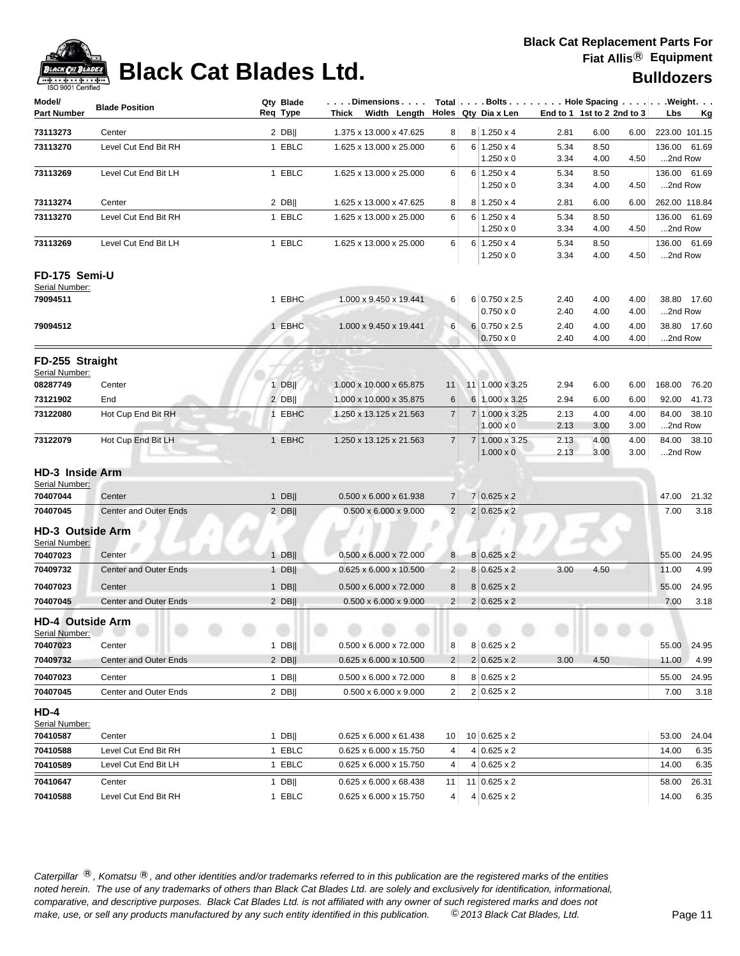

# **Black Cat Blades Ltd. Black Cat Blades Ltd. Black Cat Blades Ltd. Bulldozers**

| Model/                                      | <b>Blade Position</b>        | Qty Blade | Dimensions                         |                 |                |                                      |              |                            |              | Total $\vert \ldots$ Bolts $\ldots \vert \ldots$ Hole Spacing $\ldots \vert \ldots$ Weight. $\ldots$ |
|---------------------------------------------|------------------------------|-----------|------------------------------------|-----------------|----------------|--------------------------------------|--------------|----------------------------|--------------|------------------------------------------------------------------------------------------------------|
| <b>Part Number</b>                          |                              | Req Type  | Thick Width Length                 |                 |                | Holes Qty Dia x Len                  |              | End to 1 1st to 2 2nd to 3 |              | Lbs<br><u>Kg</u>                                                                                     |
| 73113273                                    | Center                       | $2$ DB    | 1.375 x 13.000 x 47.625            | 8               |                | $8 \mid 1.250 \times 4$              | 2.81         | 6.00                       | 6.00         | 223.00 101.15                                                                                        |
| 73113270                                    | Level Cut End Bit RH         | 1 EBLC    | 1.625 x 13.000 x 25.000            | 6               |                | $6 1.250 \times 4$                   | 5.34         | 8.50                       |              | 136.00<br>61.69                                                                                      |
|                                             |                              |           |                                    |                 |                | $1.250 \times 0$                     | 3.34         | 4.00                       | 4.50         | 2nd Row                                                                                              |
| 73113269                                    | Level Cut End Bit LH         | 1 EBLC    | 1.625 x 13.000 x 25.000            | 6               |                | $6 1.250 \times 4$                   | 5.34         | 8.50                       |              | 136.00 61.69                                                                                         |
|                                             |                              |           |                                    |                 |                | $1.250 \times 0$                     | 3.34         | 4.00                       | 4.50         | 2nd Row                                                                                              |
| 73113274                                    | Center                       | $2$ DB    | 1.625 x 13.000 x 47.625            | 8               |                | $8 1.250 \times 4$                   | 2.81         | 6.00                       | 6.00         | 262.00 118.84                                                                                        |
| 73113270                                    | Level Cut End Bit RH         | 1 EBLC    | 1.625 x 13.000 x 25.000            | 6               | 6              | $1.250 \times 4$<br>$1.250 \times 0$ | 5.34<br>3.34 | 8.50<br>4.00               | 4.50         | 136.00 61.69<br>2nd Row                                                                              |
| 73113269                                    | Level Cut End Bit LH         | 1 EBLC    | 1.625 x 13.000 x 25.000            | 6               |                | $6 1.250 \times 4$                   | 5.34         | 8.50                       |              | 136.00 61.69                                                                                         |
|                                             |                              |           |                                    |                 |                | $1.250 \times 0$                     | 3.34         | 4.00                       | 4.50         | 2nd Row                                                                                              |
| FD-175 Semi-U<br>Serial Number:<br>79094511 |                              | 1 EBHC    | 1.000 x 9.450 x 19.441             | 6               |                | 6 0.750 x 2.5                        | 2.40         | 4.00                       | 4.00         | 38.80 17.60                                                                                          |
|                                             |                              |           |                                    |                 |                | $0.750 \times 0$                     | 2.40         | 4.00                       | 4.00         | 2nd Row                                                                                              |
| 79094512                                    |                              | 1 EBHC    | 1.000 x 9.450 x 19.441             | 6               |                | 6 0.750 x 2.5                        | 2.40         | 4.00                       | 4.00         | 38.80 17.60                                                                                          |
|                                             |                              |           |                                    |                 |                | $0.750 \times 0$                     | 2.40         | 4.00                       | 4.00         | 2nd Row                                                                                              |
| FD-255 Straight<br>Serial Number:           |                              |           |                                    |                 |                |                                      |              |                            |              |                                                                                                      |
| 08287749                                    | Center                       | $1$ DB    | 1.000 x 10.000 x 65.875            | 11              |                | 11 1.000 x 3.25                      | 2.94         | 6.00                       | 6.00         | 168.00 76.20                                                                                         |
| 73121902                                    | End                          | $2$ DB    | 1.000 x 10.000 x 35.875            | 6               | 6              | 1.000 x 3.25                         | 2.94         | 6.00                       | 6.00         | 92.00 41.73                                                                                          |
| 73122080                                    | Hot Cup End Bit RH           | 1 EBHC    | 1.250 x 13.125 x 21.563            | $\overline{7}$  | $\overline{7}$ | 1.000 x 3.25                         | 2.13         | 4.00                       | 4.00         | 84.00<br>38.10                                                                                       |
|                                             |                              |           |                                    |                 |                | $1.000 \times 0$                     | 2.13         | 3.00                       | 3.00         | 2nd Row                                                                                              |
| 73122079                                    | Hot Cup End Bit LH           | 1 EBHC    | 1.250 x 13.125 x 21.563            | $\overline{7}$  |                | 7 1.000 x 3.25<br>$1.000 \times 0$   | 2.13<br>2.13 | 4.00<br>3.00               | 4.00<br>3.00 | 84.00<br>38.10<br>2nd Row                                                                            |
| <b>HD-3</b> Inside Arm                      |                              |           |                                    |                 |                |                                      |              |                            |              |                                                                                                      |
| Serial Number:                              |                              |           |                                    |                 |                |                                      |              |                            |              |                                                                                                      |
| 70407044                                    | Center                       | $1$ DB    | $0.500 \times 6.000 \times 61.938$ | $\overline{7}$  |                | $7 0.625 \times 2$                   |              |                            |              | 21.32<br>47.00                                                                                       |
| 70407045                                    | <b>Center and Outer Ends</b> | $2$ DB    | $0.500 \times 6.000 \times 9.000$  | $\overline{2}$  |                | $2 0.625 \times 2$                   |              |                            |              | 7.00<br>3.18                                                                                         |
| HD-3 Outside Arm<br>Serial Number:          |                              |           |                                    |                 |                |                                      |              |                            |              |                                                                                                      |
| 70407023                                    | Center                       | $1$ DB    | $0.500 \times 6.000 \times 72.000$ | 8               | 8              | $0.625 \times 2$                     |              |                            |              | 24.95<br>55.00                                                                                       |
| 70409732                                    | <b>Center and Outer Ends</b> | $1$ DB    | 0.625 x 6.000 x 10.500             | $\overline{2}$  | 8              | $0.625 \times 2$                     | 3.00         | 4.50                       |              | 4.99<br>11.00                                                                                        |
| 70407023                                    | Center                       | $1$ DB    | $0.500 \times 6.000 \times 72.000$ | 8               | 8              | $0.625 \times 2$                     |              |                            |              | 24.95<br>55.00                                                                                       |
| 70407045                                    | Center and Outer Ends        | $2$ DB    | $0.500 \times 6.000 \times 9.000$  | 2               | 2              | $0.625 \times 2$                     |              |                            |              | 3.18<br>7.00                                                                                         |
| <b>HD-4 Outside Arm</b><br>Serial Number:   | $\sim$<br>$\sim$             |           |                                    |                 |                |                                      |              |                            |              |                                                                                                      |
| 70407023                                    | Center                       | $1$ DB    | 0.500 x 6.000 x 72.000             | 8               |                | $8 0.625 \times 2$                   |              |                            |              | 24.95<br>55.00                                                                                       |
| 70409732                                    | <b>Center and Outer Ends</b> | $2$ DB    | 0.625 x 6.000 x 10.500             | $\overline{2}$  |                | $2 0.625 \times 2 $                  | 3.00         | 4.50                       |              | 4.99<br>11.00                                                                                        |
| 70407023                                    | Center                       | $1$ DB    | 0.500 x 6.000 x 72.000             | 8               |                | $8 0.625 \times 2$                   |              |                            |              | 55.00<br>24.95                                                                                       |
| 70407045                                    | Center and Outer Ends        | 2 DBII    | $0.500 \times 6.000 \times 9.000$  | $\overline{2}$  |                | $2 0.625 \times 2$                   |              |                            |              | 7.00<br>3.18                                                                                         |
| <b>HD-4</b><br>Serial Number:               |                              |           |                                    |                 |                |                                      |              |                            |              |                                                                                                      |
| 70410587                                    | Center                       | $1$ DB    | 0.625 x 6.000 x 61.438             | 10 <sup>1</sup> |                | $10 0.625 \times 2$                  |              |                            |              | 53.00<br>24.04                                                                                       |
| 70410588                                    | Level Cut End Bit RH         | 1 EBLC    | 0.625 x 6.000 x 15.750             | 4               |                | $4 0.625 \times 2$                   |              |                            |              | 14.00<br>6.35                                                                                        |
| 70410589                                    | Level Cut End Bit LH         | 1 EBLC    | 0.625 x 6.000 x 15.750             | 4               |                | $4 0.625 \times 2$                   |              |                            |              | 14.00<br>6.35                                                                                        |
| 70410647                                    | Center                       | 1 DB      | 0.625 x 6.000 x 68.438             | 11              |                | $11$ 0.625 x 2                       |              |                            |              | 58.00<br>26.31                                                                                       |
| 70410588                                    | Level Cut End Bit RH         | 1 EBLC    | 0.625 x 6.000 x 15.750             | 4               |                | $4 0.625 \times 2$                   |              |                            |              | 14.00<br>6.35                                                                                        |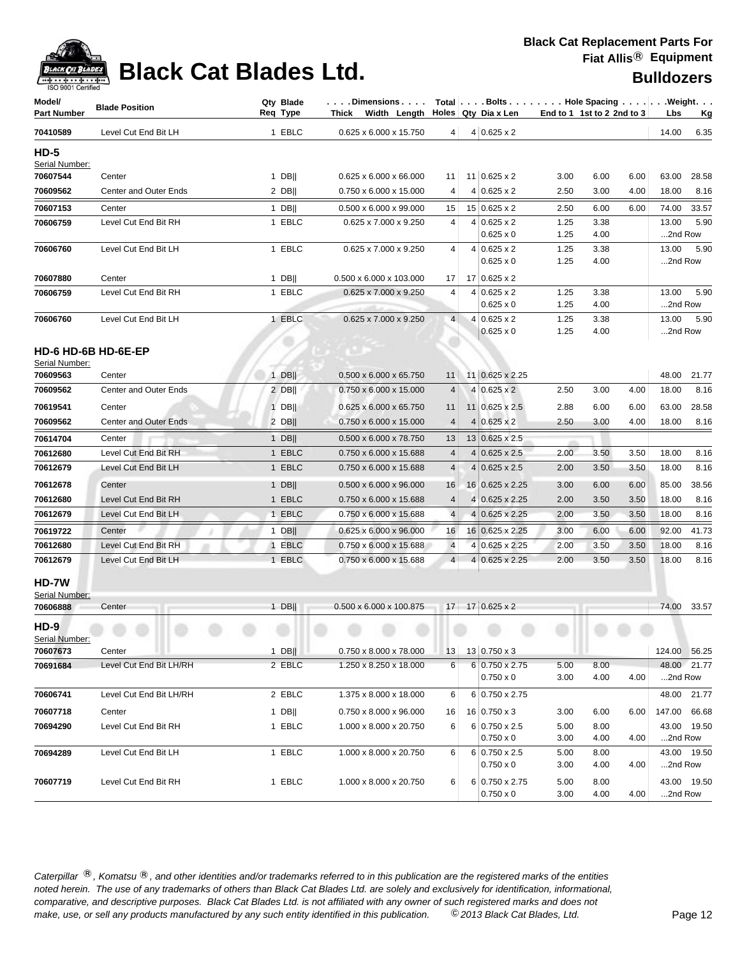

| Model/<br><b>Part Number</b>   | <b>Blade Position</b>        | Qty Blade<br>Req Type | Dimensions   Total   Bolts    Hole Spacing    Weight<br>Thick Width Length |                | Holes   Qty Dia x Len                     |              | End to 1 1st to 2 2nd to 3 |      | Lbs              | <u>Kg</u>   |
|--------------------------------|------------------------------|-----------------------|----------------------------------------------------------------------------|----------------|-------------------------------------------|--------------|----------------------------|------|------------------|-------------|
| 70410589                       | Level Cut End Bit LH         | 1 EBLC                | 0.625 x 6.000 x 15.750                                                     | 4              | $4 0.625 \times 2$                        |              |                            |      | 14.00            | 6.35        |
| <b>HD-5</b><br>Serial Number:  |                              |                       |                                                                            |                |                                           |              |                            |      |                  |             |
| 70607544                       | Center                       | $1$ DB                | 0.625 x 6.000 x 66.000                                                     | 11             | 11 0.625 x 2                              | 3.00         | 6.00                       | 6.00 | 63.00            | 28.58       |
| 70609562                       | <b>Center and Outer Ends</b> | $2$ DB                | 0.750 x 6.000 x 15.000                                                     | 4              | $4 0.625 \times 2$                        | 2.50         | 3.00                       | 4.00 | 18.00            | 8.16        |
| 70607153                       | Center                       | 1 DB                  | $0.500 \times 6.000 \times 99.000$                                         | 15             | $15 0.625 \times 2$                       | 2.50         | 6.00                       | 6.00 | 74.00            | 33.57       |
| 70606759                       | Level Cut End Bit RH         | 1 EBLC                | 0.625 x 7.000 x 9.250                                                      | 4              | $4 0.625 \times 2$                        | 1.25         | 3.38                       |      | 13.00            | 5.90        |
|                                |                              |                       |                                                                            |                | $0.625 \times 0$                          | 1.25         | 4.00                       |      | 2nd Row          |             |
| 70606760                       | Level Cut End Bit LH         | 1 EBLC                | 0.625 x 7.000 x 9.250                                                      | 4              | $4 0.625 \times 2$                        | 1.25         | 3.38                       |      | 13.00            | 5.90        |
|                                |                              |                       |                                                                            |                | $0.625 \times 0$                          | 1.25         | 4.00                       |      | 2nd Row          |             |
| 70607880                       | Center                       | $1$ DB                | 0.500 x 6.000 x 103.000                                                    | 17             | $17 0.625 \times 2$                       |              |                            |      |                  |             |
| 70606759                       | Level Cut End Bit RH         | 1 EBLC                | 0.625 x 7.000 x 9.250                                                      | 4              | $4 0.625 \times 2$                        | 1.25         | 3.38                       |      | 13.00            | 5.90        |
|                                |                              |                       |                                                                            |                | $0.625 \times 0$                          | 1.25         | 4.00                       |      | 2nd Row          |             |
| 70606760                       | Level Cut End Bit LH         | 1 EBLC                | 0.625 x 7.000 x 9.250                                                      | $\overline{4}$ | $4 0.625 \times 2$<br>$0.625 \times 0$    | 1.25<br>1.25 | 3.38<br>4.00               |      | 13.00<br>2nd Row | 5.90        |
|                                |                              |                       |                                                                            |                |                                           |              |                            |      |                  |             |
| HD-6 HD-6B HD-6E-EP            |                              |                       |                                                                            |                |                                           |              |                            |      |                  |             |
| Serial Number:<br>70609563     | Center                       | $1$ DB                | 0.500 x 6.000 x 65.750                                                     | 11             | 11 0.625 x 2.25                           |              |                            |      | 48.00            | 21.77       |
| 70609562                       | <b>Center and Outer Ends</b> | $2$ DB                | $0.750 \times 6.000 \times 15.000$                                         | 4              | $4 0.625 \times 2$                        | 2.50         | 3.00                       | 4.00 | 18.00            | 8.16        |
|                                |                              |                       |                                                                            |                |                                           |              |                            |      |                  |             |
| 70619541                       | Center                       | $1$ DB                | $0.625 \times 6.000 \times 65.750$                                         | 11             | 11 0.625 x 2.5                            | 2.88         | 6.00                       | 6.00 | 63.00            | 28.58       |
| 70609562                       | <b>Center and Outer Ends</b> | $2$ DB                | $0.750 \times 6.000 \times 15.000$                                         | $\overline{4}$ | $4 0.625 \times 2$                        | 2.50         | 3.00                       | 4.00 | 18.00            | 8.16        |
| 70614704                       | Center                       | $1$ DB                | $0.500 \times 6.000 \times 78.750$                                         | 13             | 13 0.625 x 2.5                            |              |                            |      |                  |             |
| 70612680                       | Level Cut End Bit RH         | 1 EBLC                | 0.750 x 6.000 x 15.688                                                     | $\overline{4}$ | $4 0.625 \times 2.5$                      | 2.00         | 3.50                       | 3.50 | 18.00            | 8.16        |
| 70612679                       | Level Cut End Bit LH         | 1 EBLC                | $0.750 \times 6.000 \times 15.688$                                         | $\overline{4}$ | $4 0.625 \times 2.5$                      | 2.00         | 3.50                       | 3.50 | 18.00            | 8.16        |
| 70612678                       | Center                       | $1$ DB                | $0.500 \times 6.000 \times 96.000$                                         | 16             | $16$ 0.625 x 2.25                         | 3.00         | 6.00                       | 6.00 | 85.00            | 38.56       |
| 70612680                       | Level Cut End Bit RH         | 1 EBLC                | $0.750 \times 6.000 \times 15.688$                                         | 4              | $\overline{4}$<br>$0.625 \times 2.25$     | 2.00         | 3.50                       | 3.50 | 18.00            | 8.16        |
| 70612679                       | Level Cut End Bit LH         | 1 EBLC                | $0.750 \times 6.000 \times 15.688$                                         | $\overline{4}$ | $0.625 \times 2.25$<br>4                  | 2.00         | 3.50                       | 3.50 | 18.00            | 8.16        |
| 70619722                       | Center                       | $1$ DB                | 0.625 x 6.000 x 96.000                                                     | 16             | 16 0.625 x 2.25                           | 3.00         | 6.00                       | 6.00 | 92.00            | 41.73       |
| 70612680                       | Level Cut End Bit RH         | 1 EBLC                | 0.750 x 6.000 x 15.688                                                     | $\overline{4}$ | 4 0.625 x 2.25                            | 2.00         | 3.50                       | 3.50 | 18.00            | 8.16        |
| 70612679                       | Level Cut End Bit LH         | 1 EBLC                | 0.750 x 6.000 x 15.688                                                     | $\overline{4}$ | $4 0.625 \times 2.25$                     | 2.00         | 3.50                       | 3.50 | 18.00            | 8.16        |
| <b>HD-7W</b><br>Serial Number: |                              |                       |                                                                            |                |                                           |              |                            |      |                  |             |
| 70606888                       | Center                       | 1 DB                  | $0.500 \times 6.000 \times 100.875$                                        |                | 17 17 0.625 x 2                           |              |                            |      | 74.00            | 33.57       |
| $HD-9$<br>Serial Number:       |                              |                       |                                                                            |                |                                           |              |                            |      |                  |             |
| 70607673                       | Center                       | $1$ DB                | $0.750 \times 8.000 \times 78.000$                                         | 13             | 13 0.750 x 3                              |              |                            |      | 124.00 56.25     |             |
| 70691684                       | Level Cut End Bit LH/RH      | 2 EBLC                | 1.250 x 8.250 x 18.000                                                     | 6              | $6 0.750 \times 2.75$                     | 5.00         | 8.00                       |      |                  | 48.00 21.77 |
|                                |                              |                       |                                                                            |                | $0.750 \times 0$                          | 3.00         | 4.00                       | 4.00 | 2nd Row          |             |
| 70606741                       | Level Cut End Bit LH/RH      | 2 EBLC                | 1.375 x 8.000 x 18.000                                                     | 6              | 6 0.750 x 2.75                            |              |                            |      |                  | 48.00 21.77 |
| 70607718                       | Center                       | $1$ DB                | 0.750 x 8.000 x 96.000                                                     | 16             | $16 0.750 \times 3$                       | 3.00         | 6.00                       | 6.00 | 147.00 66.68     |             |
| 70694290                       | Level Cut End Bit RH         | 1 EBLC                | 1.000 x 8.000 x 20.750                                                     | 6              | $6 0.750 \times 2.5$                      | 5.00         | 8.00                       |      |                  | 43.00 19.50 |
|                                |                              |                       |                                                                            |                | $0.750 \times 0$                          | 3.00         | 4.00                       | 4.00 | 2nd Row          |             |
| 70694289                       | Level Cut End Bit LH         | 1 EBLC                | 1.000 x 8.000 x 20.750                                                     | 6              | $6 0.750 \times 2.5$                      | 5.00         | 8.00                       |      |                  | 43.00 19.50 |
|                                |                              |                       |                                                                            |                | $0.750 \times 0$                          | 3.00         | 4.00                       | 4.00 | 2nd Row          |             |
| 70607719                       | Level Cut End Bit RH         | 1 EBLC                | 1.000 x 8.000 x 20.750                                                     | 6              | $6 0.750 \times 2.75$<br>$0.750 \times 0$ | 5.00<br>3.00 | 8.00<br>4.00               | 4.00 | 2nd Row          | 43.00 19.50 |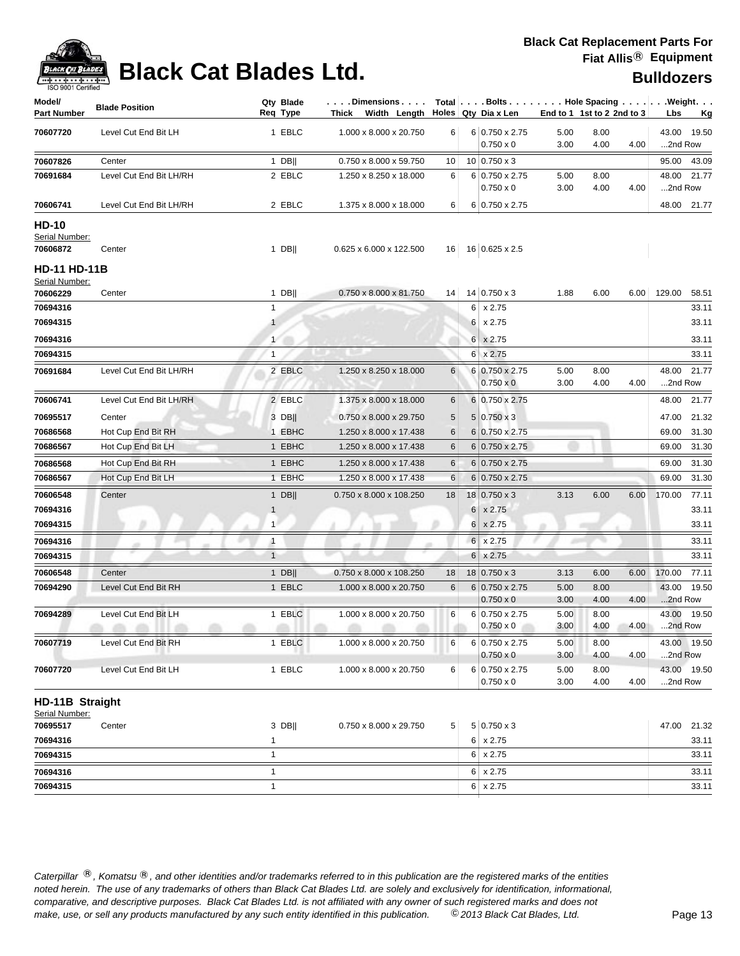

# **Black Cat Blades Ltd. Black Cat Blades Ltd. Black Cat Blades Ltd.**

| Model/<br><b>Part Number</b>          | <b>Blade Position</b>   | Qty Blade<br>Req Type | Dimensions<br>Width Length<br>Thick |                |          | Holes Qty Dia x Len                |              | End to 1 1st to 2 2nd to 3 |      | Total Bolts Hole Spacing Weight.<br>Lbs<br><u>Kg</u> |
|---------------------------------------|-------------------------|-----------------------|-------------------------------------|----------------|----------|------------------------------------|--------------|----------------------------|------|------------------------------------------------------|
| 70607720                              | Level Cut End Bit LH    | 1 EBLC                | 1.000 x 8.000 x 20.750              | 6              |          | 6 0.750 x 2.75<br>$0.750 \times 0$ | 5.00<br>3.00 | 8.00<br>4.00               | 4.00 | 43.00 19.50<br>2nd Row                               |
| 70607826                              | Center                  | $1$ DB                | 0.750 x 8.000 x 59.750              | 10             |          | $10$ 0.750 x 3                     |              |                            |      | 95.00 43.09                                          |
| 70691684                              | Level Cut End Bit LH/RH | 2 EBLC                | 1.250 x 8.250 x 18.000              | 6              |          | 6 0.750 x 2.75                     | 5.00         | 8.00                       |      | 48.00 21.77                                          |
|                                       |                         |                       |                                     |                |          | $0.750 \times 0$                   | 3.00         | 4.00                       | 4.00 | 2nd Row                                              |
| 70606741                              | Level Cut End Bit LH/RH | 2 EBLC                | 1.375 x 8.000 x 18.000              | 6              |          | 6 0.750 x 2.75                     |              |                            |      | 48.00 21.77                                          |
| <b>HD-10</b><br>Serial Number:        |                         |                       |                                     |                |          |                                    |              |                            |      |                                                      |
| 70606872                              | Center                  | $1$ DB                | 0.625 x 6.000 x 122.500             | 16             |          | 16 0.625 x 2.5                     |              |                            |      |                                                      |
| <b>HD-11 HD-11B</b><br>Serial Number: |                         |                       |                                     |                |          |                                    |              |                            |      |                                                      |
| 70606229                              | Center                  | 1 DB                  | 0.750 x 8.000 x 81.750              | 14             |          | $14$ 0.750 x 3                     | 1.88         | 6.00                       | 6.00 | 129.00<br>58.51                                      |
| 70694316                              |                         | 1                     |                                     |                |          | $6 \times 2.75$                    |              |                            |      | 33.11                                                |
| 70694315                              |                         | $\mathbf{1}$          |                                     |                |          | $6 \times 2.75$                    |              |                            |      | 33.11                                                |
| 70694316                              |                         | 1                     |                                     |                |          | $6 \times 2.75$                    |              |                            |      | 33.11                                                |
| 70694315                              |                         | 1                     |                                     |                |          | $6 \times 2.75$                    |              |                            |      | 33.11                                                |
| 70691684                              | Level Cut End Bit LH/RH | 2 EBLC                | 1.250 x 8.250 x 18.000              | 6              |          | 6 0.750 x 2.75                     | 5.00         | 8.00                       |      | 48.00 21.77                                          |
|                                       |                         |                       |                                     |                |          | $0.750 \times 0$                   | 3.00         | 4.00                       | 4.00 | 2nd Row                                              |
| 70606741                              | Level Cut End Bit LH/RH | 2 EBLC                | 1.375 x 8.000 x 18.000              | 6              |          | 6 0.750 x 2.75                     |              |                            |      | 48.00<br>21.77                                       |
| 70695517                              | Center                  | 3 DB                  | 0.750 x 8.000 x 29.750              | 5              |          | $5 0.750 \times 3$                 |              |                            |      | 21.32<br>47.00                                       |
| 70686568                              | Hot Cup End Bit RH      | 1 EBHC                | 1.250 x 8.000 x 17.438              | 6              |          | 6 0.750 x 2.75                     |              |                            |      | 31.30<br>69.00                                       |
| 70686567                              | Hot Cup End Bit LH      | 1 EBHC                | 1.250 x 8.000 x 17.438              | 6              |          | 6 0.750 x 2.75                     |              |                            |      | 31.30<br>69.00                                       |
| 70686568                              | Hot Cup End Bit RH      | 1 EBHC                | 1.250 x 8.000 x 17.438              | 6              |          | $6 0.750 \times 2.75$              |              |                            |      | 31.30<br>69.00                                       |
| 70686567                              | Hot Cup End Bit LH      | 1 EBHC                | 1.250 x 8.000 x 17.438              | 6              |          | $6 0.750 \times 2.75$              |              |                            |      | 69.00<br>31.30                                       |
| 70606548                              | Center                  | $1$ DB                | 0.750 x 8.000 x 108.250             | 18             |          | $18 0.750 \times 3$                | 3.13         | 6.00                       | 6.00 | 170.00<br>77.11                                      |
| 70694316                              |                         | $\mathbf{1}$          |                                     |                |          | $6 \times 2.75$                    |              |                            |      | 33.11                                                |
| 70694315                              |                         | 1                     |                                     |                |          | $6 \times 2.75$                    |              |                            |      | 33.11                                                |
| 70694316                              |                         | $\mathbf{1}$          |                                     |                |          | $6 \times 2.75$                    |              |                            |      | 33.11                                                |
| 70694315                              |                         | $\mathbf{1}$          |                                     |                | $6 \mid$ | x 2.75                             |              |                            |      | 33.11                                                |
| 70606548                              | Center                  | 1 DB                  | 0.750 x 8.000 x 108.250             | 18             |          | $18 0.750 \times 3$                | 3.13         | 6.00                       | 6.00 | 170.00<br>77.11                                      |
| 70694290                              | Level Cut End Bit RH    | 1 EBLC                | 1.000 x 8.000 x 20.750              | 6              |          | $6 0.750 \times 2.75$              | 5.00         | 8.00                       |      | 43.00 19.50                                          |
|                                       |                         |                       |                                     |                |          | $0.750 \times 0$                   | 3.00         | 4.00                       | 4.00 | 2nd Row                                              |
| 70694289                              | Level Cut End Bit LH    | 1 EBLC                | 1.000 x 8.000 x 20.750              | 6              |          | 6 0.750 x 2.75                     | 5.00         | 8.00                       |      | 43.00<br>19.50                                       |
|                                       | .<br>m                  | an i<br>m             | m<br>œ                              |                |          | $0.750 \times 0$                   | 3.00         | 4.00                       | 4.00 | 2nd Row                                              |
| 70607719                              | Level Cut End Bit RH    | 1 EBLC                | 1.000 x 8.000 x 20.750              | 6              |          | 6 0.750 x 2.75                     | 5.00         | 8.00                       |      | 43.00 19.50                                          |
|                                       |                         |                       |                                     |                |          | $0.750 \times 0$                   | 3.00         | 4.00                       | 4.00 | 2nd Row                                              |
| 70607720                              | Level Cut End Bit LH    | 1 EBLC                | 1.000 x 8.000 x 20.750              | 6              |          | 6 0.750 x 2.75<br>$0.750 \times 0$ | 5.00<br>3.00 | 8.00<br>4.00               | 4.00 | 43.00 19.50<br>2nd Row                               |
| HD-11B Straight                       |                         |                       |                                     |                |          |                                    |              |                            |      |                                                      |
| Serial Number:                        |                         |                       |                                     |                |          |                                    |              |                            |      |                                                      |
| 70695517                              | Center                  | 3 DB                  | 0.750 x 8.000 x 29.750              | 5 <sup>1</sup> |          | $5 0.750 \times 3$                 |              |                            |      | 47.00 21.32                                          |
| 70694316                              |                         | $\mathbf{1}$          |                                     |                |          | $6 \times 2.75$                    |              |                            |      | 33.11                                                |
| 70694315                              |                         | $\mathbf{1}$          |                                     |                |          | $6 \times 2.75$                    |              |                            |      | 33.11                                                |
| 70694316                              |                         | $\mathbf{1}$          |                                     |                |          | $6 \times 2.75$                    |              |                            |      | 33.11                                                |
| 70694315                              |                         | $\mathbf{1}$          |                                     |                |          | $6 \times 2.75$                    |              |                            |      | 33.11                                                |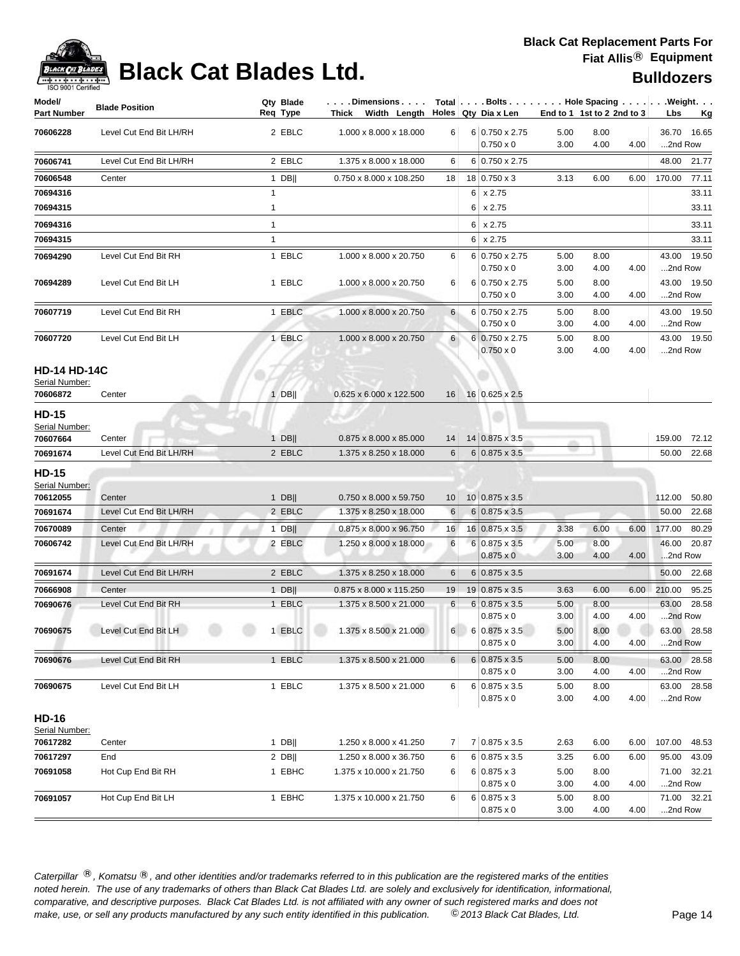

## **Black Cat Blades Ltd. Black Cat Blades Ltd. Bulldozers**

| Model/<br>Part Number                             | <b>Blade Position</b>   | Qty Blade<br>Req Type | . Dimensions<br>Width Length Holes Qty Dia x Len<br>Thick |    |   |                                           |              | End to 1 1st to 2 2nd to 3 |      | $Total   \ldots$ Bolts $\ldots   \ldots$ . Hole Spacing $\ldots   \ldots$ . Weight. $\ldots$<br>Lbs<br><u>Kg</u> |
|---------------------------------------------------|-------------------------|-----------------------|-----------------------------------------------------------|----|---|-------------------------------------------|--------------|----------------------------|------|------------------------------------------------------------------------------------------------------------------|
| 70606228                                          | Level Cut End Bit LH/RH | 2 EBLC                | 1.000 x 8.000 x 18.000                                    | 6  |   | 6 0.750 x 2.75<br>$0.750 \times 0$        | 5.00<br>3.00 | 8.00<br>4.00               | 4.00 | 36.70 16.65<br>2nd Row                                                                                           |
| 70606741                                          | Level Cut End Bit LH/RH | 2 EBLC                | 1.375 x 8.000 x 18.000                                    | 6  |   | 6 0.750 x 2.75                            |              |                            |      | 48.00 21.77                                                                                                      |
| 70606548                                          | Center                  | $1$ DB                | 0.750 x 8.000 x 108.250                                   | 18 |   | 18 0.750 x 3                              | 3.13         | 6.00                       | 6.00 | 77.11<br>170.00                                                                                                  |
| 70694316                                          |                         | $\mathbf{1}$          |                                                           |    |   | $6 \times 2.75$                           |              |                            |      | 33.11                                                                                                            |
| 70694315                                          |                         | $\mathbf{1}$          |                                                           |    |   | $6 \times 2.75$                           |              |                            |      | 33.11                                                                                                            |
| 70694316                                          |                         | $\mathbf{1}$          |                                                           |    | 6 | x 2.75                                    |              |                            |      | 33.11                                                                                                            |
| 70694315                                          |                         | $\mathbf{1}$          |                                                           |    |   | $6 \times 2.75$                           |              |                            |      | 33.11                                                                                                            |
| 70694290                                          | Level Cut End Bit RH    | 1 EBLC                | 1.000 x 8.000 x 20.750                                    | 6  |   | 6 0.750 x 2.75<br>$0.750 \times 0$        | 5.00<br>3.00 | 8.00<br>4.00               | 4.00 | 43.00<br>19.50<br>2nd Row                                                                                        |
| 70694289                                          | Level Cut End Bit LH    | 1 EBLC                | 1.000 x 8.000 x 20.750                                    | 6  |   | 6 0.750 x 2.75<br>$0.750 \times 0$        | 5.00<br>3.00 | 8.00<br>4.00               | 4.00 | 43.00 19.50<br>2nd Row                                                                                           |
| 70607719                                          | Level Cut End Bit RH    | 1 EBLC                | 1.000 x 8.000 x 20.750                                    | 6  |   | 6 0.750 x 2.75<br>$0.750 \times 0$        | 5.00<br>3.00 | 8.00<br>4.00               | 4.00 | 43.00 19.50<br>2nd Row                                                                                           |
| 70607720                                          | Level Cut End Bit LH    | 1 EBLC                | 1.000 x 8.000 x 20.750                                    | 6  |   | $6 0.750 \times 2.75$<br>$0.750 \times 0$ | 5.00<br>3.00 | 8.00<br>4.00               | 4.00 | 43.00 19.50<br>2nd Row                                                                                           |
| <b>HD-14 HD-14C</b><br>Serial Number:<br>70606872 | Center                  | $1$ DB                | 0.625 x 6.000 x 122.500                                   | 16 |   | 16 0.625 x 2.5                            |              |                            |      |                                                                                                                  |
| <b>HD-15</b><br>Serial Number:<br>70607664        | Center                  | $1$ DB                | 0.875 x 8.000 x 85.000                                    | 14 |   | 14 0.875 x 3.5                            |              |                            |      | 159.00<br>72.12                                                                                                  |
| 70691674                                          | Level Cut End Bit LH/RH | 2 EBLC                | 1.375 x 8.250 x 18.000                                    | 6  |   | $6 0.875 \times 3.5$                      |              |                            |      | 50.00<br>22.68                                                                                                   |
| <b>HD-15</b><br>Serial Number:<br>70612055        | Center                  | $1$ DB                | 0.750 x 8.000 x 59.750                                    | 10 |   | $10 0.875 \times 3.5$                     |              |                            |      | 112.00<br>50.80                                                                                                  |
| 70691674                                          | Level Cut End Bit LH/RH | 2 EBLC                | 1.375 x 8.250 x 18.000                                    | 6  |   | $6 0.875 \times 3.5$                      |              |                            |      | 50.00<br>22.68                                                                                                   |
| 70670089                                          | Center                  | $1$ DB                | 0.875 x 8.000 x 96.750                                    | 16 |   | 16 0.875 x 3.5                            | 3.38         | 6.00                       | 6.00 | 177.00<br>80.29                                                                                                  |
| 70606742                                          | Level Cut End Bit LH/RH | 2 EBLC                | 1.250 x 8.000 x 18.000                                    | 6  |   | $6 0.875 \times 3.5$<br>$0.875 \times 0$  | 5.00<br>3.00 | 8.00<br>4.00               | 4.00 | 46.00<br>20.87<br>2nd Row                                                                                        |
| 70691674                                          | Level Cut End Bit LH/RH | 2 EBLC                | 1.375 x 8.250 x 18.000                                    | 6  |   | $6 0.875 \times 3.5$                      |              |                            |      | 22.68<br>50.00                                                                                                   |
| 70666908                                          | Center                  | $1$ DB                | 0.875 x 8.000 x 115.250                                   | 19 |   | 19 0.875 x 3.5                            | 3.63         | 6.00                       | 6.00 | 210.00<br>95.25                                                                                                  |
| 70690676                                          | Level Cut End Bit RH    | 1 EBLC                | 1.375 x 8.500 x 21.000                                    | 6  |   | $6 0.875 \times 3.5$<br>$0.875 \times 0$  | 5.00<br>3.00 | 8.00<br>4.00               | 4.00 | 63.00<br>28.58<br>2nd Row                                                                                        |
| 70690675                                          | Level Cut End Bit LH    | 1 EBLC                | 1.375 x 8.500 x 21.000                                    | 6  |   | 6 0.875 x 3.5<br>$0.875 \times 0$         | 5.00<br>3.00 | 8.00<br>4.00               | 4.00 | 63.00 28.58<br>2nd Row                                                                                           |
| 70690676                                          | Level Cut End Bit RH    | 1 EBLC                | 1.375 x 8.500 x 21.000                                    | 6  |   | $6 0.875 \times 3.5$                      | 5.00         | 8.00                       |      | 63.00 28.58                                                                                                      |
|                                                   |                         |                       |                                                           |    |   | $0.875 \times 0$                          | 3.00         | 4.00                       | 4.00 | 2nd Row                                                                                                          |
| 70690675                                          | Level Cut End Bit LH    | 1 EBLC                | 1.375 x 8.500 x 21.000                                    | 6  |   | $6 0.875 \times 3.5$<br>$0.875 \times 0$  | 5.00<br>3.00 | 8.00<br>4.00               | 4.00 | 63.00 28.58<br>2nd Row                                                                                           |
| <b>HD-16</b><br>Serial Number:                    |                         |                       |                                                           |    |   |                                           |              |                            |      |                                                                                                                  |
| 70617282                                          | Center                  | $1$ DB                | 1.250 x 8.000 x 41.250                                    | 7  |   | 7 0.875 x 3.5                             | 2.63         | 6.00                       | 6.00 | 107.00<br>48.53                                                                                                  |
| 70617297                                          | End                     | $2$ DB                | 1.250 x 8.000 x 36.750                                    | 6  |   | $6 0.875 \times 3.5$                      | 3.25         | 6.00                       | 6.00 | 95.00<br>43.09                                                                                                   |
| 70691058                                          | Hot Cup End Bit RH      | 1 EBHC                | 1.375 x 10.000 x 21.750                                   | 6  |   | $6 0.875 \times 3$<br>$0.875 \times 0$    | 5.00<br>3.00 | 8.00<br>4.00               | 4.00 | 71.00 32.21<br>2nd Row                                                                                           |
| 70691057                                          | Hot Cup End Bit LH      | 1 EBHC                | 1.375 x 10.000 x 21.750                                   | 6  |   | $6 0.875 \times 3$<br>$0.875 \times 0$    | 5.00<br>3.00 | 8.00<br>4.00               | 4.00 | 71.00 32.21<br>2nd Row                                                                                           |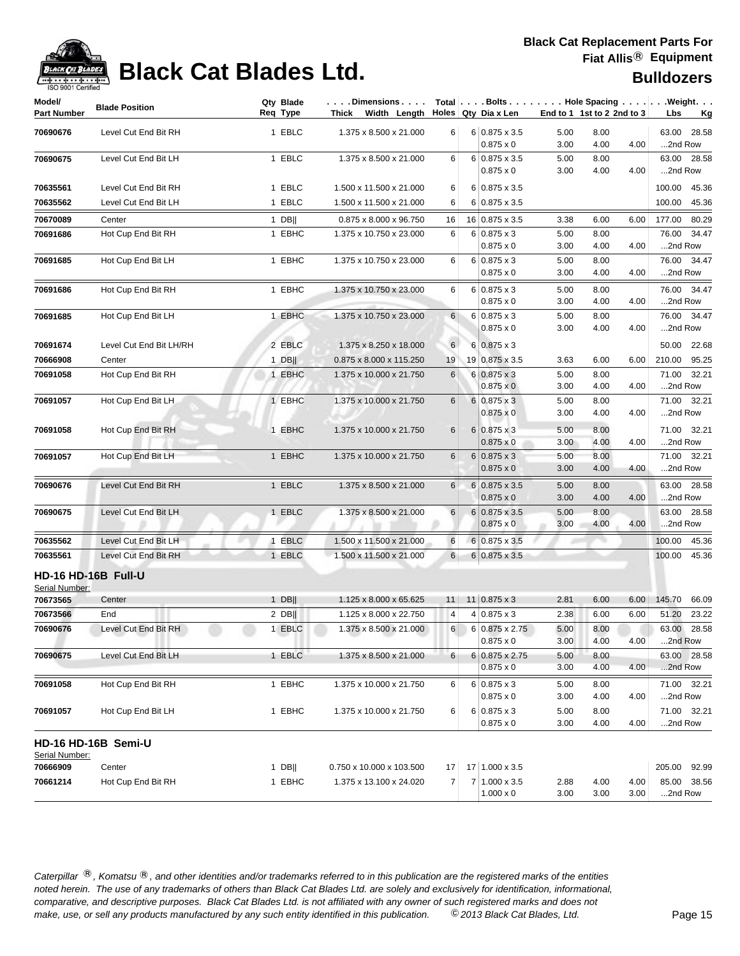

| Model/<br><b>Part Number</b>          | <b>Blade Position</b>       | Qty Blade<br>Req Type | . Dimensions  <br>Thick Width Length Holes Qty Dia x Len |                 | Total   Bolts   Hole Spacing   Weight.                        |                      | End to 1 1st to 2 2nd to 3 |              | Lbs                | <u>Kg</u>            |
|---------------------------------------|-----------------------------|-----------------------|----------------------------------------------------------|-----------------|---------------------------------------------------------------|----------------------|----------------------------|--------------|--------------------|----------------------|
| 70690676                              | Level Cut End Bit RH        | 1 EBLC                | 1.375 x 8.500 x 21.000                                   | 6               | $6 0.875 \times 3.5$<br>$0.875 \times 0$                      | 5.00<br>3.00         | 8.00<br>4.00               | 4.00         | 2nd Row            | 63.00 28.58          |
| 70690675                              | Level Cut End Bit LH        | 1 EBLC                | 1.375 x 8.500 x 21.000                                   | 6               | $6 0.875 \times 3.5$<br>$0.875 \times 0$                      | 5.00<br>3.00         | 8.00<br>4.00               | 4.00         | 2nd Row            | 63.00 28.58          |
| 70635561                              | Level Cut End Bit RH        | 1 EBLC                | 1.500 x 11.500 x 21.000                                  | 6               | $6 0.875 \times 3.5$                                          |                      |                            |              | 100.00             | 45.36                |
| 70635562                              | Level Cut End Bit LH        | 1 EBLC                | 1.500 x 11.500 x 21.000                                  | 6               | 6 0.875 x 3.5                                                 |                      |                            |              | 100.00             | 45.36                |
| 70670089                              | Center                      | $1$ DB                | 0.875 x 8.000 x 96.750                                   | 16              | 16 0.875 x 3.5                                                | 3.38                 | 6.00                       | 6.00         | 177.00             | 80.29                |
| 70691686                              | Hot Cup End Bit RH          | 1 EBHC                | 1.375 x 10.750 x 23.000                                  | 6               | $6 0.875 \times 3$<br>$0.875 \times 0$                        | 5.00<br>3.00         | 8.00<br>4.00               | 4.00         | 76.00<br>2nd Row   | 34.47                |
| 70691685                              | Hot Cup End Bit LH          | 1 EBHC                | 1.375 x 10.750 x 23.000                                  | 6               | $6 0.875 \times 3$<br>$0.875 \times 0$                        | 5.00<br>3.00         | 8.00<br>4.00               | 4.00         | 2nd Row            | 76.00 34.47          |
| 70691686                              | Hot Cup End Bit RH          | 1 EBHC                | 1.375 x 10.750 x 23.000                                  | 6               | $6 0.875 \times 3$<br>$0.875 \times 0$                        | 5.00<br>3.00         | 8.00<br>4.00               | 4.00         | 2nd Row            | 76.00 34.47          |
| 70691685                              | Hot Cup End Bit LH          | 1 EBHC                | 1.375 x 10.750 x 23.000                                  | $6\overline{6}$ | $6 0.875 \times 3$<br>$0.875 \times 0$                        | 5.00<br>3.00         | 8.00<br>4.00               | 4.00         | 2nd Row            | 76.00 34.47          |
| 70691674                              | Level Cut End Bit LH/RH     | 2 EBLC                | 1.375 x 8.250 x 18.000                                   | $6 \mid$        | $6 0.875 \times 3$                                            |                      |                            |              |                    | 50.00 22.68          |
| 70666908                              | Center                      | $1$ DB                | 0.875 x 8.000 x 115.250                                  | 19              | 19 0.875 x 3.5                                                | 3.63                 | 6.00                       | 6.00         | 210.00             | 95.25                |
| 70691058                              | Hot Cup End Bit RH          | 1 EBHC                | 1.375 x 10.000 x 21.750                                  | 6               | $6 0.875 \times 3$<br>$0.875 \times 0$                        | 5.00<br>3.00         | 8.00<br>4.00               | 4.00         | 2nd Row            | 71.00 32.21          |
| 70691057                              | Hot Cup End Bit LH          | 1 EBHC                | 1.375 x 10.000 x 21.750                                  | 6               | $6 0.875 \times 3$<br>$0.875 \times 0$                        | 5.00<br>3.00         | 8.00<br>4.00               | 4.00         | 2nd Row            | 71.00 32.21          |
| 70691058                              | Hot Cup End Bit RH          | 1 EBHC                | 1.375 x 10.000 x 21.750                                  | 6               | $6 0.875 \times 3$<br>$0.875 \times 0$                        | 5.00<br>3.00         | 8.00<br>4.00               | 4.00         | 2nd Row            | 71.00 32.21          |
| 70691057                              | Hot Cup End Bit LH          | 1 EBHC                | 1.375 x 10.000 x 21.750                                  | 6               | $6 0.875 \times 3$<br>$0.875 \times 0$                        | 5.00<br>3.00         | 8.00<br>4.00               | 4.00         | 2nd Row            | 71.00 32.21          |
| 70690676                              | Level Cut End Bit RH        | 1 EBLC                | 1.375 x 8.500 x 21.000                                   | 6               | $6 0.875 \times 3.5$<br>$0.875 \times 0$                      | 5.00<br>3.00         | 8.00<br>4.00               | 4.00         | 2nd Row            | 63.00 28.58          |
| 70690675                              | Level Cut End Bit LH        | 1 EBLC                | 1.375 x 8.500 x 21.000                                   | 6               | $6 0.875 \times 3.5$<br>$0.875 \times 0$                      | 5.00<br>3.00         | 8.00<br>4.00               | 4.00         | 2nd Row            | 63.00 28.58          |
| 70635562                              | Level Cut End Bit LH        | 1 EBLC                | 1.500 x 11.500 x 21.000                                  | 6               | $6 0.875 \times 3.5$                                          |                      |                            |              | 100.00             | 45.36                |
| 70635561                              | Level Cut End Bit RH        | 1 EBLC                | 1.500 x 11.500 x 21.000                                  | 6               | $6 0.875 \times 3.5$                                          |                      |                            |              | 100.00             | 45.36                |
| HD-16 HD-16B Full-U<br>Serial Number: |                             |                       |                                                          |                 |                                                               |                      |                            |              |                    |                      |
| 70673565                              | Center                      | $1$ DB                | 1.125 x 8.000 x 65.625                                   | 11              | $11$ 0.875 x 3                                                | 2.81                 | 6.00                       | 6.00         | 145.70             | 66.09                |
| 70673566<br>70690676                  | End<br>Level Cut End Bit RH | $2$ DB  <br>1 EBLC    | 1.125 x 8.000 x 22.750<br>1.375 x 8.500 x 21.000         | 4<br>6          | $4 0.875 \times 3$<br>6 0.875 x 2.75                          | 2.38<br>5.00         | 6.00<br>8.00               | 6.00         | 51.20              | 23.22<br>63.00 28.58 |
| 70690675                              | Level Cut End Bit LH        | 1 EBLC                | 1.375 x 8.500 x 21.000                                   | 6               | $0.875 \times 0$<br>$6 0.875 \times 2.75$<br>$0.875 \times 0$ | 3.00<br>5.00<br>3.00 | 4.00<br>8.00<br>4.00       | 4.00<br>4.00 | 2nd Row<br>2nd Row | 63.00 28.58          |
| 70691058                              | Hot Cup End Bit RH          | 1 EBHC                | 1.375 x 10.000 x 21.750                                  | 6               | $6 0.875 \times 3$<br>$0.875 \times 0$                        | 5.00<br>3.00         | 8.00<br>4.00               | 4.00         | 2nd Row            | 71.00 32.21          |
| 70691057                              | Hot Cup End Bit LH          | 1 EBHC                | 1.375 x 10.000 x 21.750                                  | 6               | $6 0.875 \times 3$<br>$0.875 \times 0$                        | 5.00<br>3.00         | 8.00<br>4.00               | 4.00         | 2nd Row            | 71.00 32.21          |
| Serial Number:                        | HD-16 HD-16B Semi-U         |                       |                                                          |                 |                                                               |                      |                            |              |                    |                      |
| 70666909                              | Center                      | $1$ DB                | 0.750 x 10.000 x 103.500                                 | 17              | 17 1.000 x 3.5                                                |                      |                            |              | 205.00 92.99       |                      |
| 70661214                              | Hot Cup End Bit RH          | 1 EBHC                | 1.375 x 13.100 x 24.020                                  | $\overline{7}$  | 7 1.000 x 3.5<br>$1.000 \times 0$                             | 2.88<br>3.00         | 4.00<br>3.00               | 4.00<br>3.00 | 2nd Row            | 85.00 38.56          |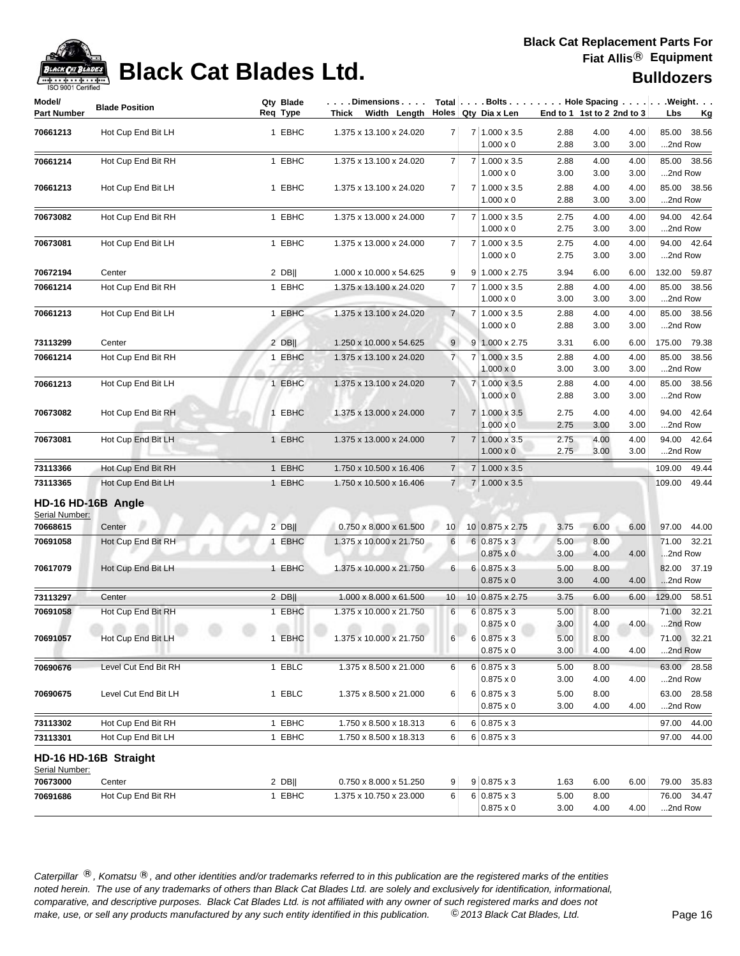

# **Black Cat Blades Ltd. Black Cat Blades Ltd.**

| <b>Bulldozers</b> |
|-------------------|
|-------------------|

| Model/<br><b>Part Number</b> | <b>Blade Position</b>    |             | Qty Blade<br>Req Type | $\ldots$ . Dimensions $\ldots$ .<br>Thick Width Length |                 |                | Holes Qty Dia x Len                         | End to 1 1st to 2 2nd to 3 |              |              | $Total   \ldots$ Bolts $\ldots   \ldots$ . Hole Spacing $\ldots   \ldots$ . Weight. $\ldots$<br>Lbs<br><u>Kg</u> |
|------------------------------|--------------------------|-------------|-----------------------|--------------------------------------------------------|-----------------|----------------|---------------------------------------------|----------------------------|--------------|--------------|------------------------------------------------------------------------------------------------------------------|
| 70661213                     | Hot Cup End Bit LH       |             | 1 EBHC                | 1.375 x 13.100 x 24.020                                | $\overline{7}$  |                | 7 1.000 x 3.5                               | 2.88                       | 4.00         | 4.00         | 85.00 38.56                                                                                                      |
|                              |                          |             |                       |                                                        |                 |                | $1.000 \times 0$                            | 2.88                       | 3.00         | 3.00         | 2nd Row                                                                                                          |
| 70661214                     | Hot Cup End Bit RH       |             | 1 EBHC                | 1.375 x 13.100 x 24.020                                | 7               | $\overline{7}$ | $1.000 \times 3.5$                          | 2.88                       | 4.00         | 4.00         | 85.00 38.56                                                                                                      |
|                              |                          |             |                       |                                                        |                 |                | $1.000 \times 0$                            | 3.00                       | 3.00         | 3.00         | 2nd Row                                                                                                          |
| 70661213                     | Hot Cup End Bit LH       |             | 1 EBHC                | 1.375 x 13.100 x 24.020                                | $\overline{7}$  |                | 7 1.000 x 3.5                               | 2.88                       | 4.00         | 4.00         | 85.00 38.56                                                                                                      |
|                              |                          |             |                       |                                                        |                 |                | $1.000 \times 0$                            | 2.88                       | 3.00         | 3.00         | 2nd Row                                                                                                          |
| 70673082                     | Hot Cup End Bit RH       |             | 1 EBHC                | 1.375 x 13.000 x 24.000                                | $\overline{7}$  |                | 7 1.000 x 3.5                               | 2.75                       | 4.00         | 4.00         | 94.00 42.64                                                                                                      |
|                              |                          |             |                       |                                                        |                 |                | $1.000 \times 0$                            | 2.75                       | 3.00         | 3.00         | 2nd Row                                                                                                          |
| 70673081                     | Hot Cup End Bit LH       |             | 1 EBHC                | 1.375 x 13.000 x 24.000                                | 7               |                | $7 1.000 \times 3.5$                        | 2.75                       | 4.00         | 4.00         | 94.00 42.64                                                                                                      |
|                              |                          |             |                       |                                                        |                 |                | $1.000 \times 0$                            | 2.75                       | 3.00         | 3.00         | 2nd Row                                                                                                          |
| 70672194                     | Center                   |             | $2$ DB                | 1.000 x 10.000 x 54.625                                | 9               |                | $9 1.000 \times 2.75$                       | 3.94                       | 6.00         | 6.00         | 132.00 59.87                                                                                                     |
| 70661214                     | Hot Cup End Bit RH       |             | 1 EBHC                | 1.375 x 13.100 x 24.020                                | $\overline{7}$  |                | $7 1.000 \times 3.5$<br>$1.000 \times 0$    | 2.88<br>3.00               | 4.00<br>3.00 | 4.00<br>3.00 | 85.00 38.56<br>2nd Row                                                                                           |
| 70661213                     | Hot Cup End Bit LH       |             | 1 EBHC                | 1.375 x 13.100 x 24.020                                | $\overline{7}$  |                | $7 1.000 \times 3.5$                        | 2.88                       | 4.00         | 4.00         | 85.00 38.56                                                                                                      |
|                              |                          |             |                       |                                                        |                 |                | $1.000 \times 0$                            | 2.88                       | 3.00         | 3.00         | 2nd Row                                                                                                          |
| 73113299                     | Center                   |             | $2$ DB                | 1.250 x 10.000 x 54.625                                | 9               |                | $9 1.000 \times 2.75$                       | 3.31                       | 6.00         | 6.00         | 175.00 79.38                                                                                                     |
| 70661214                     | Hot Cup End Bit RH       |             | 1 EBHC                | 1.375 x 13.100 x 24.020                                | $\overline{7}$  | $\overline{7}$ | 1.000 x 3.5                                 | 2.88                       | 4.00         | 4.00         | 85.00 38.56                                                                                                      |
|                              |                          |             |                       |                                                        |                 |                | $1.000 \times 0$                            | 3.00                       | 3.00         | 3.00         | 2nd Row                                                                                                          |
| 70661213                     | Hot Cup End Bit LH       |             | 1 EBHC                | 1.375 x 13.100 x 24.020                                | $\overline{7}$  |                | 7 1.000 x 3.5                               | 2.88                       | 4.00         | 4.00         | 85.00 38.56                                                                                                      |
|                              |                          |             |                       |                                                        |                 |                | $1.000 \times 0$                            | 2.88                       | 3.00         | 3.00         | 2nd Row                                                                                                          |
| 70673082                     | Hot Cup End Bit RH       |             | 1 EBHC                | 1.375 x 13.000 x 24.000                                | $\overline{7}$  |                | 7 1.000 x 3.5                               | 2.75                       | 4.00         | 4.00         | 94.00 42.64                                                                                                      |
|                              |                          |             |                       |                                                        |                 |                | $1.000 \times 0$                            | 2.75                       | 3.00         | 3.00         | 2nd Row                                                                                                          |
| 70673081                     | Hot Cup End Bit LH       |             | 1 EBHC                | 1.375 x 13.000 x 24.000                                | $\overline{7}$  |                | $7 1.000 \times 3.5$                        | 2.75                       | 4.00         | 4.00         | 94.00 42.64                                                                                                      |
|                              |                          |             |                       |                                                        |                 |                | $1.000 \times 0$                            | 2.75                       | 3.00         | 3.00         | 2nd Row                                                                                                          |
| 73113366                     | Hot Cup End Bit RH       |             | 1 EBHC                | 1.750 x 10.500 x 16.406                                | $\overline{7}$  |                | $7 1.000 \times 3.5$                        |                            |              |              | 109.00<br>49.44                                                                                                  |
| 73113365                     | Hot Cup End Bit LH       |             | 1 EBHC                | 1.750 x 10.500 x 16.406                                | 7 <sup>1</sup>  | $\overline{7}$ | $1.000 \times 3.5$                          |                            |              |              | 109.00<br>49.44                                                                                                  |
|                              | HD-16 HD-16B Angle       |             |                       |                                                        |                 |                |                                             |                            |              |              |                                                                                                                  |
| Serial Number:               |                          |             |                       |                                                        |                 |                |                                             |                            |              |              |                                                                                                                  |
| 70668615                     | Center                   |             | $2$ DB                | $0.750 \times 8.000 \times 61.500$                     | 10 <sup>1</sup> |                | 10 0.875 x 2.75                             | 3.75                       | 6.00         | 6.00         | 97.00 44.00                                                                                                      |
| 70691058                     | Hot Cup End Bit RH       |             | 1 EBHC                | 1.375 x 10.000 x 21.750                                | 6               |                | $6 0.875 \times 3$<br>$0.875 \times 0$      | 5.00<br>3.00               | 8.00<br>4.00 | 4.00         | 71.00 32.21<br>2nd Row                                                                                           |
| 70617079                     | Hot Cup End Bit LH       |             | 1 EBHC                | 1.375 x 10.000 x 21.750                                | 6               |                | $6 0.875 \times 3$                          | 5.00                       | 8.00         |              | 82.00 37.19                                                                                                      |
|                              |                          |             |                       |                                                        |                 |                | $0.875 \times 0$                            | 3.00                       | 4.00         | 4.00         | 2nd Row                                                                                                          |
| 73113297                     | Center                   |             | $2$ DB                | 1.000 x 8.000 x 61.500                                 | 10              |                | $10 0.875 \times 2.75$                      | 3.75                       | 6.00         | 6.00         | 129.00 58.51                                                                                                     |
| 70691058                     | Hot Cup End Bit RH       |             | 1 EBHC                | 1.375 x 10.000 x 21.750                                | 6               |                | $6 0.875 \times 3$                          | 5.00                       | 8.00         |              | 71.00<br>32.21                                                                                                   |
|                              | allow the same<br>at the | m<br>all in | all in                | m<br>all life                                          |                 |                | $0.875 \times 0$                            | 3.00                       | 4.00         | 4.00         | 2nd Row                                                                                                          |
| 70691057                     | Hot Cup End Bit LH       |             | 1 EBHC                | 1.375 x 10.000 x 21.750                                | 6               |                | $6 0.875 \times 3$                          | 5.00                       | 8.00         |              | 71.00 32.21                                                                                                      |
|                              |                          |             |                       |                                                        |                 |                | $0.875 \times 0$                            | 3.00                       | 4.00         | 4.00         | 2nd Row                                                                                                          |
| 70690676                     | Level Cut End Bit RH     |             | 1 EBLC                | 1.375 x 8.500 x 21.000                                 | 6               |                | $6 0.875 \times 3$                          | 5.00                       | 8.00         |              | 63.00 28.58                                                                                                      |
|                              |                          |             |                       |                                                        |                 |                | $0.875 \times 0$                            | 3.00                       | 4.00         | 4.00         | 2nd Row                                                                                                          |
| 70690675                     | Level Cut End Bit LH     |             | 1 EBLC                | 1.375 x 8.500 x 21.000                                 | 6               |                | $6 0.875 \times 3$                          | 5.00<br>3.00               | 8.00<br>4.00 | 4.00         | 63.00 28.58                                                                                                      |
|                              |                          |             |                       |                                                        |                 |                | $0.875 \times 0$                            |                            |              |              | 2nd Row                                                                                                          |
| 73113302                     | Hot Cup End Bit RH       |             | 1 EBHC                | 1.750 x 8.500 x 18.313                                 | 6               |                | $6 0.875 \times 3$                          |                            |              |              | 44.00<br>97.00                                                                                                   |
| 73113301                     | Hot Cup End Bit LH       |             | 1 EBHC                | 1.750 x 8.500 x 18.313                                 | 6               |                | $6 0.875 \times 3$                          |                            |              |              | 97.00<br>44.00                                                                                                   |
| Serial Number:               | HD-16 HD-16B Straight    |             |                       |                                                        |                 |                |                                             |                            |              |              |                                                                                                                  |
| 70673000                     | Center                   |             | $2$ DB                | 0.750 x 8.000 x 51.250                                 | 9               |                | $9 0.875 \times 3$                          | 1.63                       | 6.00         | 6.00         | 79.00 35.83                                                                                                      |
| 70691686                     | Hot Cup End Bit RH       |             | 1 EBHC                | 1.375 x 10.750 x 23.000                                | 6               |                | $6 \mid 0.875 \times 3$<br>$0.875 \times 0$ | 5.00<br>3.00               | 8.00<br>4.00 | 4.00         | 76.00 34.47<br>2nd Row                                                                                           |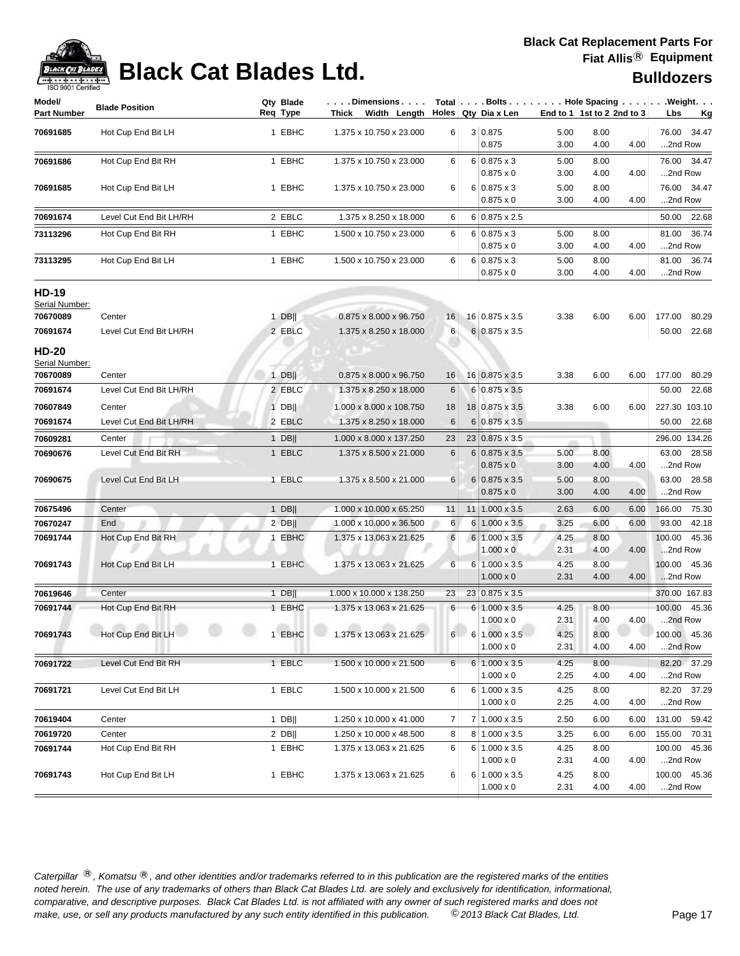

| Model/<br><b>Part Number</b>               | <b>Blade Position</b>   | Qty Blade<br>Req Type | . Dimensions<br>Thick Width Length |          | Holes Qty Dia x Len                            | End to 1 1st to 2 2nd to 3 |              |      | $Total   \ldots$ Bolts $\dots   \ldots$ . Hole Spacing $\dots   \ldots$ . Weight. $\dots$<br>Lbs<br><u>Kg</u> |
|--------------------------------------------|-------------------------|-----------------------|------------------------------------|----------|------------------------------------------------|----------------------------|--------------|------|---------------------------------------------------------------------------------------------------------------|
| 70691685                                   | Hot Cup End Bit LH      | 1 EBHC                | 1.375 x 10.750 x 23.000            | 6        | 3 0.875<br>0.875                               | 5.00<br>3.00               | 8.00<br>4.00 | 4.00 | 76.00 34.47<br>2nd Row                                                                                        |
| 70691686                                   | Hot Cup End Bit RH      | 1 EBHC                | 1.375 x 10.750 x 23.000            | 6        | $6 0.875 \times 3$<br>$0.875 \times 0$         | 5.00<br>3.00               | 8.00<br>4.00 | 4.00 | 76.00 34.47<br>2nd Row                                                                                        |
| 70691685                                   | Hot Cup End Bit LH      | 1 EBHC                | 1.375 x 10.750 x 23.000            | 6        | $6 0.875 \times 3$<br>$0.875 \times 0$         | 5.00<br>3.00               | 8.00<br>4.00 | 4.00 | 76.00 34.47<br>2nd Row                                                                                        |
| 70691674                                   | Level Cut End Bit LH/RH | 2 EBLC                | 1.375 x 8.250 x 18.000             | 6        | $6 0.875 \times 2.5$                           |                            |              |      | 50.00 22.68                                                                                                   |
| 73113296                                   | Hot Cup End Bit RH      | 1 EBHC                | 1.500 x 10.750 x 23.000            | 6        | $6 0.875 \times 3$<br>$0.875 \times 0$         | 5.00<br>3.00               | 8.00<br>4.00 | 4.00 | 81.00 36.74<br>2nd Row                                                                                        |
| 73113295                                   | Hot Cup End Bit LH      | 1 EBHC                | 1.500 x 10.750 x 23.000            | 6        | $6 0.875 \times 3$<br>$0.875 \times 0$         | 5.00<br>3.00               | 8.00<br>4.00 | 4.00 | 81.00 36.74<br>2nd Row                                                                                        |
| <b>HD-19</b><br>Serial Number:             |                         |                       |                                    |          |                                                |                            |              |      |                                                                                                               |
| 70670089                                   | Center                  | $1$ DB                | 0.875 x 8.000 x 96.750             | 16       | 16 0.875 x 3.5                                 | 3.38                       | 6.00         | 6.00 | 177.00<br>80.29                                                                                               |
| 70691674<br><b>HD-20</b><br>Serial Number: | Level Cut End Bit LH/RH | 2 EBLC                | 1.375 x 8.250 x 18.000             | 6        | 6 0.875 x 3.5                                  |                            |              |      | 50.00<br>22.68                                                                                                |
| 70670089                                   | Center                  | $1$ DB                | 0.875 x 8.000 x 96.750             | 16       | 16 0.875 x 3.5                                 | 3.38                       | 6.00         | 6.00 | 177.00<br>80.29                                                                                               |
| 70691674                                   | Level Cut End Bit LH/RH | 2 EBLC                | 1.375 x 8.250 x 18.000             | 6        | 6 0.875 x 3.5                                  |                            |              |      | 50.00 22.68                                                                                                   |
| 70607849                                   | Center                  | $1$ DB                | 1.000 x 8.000 x 108.750            | 18       | 18 0.875 x 3.5                                 | 3.38                       | 6.00         | 6.00 | 227.30 103.10                                                                                                 |
| 70691674                                   | Level Cut End Bit LH/RH | 2 EBLC                | 1.375 x 8.250 x 18.000             | 6        | $6 0.875 \times 3.5$                           |                            |              |      | 50.00<br>22.68                                                                                                |
| 70609281                                   | Center                  | $1$ DB                | 1.000 x 8.000 x 137.250            | 23       | 23 0.875 x 3.5                                 |                            |              |      | 296.00 134.26                                                                                                 |
| 70690676                                   | Level Cut End Bit RH    | 1 EBLC                | 1.375 x 8.500 x 21.000             | 6        | $6 0.875 \times 3.5$<br>$0.875 \times 0$       | 5.00<br>3.00               | 8.00<br>4.00 | 4.00 | 63.00 28.58<br>2nd Row                                                                                        |
| 70690675                                   | Level Cut End Bit LH    | 1 EBLC                | 1.375 x 8.500 x 21.000             | $6 \mid$ | $6 0.875 \times 3.5$<br>$0.875 \times 0$       | 5.00<br>3.00               | 8.00<br>4.00 | 4.00 | 63.00<br>28.58<br>2nd Row                                                                                     |
| 70675496                                   | Center                  | $1$ DB                | 1.000 x 10.000 x 65.250            | 11       | $11$   1.000 x 3.5                             | 2.63                       | 6.00         | 6.00 | 166.00<br>75.30                                                                                               |
| 70670247                                   | End                     | $2$ DB                | 1.000 x 10.000 x 36.500            | 6        | $6 1.000 \times 3.5$                           | 3.25                       | 6.00         | 6.00 | 93.00<br>42.18                                                                                                |
| 70691744                                   | Hot Cup End Bit RH      | 1 EBHC                | 1.375 x 13.063 x 21.625            | 6        | 6 1.000 x 3.5<br>$1.000 \times 0$              | 4.25<br>2.31               | 8.00<br>4.00 | 4.00 | 100.00<br>45.36<br>2nd Row                                                                                    |
| 70691743                                   | Hot Cup End Bit LH      | 1 EBHC                | 1.375 x 13.063 x 21.625            | 6        | $6 1.000 \times 3.5$<br>$1.000 \times 0$       | 4.25<br>2.31               | 8.00<br>4.00 | 4.00 | 100.00<br>45.36<br>2nd Row                                                                                    |
| 70619646                                   | Center                  | $1$ DB                | 1.000 x 10.000 x 138.250           | 23       | 23 0.875 x 3.5                                 |                            |              |      | 370.00 167.83                                                                                                 |
| 70691744                                   | Hot Cup End Bit RH      | 1 EBHC                | 1.375 x 13.063 x 21.625            | 6        | 6 1.000 x 3.5<br>$1.000 \times 0$              | 4.25<br>2.31               | 8.00<br>4.00 | 4.00 | 100.00<br>45.36<br>2nd Row                                                                                    |
| 70691743                                   | Hot Cup End Bit LH      | 1 EBHC                | 1.375 x 13.063 x 21.625            |          | $6 \ 6 \ 1.000 \times 3.5$<br>$1.000 \times 0$ | 4.25<br>2.31               | 8.00<br>4.00 | 4.00 | 100.00 45.36<br>2nd Row                                                                                       |
| 70691722                                   | Level Cut End Bit RH    | 1 EBLC                | 1.500 x 10.000 x 21.500            | 6        | $6 \mid 1.000 \times 3.5$<br>$1.000 \times 0$  | 4.25<br>2.25               | 8.00<br>4.00 | 4.00 | 82.20 37.29<br>2nd Row                                                                                        |
| 70691721                                   | Level Cut End Bit LH    | 1 EBLC                | 1.500 x 10.000 x 21.500            | 6        | 6 1.000 x 3.5<br>$1.000 \times 0$              | 4.25<br>2.25               | 8.00<br>4.00 | 4.00 | 82.20 37.29<br>2nd Row                                                                                        |
| 70619404                                   | Center                  | 1 DB                  | 1.250 x 10.000 x 41.000            | 7        | 7 1.000 x 3.5                                  | 2.50                       | 6.00         | 6.00 | 131.00 59.42                                                                                                  |
| 70619720                                   | Center                  | $2$ DB                | 1.250 x 10.000 x 48.500            | 8        | 8 1.000 x 3.5                                  | 3.25                       | 6.00         | 6.00 | 155.00 70.31                                                                                                  |
| 70691744                                   | Hot Cup End Bit RH      | 1 EBHC                | 1.375 x 13.063 x 21.625            | 6        | $6 1.000 \times 3.5$<br>$1.000 \times 0$       | 4.25<br>2.31               | 8.00<br>4.00 | 4.00 | 100.00 45.36<br>2nd Row                                                                                       |
| 70691743                                   | Hot Cup End Bit LH      | 1 EBHC                | 1.375 x 13.063 x 21.625            | 6        | $6 1.000 \times 3.5$<br>$1.000 \times 0$       | 4.25<br>2.31               | 8.00<br>4.00 | 4.00 | 100.00 45.36<br>2nd Row                                                                                       |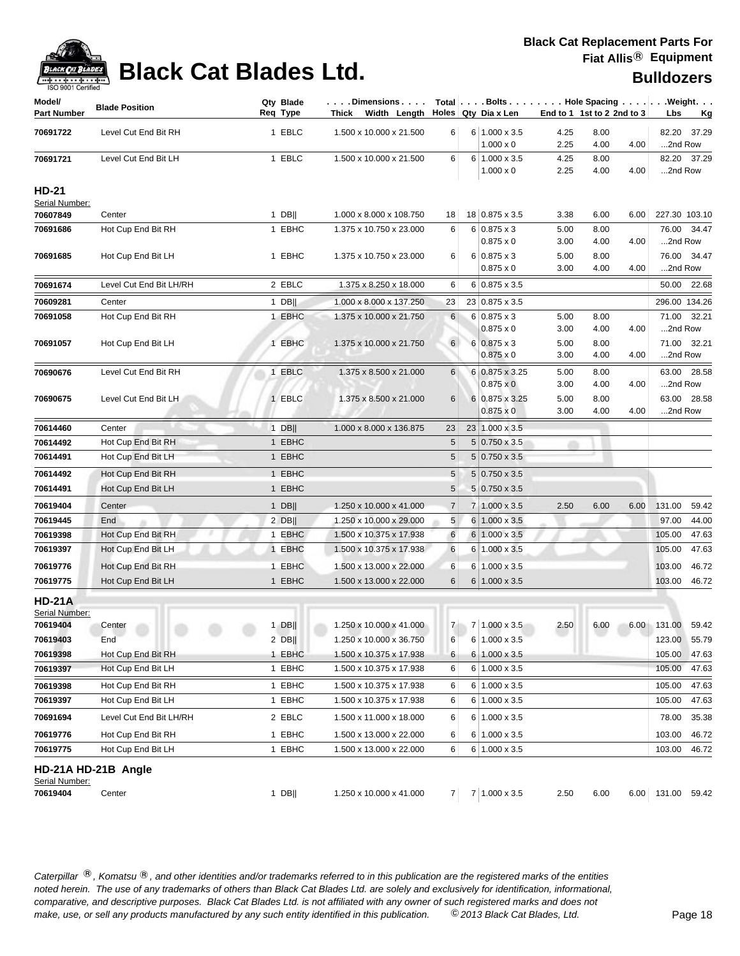

| Model/<br><b>Part Number</b>   | <b>Blade Position</b>          | Qty Blade<br>Req Type | .Dimensions<br>Thick Width Length |                |                | Holes   Qty Dia x Len                  |              | End to 1 1st to 2 2nd to 3 |      | Total $\vert \ldots$ Bolts $\ldots \vert \ldots$ Hole Spacing $\ldots \vert \ldots$ Weight. $\ldots$<br>Lbs<br><u>Kg</u> |
|--------------------------------|--------------------------------|-----------------------|-----------------------------------|----------------|----------------|----------------------------------------|--------------|----------------------------|------|--------------------------------------------------------------------------------------------------------------------------|
| 70691722                       | Level Cut End Bit RH           | 1 EBLC                | 1.500 x 10.000 x 21.500           | 6              |                | $6 1.000 \times 3.5$                   | 4.25         | 8.00                       |      | 82.20 37.29                                                                                                              |
|                                |                                |                       |                                   |                |                | $1.000 \times 0$                       | 2.25         | 4.00                       | 4.00 | 2nd Row                                                                                                                  |
| 70691721                       | Level Cut End Bit LH           | 1 EBLC                | 1.500 x 10.000 x 21.500           | 6              | $6 \mid$       | $1.000 \times 3.5$                     | 4.25         | 8.00                       |      | 82.20 37.29                                                                                                              |
|                                |                                |                       |                                   |                |                | $1.000 \times 0$                       | 2.25         | 4.00                       | 4.00 | 2nd Row                                                                                                                  |
| <b>HD-21</b><br>Serial Number: |                                |                       |                                   |                |                |                                        |              |                            |      |                                                                                                                          |
| 70607849                       | Center                         | $1$ DB                | 1.000 x 8.000 x 108.750           | 18             |                | 18 0.875 x 3.5                         | 3.38         | 6.00                       | 6.00 | 227.30 103.10                                                                                                            |
| 70691686                       | Hot Cup End Bit RH             | 1 EBHC                | 1.375 x 10.750 x 23.000           | 6              |                | $6 0.875 \times 3$                     | 5.00         | 8.00                       |      | 76.00 34.47                                                                                                              |
|                                |                                |                       |                                   |                |                | $0.875 \times 0$                       | 3.00         | 4.00                       | 4.00 | 2nd Row                                                                                                                  |
| 70691685                       | Hot Cup End Bit LH             | 1 EBHC                | 1.375 x 10.750 x 23.000           | 6              |                | $6 0.875 \times 3$                     | 5.00         | 8.00                       |      | 76.00<br>34.47                                                                                                           |
|                                |                                |                       |                                   |                |                | $0.875 \times 0$                       | 3.00         | 4.00                       | 4.00 | 2nd Row                                                                                                                  |
| 70691674                       | Level Cut End Bit LH/RH        | 2 EBLC                | 1.375 x 8.250 x 18.000            | 6              |                | $6 0.875 \times 3.5$                   |              |                            |      | 50.00<br>22.68                                                                                                           |
| 70609281                       | Center                         | $1$ DB                | 1.000 x 8.000 x 137.250           | 23             |                | 23 0.875 x 3.5                         |              |                            |      | 296.00 134.26                                                                                                            |
| 70691058                       | Hot Cup End Bit RH             | 1 EBHC                | 1.375 x 10.000 x 21.750           | 6              |                | $6 0.875 \times 3$<br>$0.875 \times 0$ | 5.00<br>3.00 | 8.00<br>4.00               | 4.00 | 71.00<br>32.21<br>2nd Row                                                                                                |
| 70691057                       | Hot Cup End Bit LH             | 1 EBHC                | 1.375 x 10.000 x 21.750           | 6              |                | $6 \mid 0.875 \times 3$                | 5.00         | 8.00                       |      | 71.00<br>32.21                                                                                                           |
|                                |                                |                       |                                   |                |                | $0.875 \times 0$                       | 3.00         | 4.00                       | 4.00 | 2nd Row                                                                                                                  |
| 70690676                       | Level Cut End Bit RH           | 1 EBLC                | 1.375 x 8.500 x 21.000            | 6              |                | $6 0.875 \times 3.25$                  | 5.00         | 8.00                       |      | 63.00<br>28.58                                                                                                           |
|                                |                                |                       |                                   |                |                | $0.875 \times 0$                       | 3.00         | 4.00                       | 4.00 | 2nd Row                                                                                                                  |
| 70690675                       | Level Cut End Bit LH           | 1 EBLC                | 1.375 x 8.500 x 21.000            | 6              |                | 6 0.875 x 3.25                         | 5.00         | 8.00                       |      | 63.00 28.58                                                                                                              |
|                                |                                |                       |                                   |                |                | 0.875 x 0                              | 3.00         | 4.00                       | 4.00 | 2nd Row                                                                                                                  |
| 70614460                       | Center                         | $1$ DB                | 1.000 x 8.000 x 136.875           | 23             |                | 23 1.000 x 3.5                         |              |                            |      |                                                                                                                          |
| 70614492                       | Hot Cup End Bit RH             | 1 EBHC                |                                   | 5              |                | $5 0.750 \times 3.5$                   |              |                            |      |                                                                                                                          |
| 70614491                       | Hot Cup End Bit LH             | 1 EBHC                |                                   | 5              |                | $5 0.750 \times 3.5$                   |              |                            |      |                                                                                                                          |
| 70614492                       | Hot Cup End Bit RH             | 1 EBHC                |                                   | 5              |                | $5 0.750 \times 3.5$                   |              |                            |      |                                                                                                                          |
| 70614491                       | Hot Cup End Bit LH             | 1 EBHC                |                                   | 5              |                | $5 0.750 \times 3.5$                   |              |                            |      |                                                                                                                          |
| 70619404                       | Center                         | $1$ DB                | 1.250 x 10.000 x 41.000           | $\overline{7}$ | $\overline{7}$ | $1.000 \times 3.5$                     | 2.50         | 6.00                       | 6.00 | 59.42<br>131.00                                                                                                          |
| 70619445                       | End                            | $2$ DB                | 1.250 x 10.000 x 29.000           | 5              | 6              | $1.000 \times 3.5$                     |              |                            |      | 97.00<br>44.00                                                                                                           |
| 70619398                       | Hot Cup End Bit RH             | 1 EBHC                | 1.500 x 10.375 x 17.938           | 6              | 6              | $1.000 \times 3.5$                     |              |                            |      | 47.63<br>105.00                                                                                                          |
| 70619397                       | Hot Cup End Bit LH             | 1 EBHC                | 1.500 x 10.375 x 17.938           | 6              | 6              | $1.000 \times 3.5$                     |              |                            |      | 47.63<br>105.00                                                                                                          |
| 70619776                       | Hot Cup End Bit RH             | 1 EBHC                | 1.500 x 13.000 x 22.000           | 6              | 6              | $1.000 \times 3.5$                     |              |                            |      | 103.00<br>46.72                                                                                                          |
| 70619775                       | Hot Cup End Bit LH             | 1 EBHC                | 1.500 x 13.000 x 22.000           | 6              | 6              | $1.000 \times 3.5$                     |              |                            |      | 103.00<br>46.72                                                                                                          |
| <b>HD-21A</b>                  |                                |                       |                                   |                |                |                                        |              |                            |      |                                                                                                                          |
| Serial Number:<br>70619404     | Center<br><b>SOL</b><br>m<br>m | $1$ DB                | 1.250 x 10.000 x 41.000           |                |                | 7 7 1.000 x 3.5                        | 2.50         | 6.00                       |      | 6.00 131.00 59.42                                                                                                        |
| 70619403                       | End                            | $2$ DB                | 1.250 x 10.000 x 36.750           | 6              |                | 6 1.000 x 3.5                          |              |                            |      | 55.79<br>123.00                                                                                                          |
| 70619398                       | Hot Cup End Bit RH             | 1 EBHC                | 1.500 x 10.375 x 17.938           | 6              | 6              | $1.000 \times 3.5$                     |              | 1.1.1                      |      | 105.00<br>47.63                                                                                                          |
| 70619397                       | Hot Cup End Bit LH             | 1 EBHC                | 1.500 x 10.375 x 17.938           | 6              | 6              | $1.000 \times 3.5$                     |              |                            |      | 105.00<br>47.63                                                                                                          |
| 70619398                       | Hot Cup End Bit RH             | 1 EBHC                | 1.500 x 10.375 x 17.938           | 6              | 6              | $1.000 \times 3.5$                     |              |                            |      | 47.63<br>105.00                                                                                                          |
| 70619397                       | Hot Cup End Bit LH             | 1 EBHC                | 1.500 x 10.375 x 17.938           | 6              | 6              | 1.000 x 3.5                            |              |                            |      | 105.00<br>47.63                                                                                                          |
| 70691694                       | Level Cut End Bit LH/RH        | 2 EBLC                | 1.500 x 11.000 x 18.000           | 6              | 6              | $1.000 \times 3.5$                     |              |                            |      | 78.00<br>35.38                                                                                                           |
| 70619776                       | Hot Cup End Bit RH             | 1 EBHC                | 1.500 x 13.000 x 22.000           | 6              | 6              | $1.000 \times 3.5$                     |              |                            |      | 103.00<br>46.72                                                                                                          |
| 70619775                       | Hot Cup End Bit LH             | 1 EBHC                | 1.500 x 13.000 x 22.000           | 6              | 6              | 1.000 x 3.5                            |              |                            |      | 103.00<br>46.72                                                                                                          |
|                                | HD-21A HD-21B Angle            |                       |                                   |                |                |                                        |              |                            |      |                                                                                                                          |
| Serial Number:                 |                                |                       |                                   |                |                |                                        |              |                            |      |                                                                                                                          |
| 70619404                       | Center                         | $1$ DB                | 1.250 x 10.000 x 41.000           |                |                | $7 \mid 7 \mid 1.000 \times 3.5$       | 2.50         | 6.00                       |      | 6.00 131.00 59.42                                                                                                        |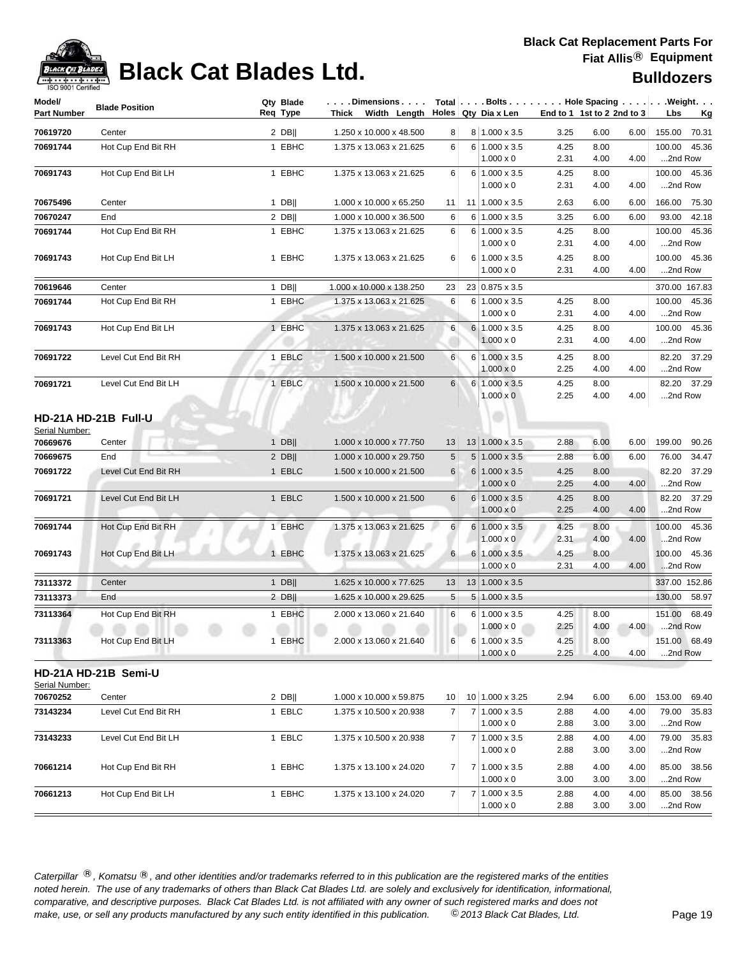

# **Black Cat Blades Ltd. Black Cat Blades Ltd. Black Cat Blades Ltd. Bulldozers**

| Model/<br><b>Part Number</b> | <b>Blade Position</b>          | Qty Blade<br>Req Type | $\dots$ . Dimensions $\dots$ .<br>Thick Width Length |                 | $Total   \ldots$ Bolts $\ldots   \ldots$ . Hole Spacing $\ldots   \ldots$ Weight. $\ldots$<br>Holes   Qty Dia x Len |              | End to 1 1st to 2 2nd to 3 |              | Lbs                     | <u>Kg</u>   |
|------------------------------|--------------------------------|-----------------------|------------------------------------------------------|-----------------|---------------------------------------------------------------------------------------------------------------------|--------------|----------------------------|--------------|-------------------------|-------------|
| 70619720                     | Center                         | $2$ DB                | 1.250 x 10.000 x 48.500                              | 8               | 8 1.000 x 3.5                                                                                                       | 3.25         | 6.00                       | 6.00         | 155.00                  | 70.31       |
| 70691744                     | Hot Cup End Bit RH             | 1 EBHC                | 1.375 x 13.063 x 21.625                              | 6               | $6 1.000 \times 3.5$                                                                                                | 4.25         | 8.00                       |              | 100.00                  | 45.36       |
|                              |                                |                       |                                                      |                 | $1.000 \times 0$                                                                                                    | 2.31         | 4.00                       | 4.00         | 2nd Row                 |             |
| 70691743                     | Hot Cup End Bit LH             | 1 EBHC                | 1.375 x 13.063 x 21.625                              | 6               | $6 1.000 \times 3.5$                                                                                                | 4.25         | 8.00                       |              | 100.00                  | 45.36       |
|                              |                                |                       |                                                      |                 | $1.000 \times 0$                                                                                                    | 2.31         | 4.00                       | 4.00         | 2nd Row                 |             |
| 70675496                     | Center                         | $1$ DB                | 1.000 x 10.000 x 65.250                              | 11              | 11 1.000 x 3.5                                                                                                      | 2.63         | 6.00                       | 6.00         | 166.00 75.30            |             |
| 70670247                     | End                            | $2$ DB                | 1.000 x 10.000 x 36.500                              | 6               | $6 1.000 \times 3.5$                                                                                                | 3.25         | 6.00                       | 6.00         | 93.00                   | 42.18       |
| 70691744                     | Hot Cup End Bit RH             | 1 EBHC                | 1.375 x 13.063 x 21.625                              | 6               | 6 1.000 x 3.5<br>$1.000 \times 0$                                                                                   | 4.25<br>2.31 | 8.00<br>4.00               | 4.00         | 100.00<br>2nd Row       | 45.36       |
| 70691743                     | Hot Cup End Bit LH             | 1 EBHC                | 1.375 x 13.063 x 21.625                              | 6               | $6 1.000 \times 3.5$<br>$1.000 \times 0$                                                                            | 4.25<br>2.31 | 8.00<br>4.00               | 4.00         | 100.00<br>2nd Row       | 45.36       |
| 70619646                     | Center                         | $1$ DB                | 1.000 x 10.000 x 138.250                             | 23              | 23 0.875 x 3.5                                                                                                      |              |                            |              | 370.00 167.83           |             |
| 70691744                     | Hot Cup End Bit RH             | 1 EBHC                | 1.375 x 13.063 x 21.625                              | 6               | 6 1.000 x 3.5                                                                                                       | 4.25         | 8.00                       |              | 100.00                  | 45.36       |
|                              |                                |                       |                                                      |                 | $1.000 \times 0$                                                                                                    | 2.31         | 4.00                       | 4.00         | 2nd Row                 |             |
| 70691743                     | Hot Cup End Bit LH             | 1 EBHC                | 1.375 x 13.063 x 21.625                              | 6               | 6 1.000 x 3.5                                                                                                       | 4.25         | 8.00                       |              | 100.00 45.36            |             |
|                              |                                |                       |                                                      |                 | $1.000 \times 0$                                                                                                    | 2.31         | 4.00                       | 4.00         | 2nd Row                 |             |
| 70691722                     | Level Cut End Bit RH           | 1 EBLC                | 1.500 x 10.000 x 21.500                              | 6               | 6 1.000 x 3.5                                                                                                       | 4.25         | 8.00                       |              | 82.20                   | 37.29       |
|                              |                                |                       |                                                      |                 | $1.000 \times 0$                                                                                                    | 2.25         | 4.00                       | 4.00         | 2nd Row                 |             |
| 70691721                     | Level Cut End Bit LH           | 1 EBLC                | 1.500 x 10.000 x 21.500                              | $6\phantom{.}$  | 6 1.000 x 3.5<br>$1.000 \times 0$                                                                                   | 4.25<br>2.25 | 8.00<br>4.00               | 4.00         | 2nd Row                 | 82.20 37.29 |
| Serial Number:<br>70669676   | HD-21A HD-21B Full-U<br>Center | $1$ DB                | 1.000 x 10.000 x 77.750                              | 13              | $13 1.000 \times 3.5$                                                                                               | 2.88         | 6.00                       | 6.00         | 199.00                  | 90.26       |
| 70669675                     | End                            | $2$ DB                | 1.000 x 10.000 x 29.750                              | 5               | $5 1.000 \times 3.5$                                                                                                | 2.88         | 6.00                       | 6.00         | 76.00                   | 34.47       |
| 70691722                     | Level Cut End Bit RH           | 1 EBLC                | 1.500 x 10.000 x 21.500                              | 6               | $6 1.000 \times 3.5$                                                                                                | 4.25         | 8.00                       |              |                         | 82.20 37.29 |
|                              |                                |                       |                                                      |                 | $1.000 \times 0$                                                                                                    | 2.25         | 4.00                       | 4.00         | 2nd Row                 |             |
| 70691721                     | Level Cut End Bit LH           | 1 EBLC                | 1.500 x 10.000 x 21.500                              | 6               | 6 1.000 x 3.5                                                                                                       | 4.25         | 8.00                       |              |                         | 82.20 37.29 |
|                              |                                |                       |                                                      |                 | $1.000 \times 0$                                                                                                    | 2.25         | 4.00                       | 4.00         | 2nd Row                 |             |
| 70691744                     | Hot Cup End Bit RH             | 1 EBHC                | 1.375 x 13.063 x 21.625                              | 6               | $6 1.000 \times 3.5$<br>$1.000 \times 0$                                                                            | 4.25<br>2.31 | 8.00<br>4.00               | 4.00         | 100.00 45.36<br>2nd Row |             |
| 70691743                     | Hot Cup End Bit LH             | 1 EBHC                | 1.375 x 13.063 x 21.625                              | $6 \mid$        | $6 1.000 \times 3.5$                                                                                                | 4.25         | 8.00                       |              | 100.00 45.36            |             |
|                              |                                |                       |                                                      |                 | $1.000 \times 0$                                                                                                    | 2.31         | 4.00                       | 4.00         | 2nd Row                 |             |
| 73113372                     | Center                         | 1 $DB$                | 1.625 x 10.000 x 77.625                              | 13              | $13 \mid 1.000 \times 3.5$                                                                                          |              |                            |              | 337.00 152.86           |             |
| 73113373                     | End                            | $2$ DB                | 1.625 x 10.000 x 29.625                              | 5 <sub>5</sub>  | $5 1.000 \times 3.5$                                                                                                |              |                            |              | 130.00 58.97            |             |
| 73113364                     | Hot Cup End Bit RH             | 1 EBHC                | 2.000 x 13.060 x 21.640                              | 6               | 6 1.000 x 3.5<br>$1.000 \times 0$                                                                                   | 4.25<br>2.25 | 8.00<br>4.00               | 4.00         | 151.00<br>2nd Row       | 68.49       |
| 73113363                     | Hot Cup End Bit LH             | 1 EBHC                | 2.000 x 13.060 x 21.640                              | 6               | $6 1.000 \times 3.5$                                                                                                | 4.25         | 8.00                       |              | 151.00 68.49            |             |
|                              |                                |                       |                                                      |                 | $1.000 \times 0$                                                                                                    | 2.25         | 4.00                       | 4.00         | 2nd Row                 |             |
| Serial Number:               | HD-21A HD-21B Semi-U           |                       |                                                      |                 |                                                                                                                     |              |                            |              |                         |             |
| 70670252                     | Center                         | $2$ DB                | 1.000 x 10.000 x 59.875                              | 10 <sup>1</sup> | 10 1.000 x 3.25                                                                                                     | 2.94         | 6.00                       | 6.00         | 153.00 69.40            |             |
| 73143234                     | Level Cut End Bit RH           | 1 EBLC                | 1.375 x 10.500 x 20.938                              | 7 <sup>1</sup>  | 7 1.000 x 3.5                                                                                                       | 2.88         | 4.00                       | 4.00         |                         | 79.00 35.83 |
|                              |                                |                       |                                                      |                 | $1.000 \times 0$                                                                                                    | 2.88         | 3.00                       | 3.00         | 2nd Row                 |             |
| 73143233                     | Level Cut End Bit LH           | 1 EBLC                | 1.375 x 10.500 x 20.938                              | 7               | 7 1.000 x 3.5                                                                                                       | 2.88         | 4.00                       | 4.00         |                         | 79.00 35.83 |
|                              |                                |                       |                                                      |                 | $1.000 \times 0$                                                                                                    | 2.88         | 3.00                       | 3.00         | 2nd Row                 |             |
| 70661214                     | Hot Cup End Bit RH             | 1 EBHC                | 1.375 x 13.100 x 24.020                              | $\overline{7}$  | 7 1.000 x 3.5                                                                                                       | 2.88         | 4.00                       | 4.00         |                         | 85.00 38.56 |
| 70661213                     | Hot Cup End Bit LH             | 1 EBHC                | 1.375 x 13.100 x 24.020                              | $\overline{7}$  | $1.000 \times 0$<br>7 1.000 x 3.5                                                                                   | 3.00<br>2.88 | 3.00<br>4.00               | 3.00<br>4.00 | 2nd Row                 | 85.00 38.56 |
|                              |                                |                       |                                                      |                 | $1.000 \times 0$                                                                                                    | 2.88         | 3.00                       | 3.00         | 2nd Row                 |             |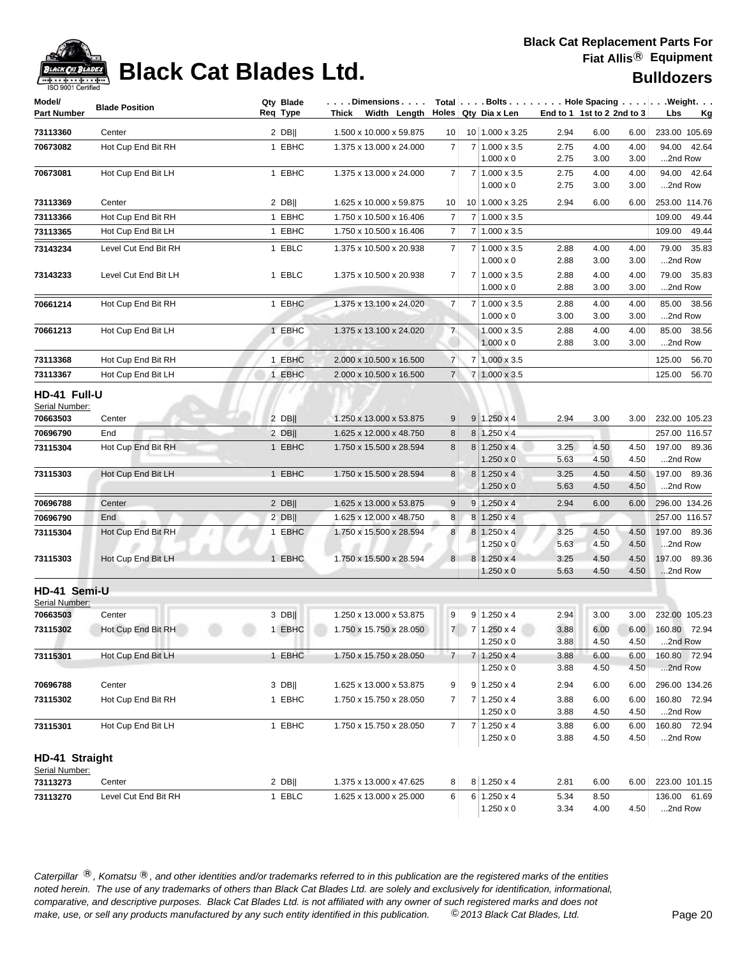

# **Black Cat Blades Ltd. Black Cat Blades Ltd. Bulldozers**

| Model/<br><b>Part Number</b>               | <b>Blade Position</b> | Qty Blade<br>Req Type | $\dots$ . Dimensions $\dots$ .<br>Thick Width Length $\vert$ Holes Qty Dia x Len |                |                |                                                            | End to 1 1st to 2 2nd to 3 |                      |                      | $Total   \ldots$ Bolts $\ldots   \ldots$ . Hole Spacing $\ldots   \ldots$ . Weight. $\ldots$<br>Lbs<br><u>Kg</u> |
|--------------------------------------------|-----------------------|-----------------------|----------------------------------------------------------------------------------|----------------|----------------|------------------------------------------------------------|----------------------------|----------------------|----------------------|------------------------------------------------------------------------------------------------------------------|
| 73113360                                   | Center                | 2 $DB$                | 1.500 x 10.000 x 59.875                                                          | 10             |                | 10 1.000 x 3.25                                            | 2.94                       | 6.00                 | 6.00                 | 233.00 105.69                                                                                                    |
| 70673082                                   | Hot Cup End Bit RH    | 1 EBHC                | 1.375 x 13.000 x 24.000                                                          | 7              |                | 7 1.000 x 3.5                                              | 2.75                       | 4.00                 | 4.00                 | 94.00 42.64                                                                                                      |
|                                            |                       |                       |                                                                                  |                |                | $1.000 \times 0$                                           | 2.75                       | 3.00                 | 3.00                 | 2nd Row                                                                                                          |
| 70673081                                   | Hot Cup End Bit LH    | 1 EBHC                | 1.375 x 13.000 x 24.000                                                          | 7              |                | 7 1.000 x 3.5<br>$1.000 \times 0$                          | 2.75<br>2.75               | 4.00<br>3.00         | 4.00<br>3.00         | 94.00 42.64<br>2nd Row                                                                                           |
| 73113369                                   | Center                | $2$ DB                | 1.625 x 10.000 x 59.875                                                          | 10             |                | 10 1.000 x 3.25                                            | 2.94                       | 6.00                 | 6.00                 | 253.00 114.76                                                                                                    |
| 73113366                                   | Hot Cup End Bit RH    | 1 EBHC                | 1.750 x 10.500 x 16.406                                                          | $\overline{7}$ |                | 7 1.000 x 3.5                                              |                            |                      |                      | 109.00<br>49.44                                                                                                  |
| 73113365                                   | Hot Cup End Bit LH    | 1 EBHC                | 1.750 x 10.500 x 16.406                                                          | 7              |                | $7 1.000 \times 3.5$                                       |                            |                      |                      | 109.00<br>49.44                                                                                                  |
| 73143234                                   | Level Cut End Bit RH  | 1 EBLC                | 1.375 x 10.500 x 20.938                                                          | 7              |                | 7 1.000 x 3.5<br>$1.000 \times 0$                          | 2.88<br>2.88               | 4.00<br>3.00         | 4.00<br>3.00         | 79.00<br>35.83<br>2nd Row                                                                                        |
| 73143233                                   | Level Cut End Bit LH  | 1 EBLC                | 1.375 x 10.500 x 20.938                                                          | $\overline{7}$ | 7 <sup>1</sup> | $1.000 \times 3.5$<br>$1.000 \times 0$                     | 2.88<br>2.88               | 4.00<br>3.00         | 4.00<br>3.00         | 79.00 35.83<br>2nd Row                                                                                           |
| 70661214                                   | Hot Cup End Bit RH    | 1 EBHC                | 1.375 x 13.100 x 24.020                                                          | 7              | 7 <sup>1</sup> | $1.000 \times 3.5$<br>$1.000 \times 0$                     | 2.88<br>3.00               | 4.00<br>3.00         | 4.00<br>3.00         | 85.00 38.56<br>2nd Row                                                                                           |
| 70661213                                   | Hot Cup End Bit LH    | 1 EBHC                | 1.375 x 13.100 x 24.020                                                          | $\overline{7}$ |                | $1.000 \times 3.5$<br>$1.000 \times 0$                     | 2.88<br>2.88               | 4.00<br>3.00         | 4.00<br>3.00         | 85.00<br>38.56<br>2nd Row                                                                                        |
| 73113368                                   | Hot Cup End Bit RH    | 1 EBHC                | 2.000 x 10.500 x 16.500                                                          | $\overline{7}$ |                | 7 1.000 x 3.5                                              |                            |                      |                      | 125.00<br>56.70                                                                                                  |
| 73113367                                   | Hot Cup End Bit LH    | 1 EBHC                | 2.000 x 10.500 x 16.500                                                          | $\overline{7}$ |                | $7 1.000 \times 3.5$                                       |                            |                      |                      | 125.00<br>56.70                                                                                                  |
| HD-41 Full-U<br>Serial Number:<br>70663503 | Center                | $2$ DB                | 1.250 x 13.000 x 53.875                                                          | 9              |                | $9 1.250 \times 4$                                         | 2.94                       | 3.00                 | 3.00                 | 232.00 105.23                                                                                                    |
| 70696790                                   | End                   | $2$ DB                | 1.625 x 12.000 x 48.750                                                          | 8              |                | $8 1.250 \times 4$                                         |                            |                      |                      | 257.00 116.57                                                                                                    |
| 73115304                                   | Hot Cup End Bit RH    | 1 EBHC                | 1.750 x 15.500 x 28.594                                                          | 8              |                | $8 1.250 \times 4$                                         | 3.25                       | 4.50                 | 4.50                 | 197.00 89.36                                                                                                     |
| 73115303                                   | Hot Cup End Bit LH    | 1 EBHC                | 1.750 x 15.500 x 28.594                                                          | 8              |                | $1.250 \times 0$<br>$8 1.250 \times 4$<br>$1.250 \times 0$ | 5.63<br>3.25<br>5.63       | 4.50<br>4.50<br>4.50 | 4.50<br>4.50<br>4.50 | 2nd Row<br>197.00 89.36<br>2nd Row                                                                               |
| 70696788                                   | Center                | $2$ DB                | 1.625 x 13.000 x 53.875                                                          | 9              | 9 <sup>1</sup> | $1.250 \times 4$                                           | 2.94                       | 6.00                 | 6.00                 | 296.00 134.26                                                                                                    |
| 70696790                                   | End                   | $2$ DB                | 1.625 x 12.000 x 48.750                                                          | 8              |                | $8 1.250 \times 4$                                         |                            |                      |                      | 257.00 116.57                                                                                                    |
| 73115304                                   | Hot Cup End Bit RH    | 1 EBHC                | 1.750 x 15.500 x 28.594                                                          | 8              | 8              | $1.250 \times 4$<br>$1.250 \times 0$                       | 3.25<br>5.63               | 4.50<br>4.50         | 4.50<br>4.50         | 197.00 89.36<br>2nd Row                                                                                          |
| 73115303                                   | Hot Cup End Bit LH    | 1 EBHC                | 1.750 x 15.500 x 28.594                                                          | 8 <sup>1</sup> |                | 8 1.250 x 4<br>$1.250 \times 0$                            | 3.25<br>5.63               | 4.50<br>4.50         | 4.50<br>4.50         | 197.00 89.36<br>2nd Row                                                                                          |
| HD-41 Semi-U<br>Serial Number:             |                       |                       |                                                                                  |                |                |                                                            |                            |                      |                      |                                                                                                                  |
| 70663503                                   | Center                | $3$ DB                | 1.250 x 13.000 x 53.875                                                          | 9              |                | $9 1.250 \times 4$                                         | 2.94                       | 3.00                 | 3.00                 | 232.00 105.23                                                                                                    |
| 73115302                                   | Hot Cup End Bit RH    | 1 EBHC                | 1.750 x 15.750 x 28.050                                                          | 7              |                | 7 1.250 x 4<br>$1.250 \times 0$                            | 3.88<br>3.88               | 6.00<br>4.50         | 4.50                 | 6.00 160.80 72.94<br>2nd Row                                                                                     |
| 73115301                                   | Hot Cup End Bit LH    | 1 EBHC                | 1.750 x 15.750 x 28.050                                                          | $\overline{7}$ | 7              | $1.250 \times 4$<br>$1.250 \times 0$                       | 3.88<br>3.88               | 6.00<br>4.50         | 6.00<br>4.50         | 160.80 72.94<br>2nd Row                                                                                          |
| 70696788                                   | Center                | $3$ DB                | 1.625 x 13.000 x 53.875                                                          | 9              |                | $9 \mid 1.250 \times 4$                                    | 2.94                       | 6.00                 | 6.00                 | 296.00 134.26                                                                                                    |
| 73115302                                   | Hot Cup End Bit RH    | 1 EBHC                | 1.750 x 15.750 x 28.050                                                          | 7              | 71             | $1.250 \times 4$<br>$1.250 \times 0$                       | 3.88<br>3.88               | 6.00<br>4.50         | 6.00<br>4.50         | 160.80 72.94<br>2nd Row                                                                                          |
| 73115301                                   | Hot Cup End Bit LH    | 1 EBHC                | 1.750 x 15.750 x 28.050                                                          | $\overline{7}$ |                | 7 1.250 x 4<br>$1.250 \times 0$                            | 3.88<br>3.88               | 6.00<br>4.50         | 6.00<br>4.50         | 160.80 72.94<br>2nd Row                                                                                          |
| HD-41 Straight<br>Serial Number:           |                       |                       |                                                                                  |                |                |                                                            |                            |                      |                      |                                                                                                                  |
| 73113273                                   | Center                | $2$ DB                | 1.375 x 13.000 x 47.625                                                          | 8              |                | $8 1.250 \times 4$                                         | 2.81                       | 6.00                 | 6.00                 | 223.00 101.15                                                                                                    |
| 73113270                                   | Level Cut End Bit RH  | 1 EBLC                | 1.625 x 13.000 x 25.000                                                          | 6              |                | $6 1.250 \times 4$<br>$1.250 \times 0$                     | 5.34<br>3.34               | 8.50<br>4.00         | 4.50                 | 136.00 61.69<br>2nd Row                                                                                          |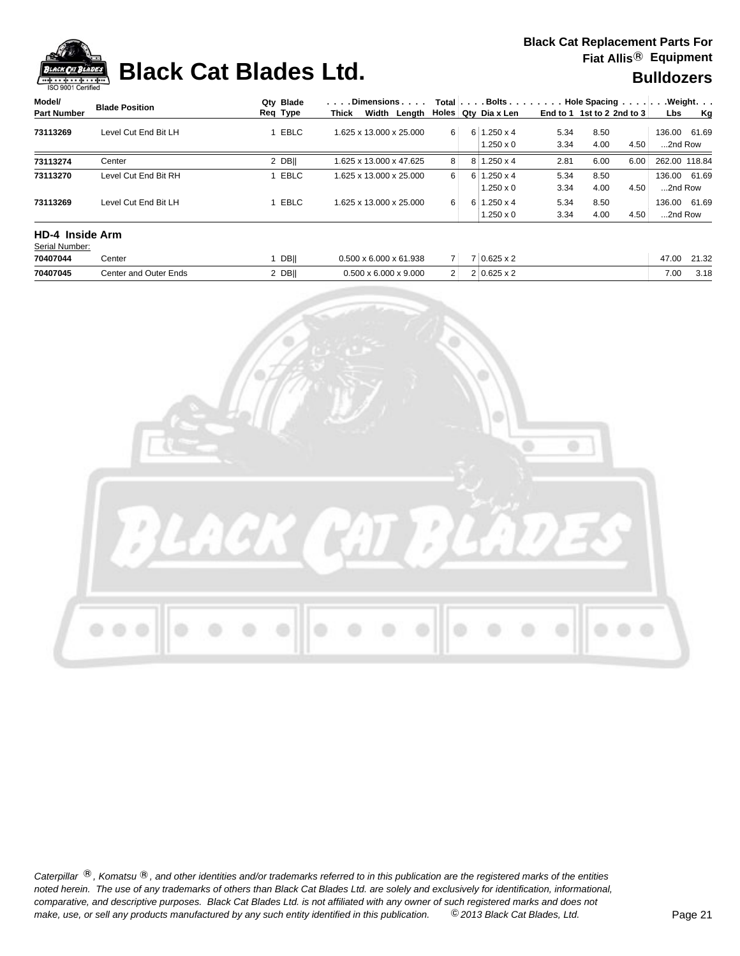

## **Black Cat Blades Ltd. Black Cat Blades Ltd. Black Cat Blades Ltd. Bulldozers**

| Model/                 | <b>Blade Position</b> | Qtv Blade   |       | . Dimensions            |                |                | Total $\ldots$ Bolts $\ldots$ $\ldots$ . $\ldots$ Hole Spacing $\ldots$ . |      |                            |      |               | .Weight. |
|------------------------|-----------------------|-------------|-------|-------------------------|----------------|----------------|---------------------------------------------------------------------------|------|----------------------------|------|---------------|----------|
| <b>Part Number</b>     |                       | Req Type    | Thick | Width Lenath            |                |                | Holes   Qty Dia x Len                                                     |      | End to 1 1st to 2 2nd to 3 |      | <b>Lbs</b>    | Kg       |
| 73113269               | Level Cut End Bit LH  | <b>EBLC</b> |       | 1.625 x 13.000 x 25.000 | $6 \mid$       |                | $6 \mid 1.250 \times 4$                                                   | 5.34 | 8.50                       |      | 136.00 61.69  |          |
|                        |                       |             |       |                         |                |                | $1.250 \times 0$                                                          | 3.34 | 4.00                       | 4.50 | 2nd Row       |          |
| 73113274               | Center                | 2 DBII      |       | 1.625 x 13.000 x 47.625 | 8 <sup>1</sup> | 8              | $1.250 \times 4$                                                          | 2.81 | 6.00                       | 6.00 | 262.00 118.84 |          |
| 73113270               | Level Cut End Bit RH  | EBLC        |       | 1.625 x 13.000 x 25.000 | $6 \mid$       | 6 <sup>1</sup> | $1.250 \times 4$                                                          | 5.34 | 8.50                       |      | 136.00 61.69  |          |
|                        |                       |             |       |                         |                |                | $1.250 \times 0$                                                          | 3.34 | 4.00                       | 4.50 | 2nd Row       |          |
| 73113269               | Level Cut End Bit LH  | EBLC        |       | 1.625 x 13.000 x 25.000 | $6 \mid$       | 61             | $1.250 \times 4$                                                          | 5.34 | 8.50                       |      | 136.00 61.69  |          |
|                        |                       |             |       |                         |                |                | $1.250 \times 0$                                                          | 3.34 | 4.00                       | 4.50 | 2nd Row       |          |
| <b>HD-4 Inside Arm</b> |                       |             |       |                         |                |                |                                                                           |      |                            |      |               |          |
| Serial Number:         |                       |             |       |                         |                |                |                                                                           |      |                            |      |               |          |

| 70407044 | Center                   | <b>DB</b> | x 61.938<br>$\sim$ 6.000<br>וחה ר | -      | $\sim$ 0.000 $\sim$<br><b>U.U.L.J.A.</b>   | $\sim$<br>$\ldots$ | .<br>.34                 |
|----------|--------------------------|-----------|-----------------------------------|--------|--------------------------------------------|--------------------|--------------------------|
| 70407045 | Outer Ends<br>≿enter and | DB        | x 9.000<br>0.00<br>ה ה            | $\sim$ | 0.005<br>$\rightarrow$<br><b>U.ULU A L</b> | 7.00<br>.uu        | $\overline{a}$<br>، ۱۰ ت |

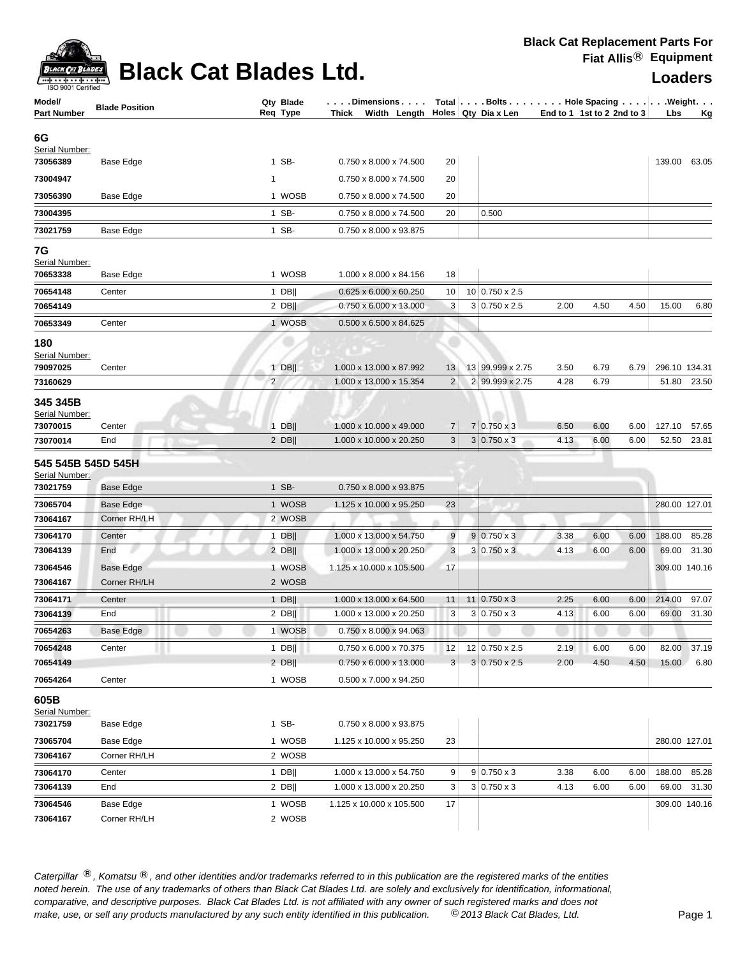

### **Black Cat Blades Ltd. Loaders Leaders Loaders**

**Black Cat Replacement Parts For Fiat Allis**® **Equipment**

| Model/<br><b>Part Number</b>                       | <b>Blade Position</b> | Qty Blade<br>Req Type               | $\ldots$ . Dimensions. $\ldots$<br>Thick Width Length Holes Qty Dia x Len |                      | Total   Bolts   Hole Spacing   Weight. | End to 1 1st to 2 2nd to 3 |              |              | Lbs           | <u>Kg</u>   |
|----------------------------------------------------|-----------------------|-------------------------------------|---------------------------------------------------------------------------|----------------------|----------------------------------------|----------------------------|--------------|--------------|---------------|-------------|
| 6G                                                 |                       |                                     |                                                                           |                      |                                        |                            |              |              |               |             |
| Serial Number:                                     |                       |                                     |                                                                           |                      |                                        |                            |              |              |               |             |
| 73056389                                           | Base Edge             | 1 SB-                               | 0.750 x 8.000 x 74.500                                                    | 20                   |                                        |                            |              |              | 139.00 63.05  |             |
| 73004947                                           |                       | 1                                   | 0.750 x 8.000 x 74.500                                                    | 20                   |                                        |                            |              |              |               |             |
| 73056390                                           | Base Edge             | 1 WOSB                              | 0.750 x 8.000 x 74.500                                                    | 20                   |                                        |                            |              |              |               |             |
| 73004395                                           |                       | 1 SB-                               | 0.750 x 8.000 x 74.500                                                    | 20                   | 0.500                                  |                            |              |              |               |             |
| 73021759                                           | Base Edge             | 1 SB-                               | 0.750 x 8.000 x 93.875                                                    |                      |                                        |                            |              |              |               |             |
| 7G<br>Serial Number:<br>70653338                   | Base Edge             | 1 WOSB                              | 1.000 x 8.000 x 84.156                                                    | 18                   |                                        |                            |              |              |               |             |
| 70654148                                           | Center                | $1$ DB                              | 0.625 x 6.000 x 60.250                                                    | 10                   | 10 0.750 x 2.5                         |                            |              |              |               |             |
| 70654149                                           |                       | $2$ DB                              | 0.750 x 6.000 x 13.000                                                    | 3                    | $3 0.750 \times 2.5$                   | 2.00                       | 4.50         | 4.50         | 15.00         | 6.80        |
| 70653349                                           | Center                | 1 WOSB                              | 0.500 x 6.500 x 84.625                                                    |                      |                                        |                            |              |              |               |             |
| 180<br>Serial Number:<br>79097025<br>73160629      | Center                | $1$ DB  <br>$\overline{\mathbf{c}}$ | 1.000 x 13.000 x 87.992<br>1.000 x 13.000 x 15.354                        | 13<br>$\overline{2}$ | 13 99.999 x 2.75<br>2 99.999 x 2.75    | 3.50<br>4.28               | 6.79<br>6.79 | 6.79         | 296.10 134.31 | 51.80 23.50 |
| 345 345B<br>Serial Number:<br>73070015<br>73070014 | Center<br>End         | $1$ DB  <br>$2$ DB                  | 1.000 x 10.000 x 49.000<br>1.000 x 10.000 x 20.250                        | $\overline{7}$<br>3  | 7 0.750 x 3<br>$3 0.750 \times 3$      | 6.50<br>4.13               | 6.00<br>6.00 | 6.00<br>6.00 | 127.10 57.65  | 52.50 23.81 |
|                                                    |                       |                                     |                                                                           |                      |                                        |                            |              |              |               |             |
| 545 545B 545D 545H<br>Serial Number:               |                       |                                     |                                                                           |                      |                                        |                            |              |              |               |             |
| 73021759                                           | <b>Base Edge</b>      | 1 SB-                               | 0.750 x 8.000 x 93.875                                                    |                      |                                        |                            |              |              |               |             |
| 73065704                                           | Base Edge             | 1 WOSB                              | 1.125 x 10.000 x 95.250                                                   | 23                   |                                        |                            |              |              | 280.00 127.01 |             |
| 73064167                                           | Corner RH/LH          | 2 WOSB                              |                                                                           |                      |                                        |                            |              |              |               |             |
| 73064170                                           | Center                | $1$ DB                              | 1.000 x 13.000 x 54.750                                                   | 9                    | $9 0.750 \times 3$                     | 3.38                       | 6.00         | 6.00         | 188.00        | 85.28       |
| 73064139                                           | End                   | $2$ DB                              | 1.000 x 13.000 x 20.250                                                   | 3                    | $3 0.750 \times 3$                     | 4.13                       | 6.00         | 6.00         | 69.00         | 31.30       |
| 73064546                                           | Base Edge             | 1 WOSB                              | 1.125 x 10.000 x 105.500                                                  | 17                   |                                        |                            |              |              | 309.00 140.16 |             |
| 73064167                                           | Corner RH/LH          | 2 WOSB                              |                                                                           |                      |                                        |                            |              |              |               |             |
| 73064171                                           | Center                | 1 DB                                | 1.000 x 13.000 x 64.500                                                   | 11                   | $11 \mid 0.750 \times 3$               | 2.25                       | 6.00         | 6.00         | 214.00        | 97.07       |
| 73064139                                           | End                   | $2$ DB                              | 1.000 x 13.000 x 20.250                                                   | 3                    | $3 0.750 \times 3$                     | 4.13                       | 6.00         | 6.00         | 69.00         | 31.30       |
| 70654263                                           | Base Edge             | 1 WOSB                              | 0.750 x 8.000 x 94.063                                                    |                      |                                        |                            |              |              |               |             |
| 70654248                                           | Center                | 1 $DB$                              | 0.750 x 6.000 x 70.375                                                    | 12                   | 12 0.750 x 2.5                         | 2.19                       | 6.00         | 6.00         |               | 82.00 37.19 |
| 70654149                                           |                       | $2$ DB                              | 0.750 x 6.000 x 13.000                                                    | 3                    | $3 0.750 \times 2.5$                   | 2.00                       | 4.50         | 4.50         | 15.00         | 6.80        |
| 70654264                                           | Center                | 1 WOSB                              | 0.500 x 7.000 x 94.250                                                    |                      |                                        |                            |              |              |               |             |
| 605B<br>Serial Number:                             |                       |                                     |                                                                           |                      |                                        |                            |              |              |               |             |
| 73021759                                           | Base Edge             | 1 SB-                               | 0.750 x 8.000 x 93.875                                                    |                      |                                        |                            |              |              |               |             |
| 73065704                                           | Base Edge             | 1 WOSB                              | 1.125 x 10.000 x 95.250                                                   | 23                   |                                        |                            |              |              | 280.00 127.01 |             |
| 73064167                                           | Corner RH/LH          | 2 WOSB                              |                                                                           |                      |                                        |                            |              |              |               |             |
| 73064170                                           | Center                | 1 DB                                | 1.000 x 13.000 x 54.750                                                   | 9                    | $9 0.750 \times 3$                     | 3.38                       | 6.00         | 6.00         | 188.00        | 85.28       |
| 73064139                                           | End                   | $2$ DB                              | 1.000 x 13.000 x 20.250                                                   | 3                    | $3 0.750 \times 3$                     | 4.13                       | 6.00         | 6.00         |               | 69.00 31.30 |
| 73064546                                           | Base Edge             | 1 WOSB                              | 1.125 x 10.000 x 105.500                                                  | 17                   |                                        |                            |              |              | 309.00 140.16 |             |
| 73064167                                           | Corner RH/LH          | 2 WOSB                              |                                                                           |                      |                                        |                            |              |              |               |             |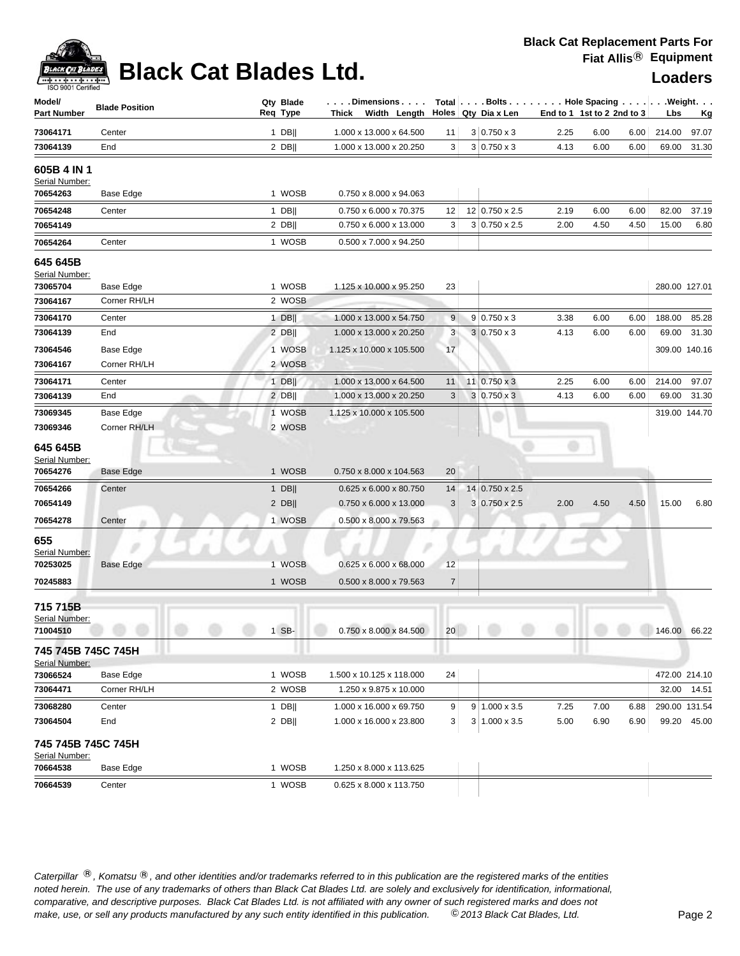| ACK CAT |
|---------|
|         |

### **Black Cat Blades Ltd. Loaders**

| ISO 9001 Certified                    |                       |                       |                                                               |                |                                    |                            |      |      |        |               |
|---------------------------------------|-----------------------|-----------------------|---------------------------------------------------------------|----------------|------------------------------------|----------------------------|------|------|--------|---------------|
| Model/<br><b>Part Number</b>          | <b>Blade Position</b> | Qty Blade<br>Req Type | .Dimensions<br>Thick Width Length $\vert$ Holes Qty Dia x Len |                | Total   Bolts Hole Spacing Weight. | End to 1 1st to 2 2nd to 3 |      |      | Lbs    | <u>Kg</u>     |
| 73064171                              | Center                | $1$ DB                | 1.000 x 13.000 x 64.500                                       | 11             | $3 0.750 \times 3$                 | 2.25                       | 6.00 | 6.00 | 214.00 | 97.07         |
| 73064139                              | End                   | $2$ DB                | 1.000 x 13.000 x 20.250                                       | 3              | $3 0.750 \times 3$                 | 4.13                       | 6.00 | 6.00 | 69.00  | 31.30         |
| 605B 4 IN 1<br>Serial Number:         |                       |                       |                                                               |                |                                    |                            |      |      |        |               |
| 70654263                              | Base Edge             | 1 WOSB                | 0.750 x 8.000 x 94.063                                        |                |                                    |                            |      |      |        |               |
| 70654248                              | Center                | $1$ DB                | 0.750 x 6.000 x 70.375                                        | 12             | 12 0.750 x 2.5                     | 2.19                       | 6.00 | 6.00 | 82.00  | 37.19         |
| 70654149                              |                       | $2$ DB                | 0.750 x 6.000 x 13.000                                        | 3              | $3 0.750 \times 2.5$               | 2.00                       | 4.50 | 4.50 | 15.00  | 6.80          |
| 70654264                              | Center                | 1 WOSB                | 0.500 x 7.000 x 94.250                                        |                |                                    |                            |      |      |        |               |
| 645 645B<br>Serial Number:            |                       |                       |                                                               |                |                                    |                            |      |      |        |               |
| 73065704                              | Base Edge             | 1 WOSB                | 1.125 x 10.000 x 95.250                                       | 23             |                                    |                            |      |      |        | 280.00 127.01 |
| 73064167                              | Corner RH/LH          | 2 WOSB                |                                                               |                |                                    |                            |      |      |        |               |
| 73064170                              | Center                | $1$ DB                | 1.000 x 13.000 x 54.750                                       | 9              | $9 0.750 \times 3$                 | 3.38                       | 6.00 | 6.00 | 188.00 | 85.28         |
| 73064139                              | End                   | $2$ DB                | 1.000 x 13.000 x 20.250                                       | 3              | $3 0.750 \times 3$                 | 4.13                       | 6.00 | 6.00 | 69.00  | 31.30         |
| 73064546                              | Base Edge             | 1 WOSB                | 1.125 x 10.000 x 105.500                                      | 17             |                                    |                            |      |      |        | 309.00 140.16 |
| 73064167                              | Corner RH/LH          | 2 WOSB                |                                                               |                |                                    |                            |      |      |        |               |
| 73064171                              | Center                | $1$ DB                | 1.000 x 13.000 x 64.500                                       | 11             | 11   0.750 x 3                     | 2.25                       | 6.00 | 6.00 | 214.00 | 97.07         |
| 73064139                              | End                   | $2$ DB                | 1.000 x 13.000 x 20.250                                       | 3              | $3 \mid 0.750 \times 3$            | 4.13                       | 6.00 | 6.00 | 69.00  | 31.30         |
| 73069345                              | Base Edge             | 1 WOSB                | 1.125 x 10.000 x 105.500                                      |                |                                    |                            |      |      |        | 319.00 144.70 |
| 73069346                              | Corner RH/LH          | 2 WOSB                |                                                               |                |                                    |                            |      |      |        |               |
| 645 645B<br>Serial Number:            |                       |                       |                                                               |                |                                    | o                          |      |      |        |               |
| 70654276                              | Base Edge             | 1 WOSB                | 0.750 x 8.000 x 104.563                                       | 20             |                                    |                            |      |      |        |               |
| 70654266                              | Center                | $1$ DB                | 0.625 x 6.000 x 80.750                                        | 14             | 14 0.750 x 2.5                     |                            |      |      |        |               |
| 70654149                              |                       | $2$ DB                | 0.750 x 6.000 x 13.000                                        | 3              | $3 0.750 \times 2.5$               | 2.00                       | 4.50 | 4.50 | 15.00  | 6.80          |
| 70654278                              | Center                | 1 WOSB                | 0.500 x 8.000 x 79.563                                        |                |                                    |                            |      |      |        |               |
| 655<br>Serial Number:                 |                       |                       |                                                               |                |                                    |                            |      |      |        |               |
| 70253025                              | Base Edge             | 1 WOSB                | 0.625 x 6.000 x 68.000                                        | 12             |                                    |                            |      |      |        |               |
| 70245883                              |                       | 1 WOSB                | 0.500 x 8.000 x 79.563                                        | $\overline{7}$ |                                    |                            |      |      |        |               |
| 715715B<br>Serial Number:<br>71004510 |                       | 1 SB-                 | $0.750 \times 8.000 \times 84.500$                            | 20             |                                    |                            |      |      |        | 146.00 66.22  |
|                                       |                       |                       |                                                               |                |                                    |                            |      |      |        |               |
| 745 745B 745C 745H<br>Serial Number:  |                       |                       |                                                               |                |                                    |                            |      |      |        |               |
| 73066524                              | Base Edge             | 1 WOSB                | 1.500 x 10.125 x 118.000                                      | 24             |                                    |                            |      |      |        | 472.00 214.10 |
| 73064471                              | Corner RH/LH          | 2 WOSB                | 1.250 x 9.875 x 10.000                                        |                |                                    |                            |      |      |        | 32.00 14.51   |
| 73068280                              | Center                | 1 DB                  | 1.000 x 16.000 x 69.750                                       | 9              | $9 1.000 \times 3.5$               | 7.25                       | 7.00 | 6.88 |        | 290.00 131.54 |
| 73064504                              | End                   | $2$ DB                | 1.000 x 16.000 x 23.800                                       | 3              | $3 1.000 \times 3.5$               | 5.00                       | 6.90 | 6.90 |        | 99.20 45.00   |
| 745 745B 745C 745H<br>Serial Number:  |                       |                       |                                                               |                |                                    |                            |      |      |        |               |
| 70664538                              | Base Edge             | 1 WOSB                | 1.250 x 8.000 x 113.625                                       |                |                                    |                            |      |      |        |               |

Caterpillar ®, Komatsu ®, and other identities and/or trademarks referred to in this publication are the registered marks of the entities *noted herein. The use of any trademarks of others than Black Cat Blades Ltd. are solely and exclusively for identification, informational, make, use, or sell any products manufactured by any such entity identified in this publication. comparative, and descriptive purposes. Black Cat Blades Ltd. is not affiliated with any owner of such registered marks and does not* ©*2013 Black Cat Blades, Ltd.* Page 2

**70664539** Center 1 WOSB 0.625 x 8.000 x 113.750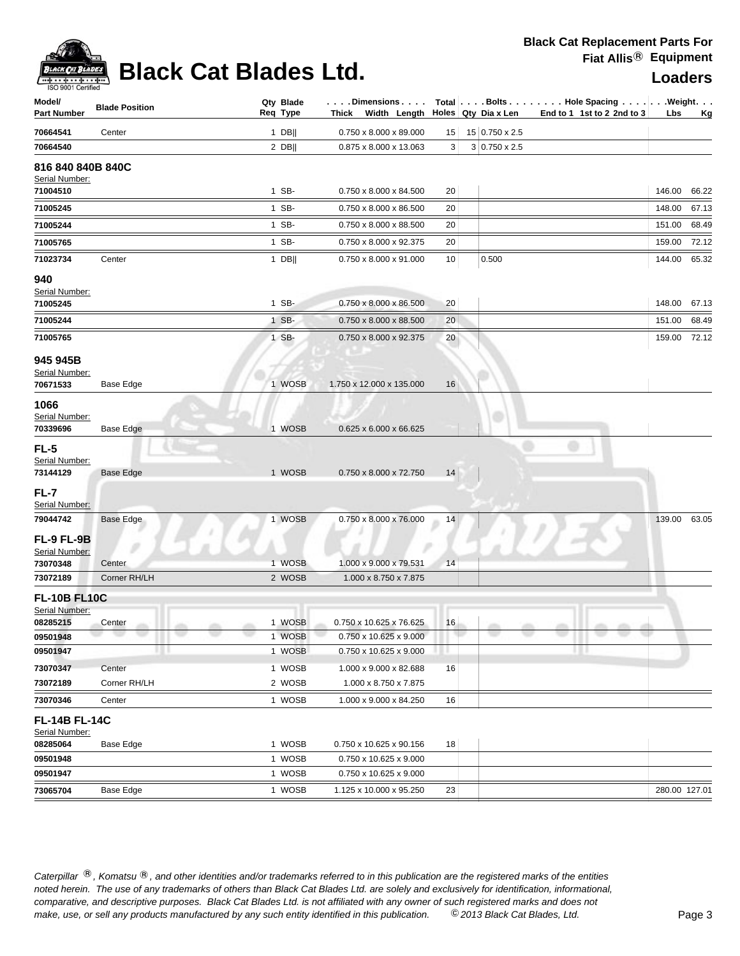

## **Black Cat Blades Ltd. Loaders Leaders**

| Model/<br><b>Part Number</b>                      | <b>Blade Position</b> | Qty Blade<br>Req Type | . Dimensions<br>Thick Width Length               |    | Holes Qty Dia x Len  | Total Bolts Hole Spacing Weight.<br>End to 1 1st to 2 2nd to 3 | Lbs           | <u>Kg</u> |
|---------------------------------------------------|-----------------------|-----------------------|--------------------------------------------------|----|----------------------|----------------------------------------------------------------|---------------|-----------|
| 70664541                                          | Center                | $1$ DB                | 0.750 x 8.000 x 89.000                           | 15 | 15 0.750 x 2.5       |                                                                |               |           |
| 70664540                                          |                       | $2$ DB                | 0.875 x 8.000 x 13.063                           | 3  | $3 0.750 \times 2.5$ |                                                                |               |           |
| 816 840 840B 840C<br>Serial Number:               |                       |                       |                                                  |    |                      |                                                                |               |           |
| 71004510                                          |                       | 1 SB-                 | 0.750 x 8.000 x 84.500                           | 20 |                      |                                                                | 146.00        | 66.22     |
| 71005245                                          |                       | 1 SB-                 | 0.750 x 8.000 x 86.500                           | 20 |                      |                                                                | 148.00        | 67.13     |
| 71005244                                          |                       | 1 SB-                 | 0.750 x 8.000 x 88.500                           | 20 |                      |                                                                | 151.00        | 68.49     |
| 71005765                                          |                       | 1 SB-                 | 0.750 x 8.000 x 92.375                           | 20 |                      |                                                                | 159.00        | 72.12     |
| 71023734                                          | Center                | $1$ DB                | $0.750 \times 8.000 \times 91.000$               | 10 | 0.500                |                                                                | 144.00        | 65.32     |
| 940<br>Serial Number:                             |                       |                       |                                                  |    |                      |                                                                |               |           |
| 71005245                                          |                       | 1 SB-                 | 0.750 x 8.000 x 86.500                           | 20 |                      |                                                                | 148.00        | 67.13     |
| 71005244                                          |                       | 1 SB-                 | 0.750 x 8.000 x 88.500                           | 20 |                      |                                                                | 151.00        | 68.49     |
| 71005765                                          |                       | 1 SB-                 | 0.750 x 8.000 x 92.375                           | 20 |                      |                                                                | 159.00 72.12  |           |
| 945 945B<br>Serial Number:<br>70671533            | Base Edge             | 1 WOSB                | 1.750 x 12.000 x 135.000                         | 16 |                      |                                                                |               |           |
| 1066<br>Serial Number:<br>70339696                | Base Edge             | 1 WOSB                | 0.625 x 6.000 x 66.625                           |    |                      |                                                                |               |           |
| FL-5<br>Serial Number:<br>73144129                | Base Edge             | 1 WOSB                | 0.750 x 8.000 x 72.750                           | 14 |                      |                                                                |               |           |
| FL-7<br>Serial Number:                            |                       |                       |                                                  |    |                      |                                                                |               |           |
| 79044742                                          | <b>Base Edge</b>      | 1 WOSB                | $0.750 \times 8.000 \times 76.000$               | 14 |                      |                                                                | 139.00        | 63.05     |
| FL-9 FL-9B<br>Serial Number:                      |                       |                       |                                                  |    |                      |                                                                |               |           |
| 73070348                                          | Center                | 1 WOSB                | 1.000 x 9.000 x 79.531                           | 14 |                      |                                                                |               |           |
| 73072189                                          | Corner RH/LH          | 2 WOSB                | 1.000 x 8.750 x 7.875                            |    |                      |                                                                |               |           |
| <b>FL-10B FL10C</b><br>Serial Number:<br>08285215 | Center                | 1 WOSB                | 0.750 x 10.625 x 76.625                          | 16 |                      |                                                                |               |           |
| 09501948                                          |                       | 1 WOSB                | 0.750 x 10.625 x 9.000                           |    |                      | ٠                                                              |               |           |
| 09501947                                          |                       | 1 WOSB                | 0.750 x 10.625 x 9.000                           |    |                      |                                                                |               |           |
| 73070347                                          | Center                | 1 WOSB                | 1.000 x 9.000 x 82.688                           | 16 |                      |                                                                |               |           |
| 73072189                                          | Corner RH/LH          | 2 WOSB                | 1.000 x 8.750 x 7.875                            |    |                      |                                                                |               |           |
| 73070346                                          | Center                | 1 WOSB                | 1.000 x 9.000 x 84.250                           | 16 |                      |                                                                |               |           |
| <b>FL-14B FL-14C</b><br>Serial Number:            |                       |                       |                                                  |    |                      |                                                                |               |           |
| 08285064                                          | Base Edge             | 1 WOSB                | 0.750 x 10.625 x 90.156                          | 18 |                      |                                                                |               |           |
| 09501948<br>09501947                              |                       | 1 WOSB<br>1 WOSB      | 0.750 x 10.625 x 9.000<br>0.750 x 10.625 x 9.000 |    |                      |                                                                |               |           |
| 73065704                                          | <b>Base Edge</b>      | 1 WOSB                | 1.125 x 10.000 x 95.250                          | 23 |                      |                                                                | 280.00 127.01 |           |
|                                                   |                       |                       |                                                  |    |                      |                                                                |               |           |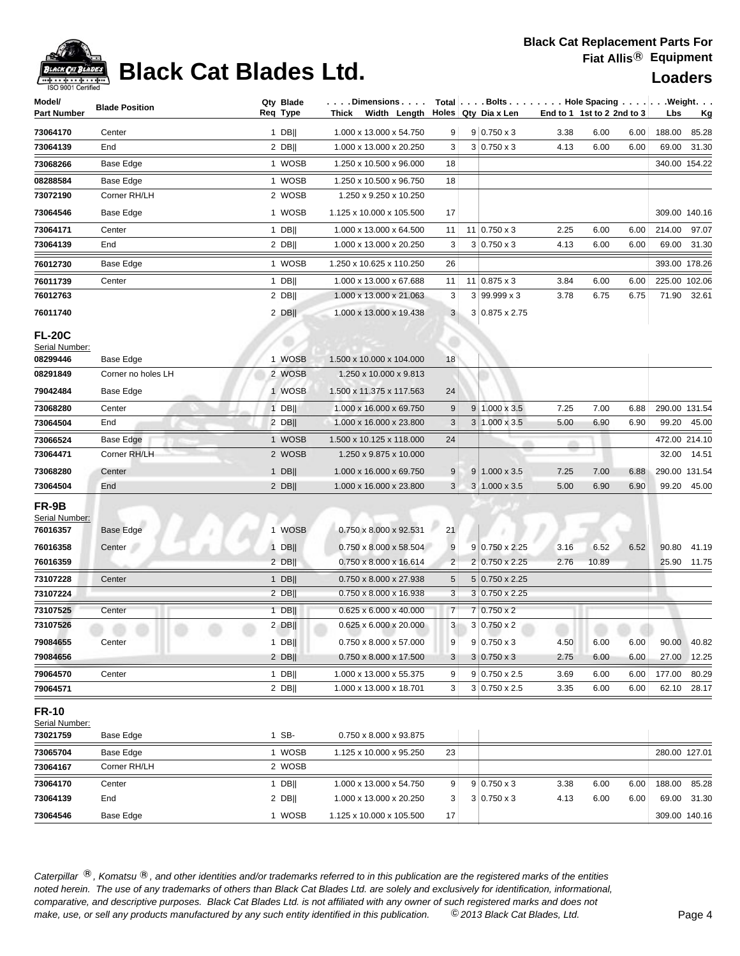## **Black Cat Blades Ltd. Loaders Leaders**

| Holes Qty Dia x Len<br>End to 1 1st to 2 2nd to 3<br><b>Part Number</b><br>Thick Width Length<br>Lbs<br><u>Kg</u><br>1.000 x 13.000 x 54.750<br>$9 0.750 \times 3$<br>73064170<br>$1$ DB  <br>6.00<br>188.00<br>85.28<br>Center<br>9<br>3.38<br>6.00<br>$3 0.750 \times 3$<br>73064139<br>$2$ DB  <br>1.000 x 13.000 x 20.250<br>3<br>4.13<br>6.00<br>6.00<br>69.00<br>31.30<br>End<br>73068266<br>Base Edge<br>1 WOSB<br>1.250 x 10.500 x 96.000<br>340.00 154.22<br>18<br>1 WOSB<br>08288584<br>Base Edge<br>1.250 x 10.500 x 96.750<br>18<br>Corner RH/LH<br>2 WOSB<br>73072190<br>1.250 x 9.250 x 10.250<br>1 WOSB<br>Base Edge<br>1.125 x 10.000 x 105.500<br>17<br>309.00 140.16<br>73064546<br>$1$ DB  <br>1.000 x 13.000 x 64.500<br>$11 \mid 0.750 \times 3$<br>2.25<br>6.00<br>6.00<br>214.00<br>97.07<br>73064171<br>Center<br>11<br>$2$ DB  <br>1.000 x 13.000 x 20.250<br>3<br>$3 0.750 \times 3$<br>4.13<br>6.00<br>6.00<br>69.00<br>73064139<br>End<br>31.30<br>76012730<br>Base Edge<br>1 WOSB<br>1.250 x 10.625 x 110.250<br>26<br>393.00 178.26<br>$1$ DB  <br>225.00 102.06<br>76011739<br>Center<br>1.000 x 13.000 x 67.688<br>11<br>11   0.875 x 3<br>3.84<br>6.00<br>6.00<br>$2$ DB  <br>$3 99.999 \times 3$<br>76012763<br>1.000 x 13.000 x 21.063<br>3<br>3.78<br>6.75<br>6.75<br>71.90 32.61<br>76011740<br>$2$ DB  <br>1.000 x 13.000 x 19.438<br>3<br>3 0.875 x 2.75<br><b>FL-20C</b><br>Serial Number:<br>1.500 x 10.000 x 104.000<br>08299446<br>Base Edge<br>1 WOSB<br>18<br>2 WOSB<br>08291849<br>Corner no holes LH<br>1.250 x 10.000 x 9.813<br>79042484<br>Base Edge<br>1 WOSB<br>1.500 x 11.375 x 117.563<br>24<br>Center<br>$1$ DB  <br>1.000 x 16.000 x 69.750<br>9<br>$9 1.000 \times 3.5$<br>7.25<br>7.00<br>6.88<br>290.00 131.54<br>73068280<br>$2$ DB  <br>3<br>$3 1.000 \times 3.5$<br>5.00<br>6.90<br>99.20<br>45.00<br>73064504<br>End<br>1.000 x 16.000 x 23.800<br>6.90<br>1 WOSB<br>472.00 214.10<br>1.500 x 10.125 x 118.000<br>24<br>Base Edge<br>73066524<br>m<br>Corner RH/LH<br>2 WOSB<br>32.00<br>73064471<br>1.250 x 9.875 x 10.000<br>14.51<br>$1$ DB  <br>1.000 x 16.000 x 69.750<br>9<br>$9 1.000 \times 3.5$<br>7.00<br>6.88<br>290.00 131.54<br>73068280<br>Center<br>7.25<br>3<br>99.20 45.00<br>73064504<br>End<br>$2$ DB  <br>1.000 x 16.000 x 23.800<br>$3 1.000 \times 3.5$<br>5.00<br>6.90<br>6.90<br>FR-9B<br>Serial Number:<br>76016357<br>1 WOSB<br>0.750 x 8.000 x 92.531<br>21<br>Base Edge<br>76016358<br>$1$ DB  <br>0.750 x 8.000 x 58.504<br>9<br>$9 0.750 \times 2.25$<br>3.16<br>6.52<br>6.52<br>90.80<br>41.19<br>Center<br>76016359<br>$2$ DB  <br>$\overline{2}$<br>2 0.750 x 2.25<br>2.76<br>10.89<br>25.90 11.75<br>0.750 x 8.000 x 16.614<br>73107228<br>5<br>5 0.750 x 2.25<br>1 DB<br>0.750 x 8.000 x 27.938<br>Center<br>3<br>73107224<br>$2$ DB  <br>0.750 x 8.000 x 16.938<br>$3 0.750 \times 2.25$<br>$\overline{7}$<br>$7 0.750 \times 2$<br>73107525<br>$1$ DB  <br>$0.625 \times 6.000 \times 40.000$<br>Center<br>73107526<br>$2$ DB  <br>$3 0.750 \times 2$<br>$0.625 \times 6.000 \times 20.000$<br>3<br><b>COL</b><br>m<br>-FB<br>$9 0.750 \times 3$<br>79084655<br>Center<br>$1$ DB  <br>0.750 x 8.000 x 57.000<br>9<br>4.50<br>6.00<br>6.00<br>90.00<br>40.82<br>79084656<br>$2$ DB  <br>0.750 x 8.000 x 17.500<br>$3 0.750 \times 3$<br>2.75<br>6.00<br>6.00<br>27.00<br>12.25<br>3<br>$1$ DB  <br>1.000 x 13.000 x 55.375<br>$9 0.750 \times 2.5$<br>177.00<br>80.29<br>79064570<br>Center<br>9<br>6.00<br>3.69<br>6.00<br>79064571<br>$2$ DB  <br>3 <sup>2</sup><br>$3 0.750 \times 2.5$<br>1.000 x 13.000 x 18.701<br>3.35<br>6.00<br>6.00<br>62.10<br>28.17<br><b>FR-10</b><br>Serial Number:<br>1 SB-<br>73021759<br>0.750 x 8.000 x 93.875<br>Base Edge<br>1 WOSB<br>280.00 127.01<br>Base Edge<br>1.125 x 10.000 x 95.250<br>23<br>73065704<br>Corner RH/LH<br>2 WOSB<br>73064167<br>$1$ DB  <br>1.000 x 13.000 x 54.750<br>$9 0.750 \times 3$<br>3.38<br>6.00<br>188.00<br>85.28<br>73064170<br>Center<br>9<br>6.00<br>73064139<br>$2$ DB  <br>$3 0.750 \times 3$<br>69.00<br>31.30<br>End<br>1.000 x 13.000 x 20.250<br>3<br>4.13<br>6.00<br>6.00<br>1 WOSB<br>Base Edge<br>1.125 x 10.000 x 105.500<br>17<br>309.00 140.16<br>73064546 | Model/ | <b>Blade Position</b> | Qty Blade | . Dimensions |  | Total $\left[\ldots\right]$ Bolts $\ldots$ $\left[\ldots\right]$ Hole Spacing $\ldots\left[\ldots\right]$ . Weight. $\ldots$ |  |  |  |
|-----------------------------------------------------------------------------------------------------------------------------------------------------------------------------------------------------------------------------------------------------------------------------------------------------------------------------------------------------------------------------------------------------------------------------------------------------------------------------------------------------------------------------------------------------------------------------------------------------------------------------------------------------------------------------------------------------------------------------------------------------------------------------------------------------------------------------------------------------------------------------------------------------------------------------------------------------------------------------------------------------------------------------------------------------------------------------------------------------------------------------------------------------------------------------------------------------------------------------------------------------------------------------------------------------------------------------------------------------------------------------------------------------------------------------------------------------------------------------------------------------------------------------------------------------------------------------------------------------------------------------------------------------------------------------------------------------------------------------------------------------------------------------------------------------------------------------------------------------------------------------------------------------------------------------------------------------------------------------------------------------------------------------------------------------------------------------------------------------------------------------------------------------------------------------------------------------------------------------------------------------------------------------------------------------------------------------------------------------------------------------------------------------------------------------------------------------------------------------------------------------------------------------------------------------------------------------------------------------------------------------------------------------------------------------------------------------------------------------------------------------------------------------------------------------------------------------------------------------------------------------------------------------------------------------------------------------------------------------------------------------------------------------------------------------------------------------------------------------------------------------------------------------------------------------------------------------------------------------------------------------------------------------------------------------------------------------------------------------------------------------------------------------------------------------------------------------------------------------------------------------------------------------------------------------------------------------------------------------------------------------------------------------------------------------------------------------------------------------------------------------------------------------------------------------------------------------------------------------------------------------------------------------------------------------------------------------------------------------------------------------------------------------------------------------------------------------------------------------------------------------------------------------------------------------------------------------------------------------------------------------|--------|-----------------------|-----------|--------------|--|------------------------------------------------------------------------------------------------------------------------------|--|--|--|
|                                                                                                                                                                                                                                                                                                                                                                                                                                                                                                                                                                                                                                                                                                                                                                                                                                                                                                                                                                                                                                                                                                                                                                                                                                                                                                                                                                                                                                                                                                                                                                                                                                                                                                                                                                                                                                                                                                                                                                                                                                                                                                                                                                                                                                                                                                                                                                                                                                                                                                                                                                                                                                                                                                                                                                                                                                                                                                                                                                                                                                                                                                                                                                                                                                                                                                                                                                                                                                                                                                                                                                                                                                                                                                                                                                                                                                                                                                                                                                                                                                                                                                                                                                                                                                                     |        |                       | Req Type  |              |  |                                                                                                                              |  |  |  |
|                                                                                                                                                                                                                                                                                                                                                                                                                                                                                                                                                                                                                                                                                                                                                                                                                                                                                                                                                                                                                                                                                                                                                                                                                                                                                                                                                                                                                                                                                                                                                                                                                                                                                                                                                                                                                                                                                                                                                                                                                                                                                                                                                                                                                                                                                                                                                                                                                                                                                                                                                                                                                                                                                                                                                                                                                                                                                                                                                                                                                                                                                                                                                                                                                                                                                                                                                                                                                                                                                                                                                                                                                                                                                                                                                                                                                                                                                                                                                                                                                                                                                                                                                                                                                                                     |        |                       |           |              |  |                                                                                                                              |  |  |  |
|                                                                                                                                                                                                                                                                                                                                                                                                                                                                                                                                                                                                                                                                                                                                                                                                                                                                                                                                                                                                                                                                                                                                                                                                                                                                                                                                                                                                                                                                                                                                                                                                                                                                                                                                                                                                                                                                                                                                                                                                                                                                                                                                                                                                                                                                                                                                                                                                                                                                                                                                                                                                                                                                                                                                                                                                                                                                                                                                                                                                                                                                                                                                                                                                                                                                                                                                                                                                                                                                                                                                                                                                                                                                                                                                                                                                                                                                                                                                                                                                                                                                                                                                                                                                                                                     |        |                       |           |              |  |                                                                                                                              |  |  |  |
|                                                                                                                                                                                                                                                                                                                                                                                                                                                                                                                                                                                                                                                                                                                                                                                                                                                                                                                                                                                                                                                                                                                                                                                                                                                                                                                                                                                                                                                                                                                                                                                                                                                                                                                                                                                                                                                                                                                                                                                                                                                                                                                                                                                                                                                                                                                                                                                                                                                                                                                                                                                                                                                                                                                                                                                                                                                                                                                                                                                                                                                                                                                                                                                                                                                                                                                                                                                                                                                                                                                                                                                                                                                                                                                                                                                                                                                                                                                                                                                                                                                                                                                                                                                                                                                     |        |                       |           |              |  |                                                                                                                              |  |  |  |
|                                                                                                                                                                                                                                                                                                                                                                                                                                                                                                                                                                                                                                                                                                                                                                                                                                                                                                                                                                                                                                                                                                                                                                                                                                                                                                                                                                                                                                                                                                                                                                                                                                                                                                                                                                                                                                                                                                                                                                                                                                                                                                                                                                                                                                                                                                                                                                                                                                                                                                                                                                                                                                                                                                                                                                                                                                                                                                                                                                                                                                                                                                                                                                                                                                                                                                                                                                                                                                                                                                                                                                                                                                                                                                                                                                                                                                                                                                                                                                                                                                                                                                                                                                                                                                                     |        |                       |           |              |  |                                                                                                                              |  |  |  |
|                                                                                                                                                                                                                                                                                                                                                                                                                                                                                                                                                                                                                                                                                                                                                                                                                                                                                                                                                                                                                                                                                                                                                                                                                                                                                                                                                                                                                                                                                                                                                                                                                                                                                                                                                                                                                                                                                                                                                                                                                                                                                                                                                                                                                                                                                                                                                                                                                                                                                                                                                                                                                                                                                                                                                                                                                                                                                                                                                                                                                                                                                                                                                                                                                                                                                                                                                                                                                                                                                                                                                                                                                                                                                                                                                                                                                                                                                                                                                                                                                                                                                                                                                                                                                                                     |        |                       |           |              |  |                                                                                                                              |  |  |  |
|                                                                                                                                                                                                                                                                                                                                                                                                                                                                                                                                                                                                                                                                                                                                                                                                                                                                                                                                                                                                                                                                                                                                                                                                                                                                                                                                                                                                                                                                                                                                                                                                                                                                                                                                                                                                                                                                                                                                                                                                                                                                                                                                                                                                                                                                                                                                                                                                                                                                                                                                                                                                                                                                                                                                                                                                                                                                                                                                                                                                                                                                                                                                                                                                                                                                                                                                                                                                                                                                                                                                                                                                                                                                                                                                                                                                                                                                                                                                                                                                                                                                                                                                                                                                                                                     |        |                       |           |              |  |                                                                                                                              |  |  |  |
|                                                                                                                                                                                                                                                                                                                                                                                                                                                                                                                                                                                                                                                                                                                                                                                                                                                                                                                                                                                                                                                                                                                                                                                                                                                                                                                                                                                                                                                                                                                                                                                                                                                                                                                                                                                                                                                                                                                                                                                                                                                                                                                                                                                                                                                                                                                                                                                                                                                                                                                                                                                                                                                                                                                                                                                                                                                                                                                                                                                                                                                                                                                                                                                                                                                                                                                                                                                                                                                                                                                                                                                                                                                                                                                                                                                                                                                                                                                                                                                                                                                                                                                                                                                                                                                     |        |                       |           |              |  |                                                                                                                              |  |  |  |
|                                                                                                                                                                                                                                                                                                                                                                                                                                                                                                                                                                                                                                                                                                                                                                                                                                                                                                                                                                                                                                                                                                                                                                                                                                                                                                                                                                                                                                                                                                                                                                                                                                                                                                                                                                                                                                                                                                                                                                                                                                                                                                                                                                                                                                                                                                                                                                                                                                                                                                                                                                                                                                                                                                                                                                                                                                                                                                                                                                                                                                                                                                                                                                                                                                                                                                                                                                                                                                                                                                                                                                                                                                                                                                                                                                                                                                                                                                                                                                                                                                                                                                                                                                                                                                                     |        |                       |           |              |  |                                                                                                                              |  |  |  |
|                                                                                                                                                                                                                                                                                                                                                                                                                                                                                                                                                                                                                                                                                                                                                                                                                                                                                                                                                                                                                                                                                                                                                                                                                                                                                                                                                                                                                                                                                                                                                                                                                                                                                                                                                                                                                                                                                                                                                                                                                                                                                                                                                                                                                                                                                                                                                                                                                                                                                                                                                                                                                                                                                                                                                                                                                                                                                                                                                                                                                                                                                                                                                                                                                                                                                                                                                                                                                                                                                                                                                                                                                                                                                                                                                                                                                                                                                                                                                                                                                                                                                                                                                                                                                                                     |        |                       |           |              |  |                                                                                                                              |  |  |  |
|                                                                                                                                                                                                                                                                                                                                                                                                                                                                                                                                                                                                                                                                                                                                                                                                                                                                                                                                                                                                                                                                                                                                                                                                                                                                                                                                                                                                                                                                                                                                                                                                                                                                                                                                                                                                                                                                                                                                                                                                                                                                                                                                                                                                                                                                                                                                                                                                                                                                                                                                                                                                                                                                                                                                                                                                                                                                                                                                                                                                                                                                                                                                                                                                                                                                                                                                                                                                                                                                                                                                                                                                                                                                                                                                                                                                                                                                                                                                                                                                                                                                                                                                                                                                                                                     |        |                       |           |              |  |                                                                                                                              |  |  |  |
|                                                                                                                                                                                                                                                                                                                                                                                                                                                                                                                                                                                                                                                                                                                                                                                                                                                                                                                                                                                                                                                                                                                                                                                                                                                                                                                                                                                                                                                                                                                                                                                                                                                                                                                                                                                                                                                                                                                                                                                                                                                                                                                                                                                                                                                                                                                                                                                                                                                                                                                                                                                                                                                                                                                                                                                                                                                                                                                                                                                                                                                                                                                                                                                                                                                                                                                                                                                                                                                                                                                                                                                                                                                                                                                                                                                                                                                                                                                                                                                                                                                                                                                                                                                                                                                     |        |                       |           |              |  |                                                                                                                              |  |  |  |
|                                                                                                                                                                                                                                                                                                                                                                                                                                                                                                                                                                                                                                                                                                                                                                                                                                                                                                                                                                                                                                                                                                                                                                                                                                                                                                                                                                                                                                                                                                                                                                                                                                                                                                                                                                                                                                                                                                                                                                                                                                                                                                                                                                                                                                                                                                                                                                                                                                                                                                                                                                                                                                                                                                                                                                                                                                                                                                                                                                                                                                                                                                                                                                                                                                                                                                                                                                                                                                                                                                                                                                                                                                                                                                                                                                                                                                                                                                                                                                                                                                                                                                                                                                                                                                                     |        |                       |           |              |  |                                                                                                                              |  |  |  |
|                                                                                                                                                                                                                                                                                                                                                                                                                                                                                                                                                                                                                                                                                                                                                                                                                                                                                                                                                                                                                                                                                                                                                                                                                                                                                                                                                                                                                                                                                                                                                                                                                                                                                                                                                                                                                                                                                                                                                                                                                                                                                                                                                                                                                                                                                                                                                                                                                                                                                                                                                                                                                                                                                                                                                                                                                                                                                                                                                                                                                                                                                                                                                                                                                                                                                                                                                                                                                                                                                                                                                                                                                                                                                                                                                                                                                                                                                                                                                                                                                                                                                                                                                                                                                                                     |        |                       |           |              |  |                                                                                                                              |  |  |  |
|                                                                                                                                                                                                                                                                                                                                                                                                                                                                                                                                                                                                                                                                                                                                                                                                                                                                                                                                                                                                                                                                                                                                                                                                                                                                                                                                                                                                                                                                                                                                                                                                                                                                                                                                                                                                                                                                                                                                                                                                                                                                                                                                                                                                                                                                                                                                                                                                                                                                                                                                                                                                                                                                                                                                                                                                                                                                                                                                                                                                                                                                                                                                                                                                                                                                                                                                                                                                                                                                                                                                                                                                                                                                                                                                                                                                                                                                                                                                                                                                                                                                                                                                                                                                                                                     |        |                       |           |              |  |                                                                                                                              |  |  |  |
|                                                                                                                                                                                                                                                                                                                                                                                                                                                                                                                                                                                                                                                                                                                                                                                                                                                                                                                                                                                                                                                                                                                                                                                                                                                                                                                                                                                                                                                                                                                                                                                                                                                                                                                                                                                                                                                                                                                                                                                                                                                                                                                                                                                                                                                                                                                                                                                                                                                                                                                                                                                                                                                                                                                                                                                                                                                                                                                                                                                                                                                                                                                                                                                                                                                                                                                                                                                                                                                                                                                                                                                                                                                                                                                                                                                                                                                                                                                                                                                                                                                                                                                                                                                                                                                     |        |                       |           |              |  |                                                                                                                              |  |  |  |
|                                                                                                                                                                                                                                                                                                                                                                                                                                                                                                                                                                                                                                                                                                                                                                                                                                                                                                                                                                                                                                                                                                                                                                                                                                                                                                                                                                                                                                                                                                                                                                                                                                                                                                                                                                                                                                                                                                                                                                                                                                                                                                                                                                                                                                                                                                                                                                                                                                                                                                                                                                                                                                                                                                                                                                                                                                                                                                                                                                                                                                                                                                                                                                                                                                                                                                                                                                                                                                                                                                                                                                                                                                                                                                                                                                                                                                                                                                                                                                                                                                                                                                                                                                                                                                                     |        |                       |           |              |  |                                                                                                                              |  |  |  |
|                                                                                                                                                                                                                                                                                                                                                                                                                                                                                                                                                                                                                                                                                                                                                                                                                                                                                                                                                                                                                                                                                                                                                                                                                                                                                                                                                                                                                                                                                                                                                                                                                                                                                                                                                                                                                                                                                                                                                                                                                                                                                                                                                                                                                                                                                                                                                                                                                                                                                                                                                                                                                                                                                                                                                                                                                                                                                                                                                                                                                                                                                                                                                                                                                                                                                                                                                                                                                                                                                                                                                                                                                                                                                                                                                                                                                                                                                                                                                                                                                                                                                                                                                                                                                                                     |        |                       |           |              |  |                                                                                                                              |  |  |  |
|                                                                                                                                                                                                                                                                                                                                                                                                                                                                                                                                                                                                                                                                                                                                                                                                                                                                                                                                                                                                                                                                                                                                                                                                                                                                                                                                                                                                                                                                                                                                                                                                                                                                                                                                                                                                                                                                                                                                                                                                                                                                                                                                                                                                                                                                                                                                                                                                                                                                                                                                                                                                                                                                                                                                                                                                                                                                                                                                                                                                                                                                                                                                                                                                                                                                                                                                                                                                                                                                                                                                                                                                                                                                                                                                                                                                                                                                                                                                                                                                                                                                                                                                                                                                                                                     |        |                       |           |              |  |                                                                                                                              |  |  |  |
|                                                                                                                                                                                                                                                                                                                                                                                                                                                                                                                                                                                                                                                                                                                                                                                                                                                                                                                                                                                                                                                                                                                                                                                                                                                                                                                                                                                                                                                                                                                                                                                                                                                                                                                                                                                                                                                                                                                                                                                                                                                                                                                                                                                                                                                                                                                                                                                                                                                                                                                                                                                                                                                                                                                                                                                                                                                                                                                                                                                                                                                                                                                                                                                                                                                                                                                                                                                                                                                                                                                                                                                                                                                                                                                                                                                                                                                                                                                                                                                                                                                                                                                                                                                                                                                     |        |                       |           |              |  |                                                                                                                              |  |  |  |
|                                                                                                                                                                                                                                                                                                                                                                                                                                                                                                                                                                                                                                                                                                                                                                                                                                                                                                                                                                                                                                                                                                                                                                                                                                                                                                                                                                                                                                                                                                                                                                                                                                                                                                                                                                                                                                                                                                                                                                                                                                                                                                                                                                                                                                                                                                                                                                                                                                                                                                                                                                                                                                                                                                                                                                                                                                                                                                                                                                                                                                                                                                                                                                                                                                                                                                                                                                                                                                                                                                                                                                                                                                                                                                                                                                                                                                                                                                                                                                                                                                                                                                                                                                                                                                                     |        |                       |           |              |  |                                                                                                                              |  |  |  |
|                                                                                                                                                                                                                                                                                                                                                                                                                                                                                                                                                                                                                                                                                                                                                                                                                                                                                                                                                                                                                                                                                                                                                                                                                                                                                                                                                                                                                                                                                                                                                                                                                                                                                                                                                                                                                                                                                                                                                                                                                                                                                                                                                                                                                                                                                                                                                                                                                                                                                                                                                                                                                                                                                                                                                                                                                                                                                                                                                                                                                                                                                                                                                                                                                                                                                                                                                                                                                                                                                                                                                                                                                                                                                                                                                                                                                                                                                                                                                                                                                                                                                                                                                                                                                                                     |        |                       |           |              |  |                                                                                                                              |  |  |  |
|                                                                                                                                                                                                                                                                                                                                                                                                                                                                                                                                                                                                                                                                                                                                                                                                                                                                                                                                                                                                                                                                                                                                                                                                                                                                                                                                                                                                                                                                                                                                                                                                                                                                                                                                                                                                                                                                                                                                                                                                                                                                                                                                                                                                                                                                                                                                                                                                                                                                                                                                                                                                                                                                                                                                                                                                                                                                                                                                                                                                                                                                                                                                                                                                                                                                                                                                                                                                                                                                                                                                                                                                                                                                                                                                                                                                                                                                                                                                                                                                                                                                                                                                                                                                                                                     |        |                       |           |              |  |                                                                                                                              |  |  |  |
|                                                                                                                                                                                                                                                                                                                                                                                                                                                                                                                                                                                                                                                                                                                                                                                                                                                                                                                                                                                                                                                                                                                                                                                                                                                                                                                                                                                                                                                                                                                                                                                                                                                                                                                                                                                                                                                                                                                                                                                                                                                                                                                                                                                                                                                                                                                                                                                                                                                                                                                                                                                                                                                                                                                                                                                                                                                                                                                                                                                                                                                                                                                                                                                                                                                                                                                                                                                                                                                                                                                                                                                                                                                                                                                                                                                                                                                                                                                                                                                                                                                                                                                                                                                                                                                     |        |                       |           |              |  |                                                                                                                              |  |  |  |
|                                                                                                                                                                                                                                                                                                                                                                                                                                                                                                                                                                                                                                                                                                                                                                                                                                                                                                                                                                                                                                                                                                                                                                                                                                                                                                                                                                                                                                                                                                                                                                                                                                                                                                                                                                                                                                                                                                                                                                                                                                                                                                                                                                                                                                                                                                                                                                                                                                                                                                                                                                                                                                                                                                                                                                                                                                                                                                                                                                                                                                                                                                                                                                                                                                                                                                                                                                                                                                                                                                                                                                                                                                                                                                                                                                                                                                                                                                                                                                                                                                                                                                                                                                                                                                                     |        |                       |           |              |  |                                                                                                                              |  |  |  |
|                                                                                                                                                                                                                                                                                                                                                                                                                                                                                                                                                                                                                                                                                                                                                                                                                                                                                                                                                                                                                                                                                                                                                                                                                                                                                                                                                                                                                                                                                                                                                                                                                                                                                                                                                                                                                                                                                                                                                                                                                                                                                                                                                                                                                                                                                                                                                                                                                                                                                                                                                                                                                                                                                                                                                                                                                                                                                                                                                                                                                                                                                                                                                                                                                                                                                                                                                                                                                                                                                                                                                                                                                                                                                                                                                                                                                                                                                                                                                                                                                                                                                                                                                                                                                                                     |        |                       |           |              |  |                                                                                                                              |  |  |  |
|                                                                                                                                                                                                                                                                                                                                                                                                                                                                                                                                                                                                                                                                                                                                                                                                                                                                                                                                                                                                                                                                                                                                                                                                                                                                                                                                                                                                                                                                                                                                                                                                                                                                                                                                                                                                                                                                                                                                                                                                                                                                                                                                                                                                                                                                                                                                                                                                                                                                                                                                                                                                                                                                                                                                                                                                                                                                                                                                                                                                                                                                                                                                                                                                                                                                                                                                                                                                                                                                                                                                                                                                                                                                                                                                                                                                                                                                                                                                                                                                                                                                                                                                                                                                                                                     |        |                       |           |              |  |                                                                                                                              |  |  |  |
|                                                                                                                                                                                                                                                                                                                                                                                                                                                                                                                                                                                                                                                                                                                                                                                                                                                                                                                                                                                                                                                                                                                                                                                                                                                                                                                                                                                                                                                                                                                                                                                                                                                                                                                                                                                                                                                                                                                                                                                                                                                                                                                                                                                                                                                                                                                                                                                                                                                                                                                                                                                                                                                                                                                                                                                                                                                                                                                                                                                                                                                                                                                                                                                                                                                                                                                                                                                                                                                                                                                                                                                                                                                                                                                                                                                                                                                                                                                                                                                                                                                                                                                                                                                                                                                     |        |                       |           |              |  |                                                                                                                              |  |  |  |
|                                                                                                                                                                                                                                                                                                                                                                                                                                                                                                                                                                                                                                                                                                                                                                                                                                                                                                                                                                                                                                                                                                                                                                                                                                                                                                                                                                                                                                                                                                                                                                                                                                                                                                                                                                                                                                                                                                                                                                                                                                                                                                                                                                                                                                                                                                                                                                                                                                                                                                                                                                                                                                                                                                                                                                                                                                                                                                                                                                                                                                                                                                                                                                                                                                                                                                                                                                                                                                                                                                                                                                                                                                                                                                                                                                                                                                                                                                                                                                                                                                                                                                                                                                                                                                                     |        |                       |           |              |  |                                                                                                                              |  |  |  |
|                                                                                                                                                                                                                                                                                                                                                                                                                                                                                                                                                                                                                                                                                                                                                                                                                                                                                                                                                                                                                                                                                                                                                                                                                                                                                                                                                                                                                                                                                                                                                                                                                                                                                                                                                                                                                                                                                                                                                                                                                                                                                                                                                                                                                                                                                                                                                                                                                                                                                                                                                                                                                                                                                                                                                                                                                                                                                                                                                                                                                                                                                                                                                                                                                                                                                                                                                                                                                                                                                                                                                                                                                                                                                                                                                                                                                                                                                                                                                                                                                                                                                                                                                                                                                                                     |        |                       |           |              |  |                                                                                                                              |  |  |  |
|                                                                                                                                                                                                                                                                                                                                                                                                                                                                                                                                                                                                                                                                                                                                                                                                                                                                                                                                                                                                                                                                                                                                                                                                                                                                                                                                                                                                                                                                                                                                                                                                                                                                                                                                                                                                                                                                                                                                                                                                                                                                                                                                                                                                                                                                                                                                                                                                                                                                                                                                                                                                                                                                                                                                                                                                                                                                                                                                                                                                                                                                                                                                                                                                                                                                                                                                                                                                                                                                                                                                                                                                                                                                                                                                                                                                                                                                                                                                                                                                                                                                                                                                                                                                                                                     |        |                       |           |              |  |                                                                                                                              |  |  |  |
|                                                                                                                                                                                                                                                                                                                                                                                                                                                                                                                                                                                                                                                                                                                                                                                                                                                                                                                                                                                                                                                                                                                                                                                                                                                                                                                                                                                                                                                                                                                                                                                                                                                                                                                                                                                                                                                                                                                                                                                                                                                                                                                                                                                                                                                                                                                                                                                                                                                                                                                                                                                                                                                                                                                                                                                                                                                                                                                                                                                                                                                                                                                                                                                                                                                                                                                                                                                                                                                                                                                                                                                                                                                                                                                                                                                                                                                                                                                                                                                                                                                                                                                                                                                                                                                     |        |                       |           |              |  |                                                                                                                              |  |  |  |
|                                                                                                                                                                                                                                                                                                                                                                                                                                                                                                                                                                                                                                                                                                                                                                                                                                                                                                                                                                                                                                                                                                                                                                                                                                                                                                                                                                                                                                                                                                                                                                                                                                                                                                                                                                                                                                                                                                                                                                                                                                                                                                                                                                                                                                                                                                                                                                                                                                                                                                                                                                                                                                                                                                                                                                                                                                                                                                                                                                                                                                                                                                                                                                                                                                                                                                                                                                                                                                                                                                                                                                                                                                                                                                                                                                                                                                                                                                                                                                                                                                                                                                                                                                                                                                                     |        |                       |           |              |  |                                                                                                                              |  |  |  |
|                                                                                                                                                                                                                                                                                                                                                                                                                                                                                                                                                                                                                                                                                                                                                                                                                                                                                                                                                                                                                                                                                                                                                                                                                                                                                                                                                                                                                                                                                                                                                                                                                                                                                                                                                                                                                                                                                                                                                                                                                                                                                                                                                                                                                                                                                                                                                                                                                                                                                                                                                                                                                                                                                                                                                                                                                                                                                                                                                                                                                                                                                                                                                                                                                                                                                                                                                                                                                                                                                                                                                                                                                                                                                                                                                                                                                                                                                                                                                                                                                                                                                                                                                                                                                                                     |        |                       |           |              |  |                                                                                                                              |  |  |  |
|                                                                                                                                                                                                                                                                                                                                                                                                                                                                                                                                                                                                                                                                                                                                                                                                                                                                                                                                                                                                                                                                                                                                                                                                                                                                                                                                                                                                                                                                                                                                                                                                                                                                                                                                                                                                                                                                                                                                                                                                                                                                                                                                                                                                                                                                                                                                                                                                                                                                                                                                                                                                                                                                                                                                                                                                                                                                                                                                                                                                                                                                                                                                                                                                                                                                                                                                                                                                                                                                                                                                                                                                                                                                                                                                                                                                                                                                                                                                                                                                                                                                                                                                                                                                                                                     |        |                       |           |              |  |                                                                                                                              |  |  |  |
|                                                                                                                                                                                                                                                                                                                                                                                                                                                                                                                                                                                                                                                                                                                                                                                                                                                                                                                                                                                                                                                                                                                                                                                                                                                                                                                                                                                                                                                                                                                                                                                                                                                                                                                                                                                                                                                                                                                                                                                                                                                                                                                                                                                                                                                                                                                                                                                                                                                                                                                                                                                                                                                                                                                                                                                                                                                                                                                                                                                                                                                                                                                                                                                                                                                                                                                                                                                                                                                                                                                                                                                                                                                                                                                                                                                                                                                                                                                                                                                                                                                                                                                                                                                                                                                     |        |                       |           |              |  |                                                                                                                              |  |  |  |
|                                                                                                                                                                                                                                                                                                                                                                                                                                                                                                                                                                                                                                                                                                                                                                                                                                                                                                                                                                                                                                                                                                                                                                                                                                                                                                                                                                                                                                                                                                                                                                                                                                                                                                                                                                                                                                                                                                                                                                                                                                                                                                                                                                                                                                                                                                                                                                                                                                                                                                                                                                                                                                                                                                                                                                                                                                                                                                                                                                                                                                                                                                                                                                                                                                                                                                                                                                                                                                                                                                                                                                                                                                                                                                                                                                                                                                                                                                                                                                                                                                                                                                                                                                                                                                                     |        |                       |           |              |  |                                                                                                                              |  |  |  |
|                                                                                                                                                                                                                                                                                                                                                                                                                                                                                                                                                                                                                                                                                                                                                                                                                                                                                                                                                                                                                                                                                                                                                                                                                                                                                                                                                                                                                                                                                                                                                                                                                                                                                                                                                                                                                                                                                                                                                                                                                                                                                                                                                                                                                                                                                                                                                                                                                                                                                                                                                                                                                                                                                                                                                                                                                                                                                                                                                                                                                                                                                                                                                                                                                                                                                                                                                                                                                                                                                                                                                                                                                                                                                                                                                                                                                                                                                                                                                                                                                                                                                                                                                                                                                                                     |        |                       |           |              |  |                                                                                                                              |  |  |  |
|                                                                                                                                                                                                                                                                                                                                                                                                                                                                                                                                                                                                                                                                                                                                                                                                                                                                                                                                                                                                                                                                                                                                                                                                                                                                                                                                                                                                                                                                                                                                                                                                                                                                                                                                                                                                                                                                                                                                                                                                                                                                                                                                                                                                                                                                                                                                                                                                                                                                                                                                                                                                                                                                                                                                                                                                                                                                                                                                                                                                                                                                                                                                                                                                                                                                                                                                                                                                                                                                                                                                                                                                                                                                                                                                                                                                                                                                                                                                                                                                                                                                                                                                                                                                                                                     |        |                       |           |              |  |                                                                                                                              |  |  |  |
|                                                                                                                                                                                                                                                                                                                                                                                                                                                                                                                                                                                                                                                                                                                                                                                                                                                                                                                                                                                                                                                                                                                                                                                                                                                                                                                                                                                                                                                                                                                                                                                                                                                                                                                                                                                                                                                                                                                                                                                                                                                                                                                                                                                                                                                                                                                                                                                                                                                                                                                                                                                                                                                                                                                                                                                                                                                                                                                                                                                                                                                                                                                                                                                                                                                                                                                                                                                                                                                                                                                                                                                                                                                                                                                                                                                                                                                                                                                                                                                                                                                                                                                                                                                                                                                     |        |                       |           |              |  |                                                                                                                              |  |  |  |
|                                                                                                                                                                                                                                                                                                                                                                                                                                                                                                                                                                                                                                                                                                                                                                                                                                                                                                                                                                                                                                                                                                                                                                                                                                                                                                                                                                                                                                                                                                                                                                                                                                                                                                                                                                                                                                                                                                                                                                                                                                                                                                                                                                                                                                                                                                                                                                                                                                                                                                                                                                                                                                                                                                                                                                                                                                                                                                                                                                                                                                                                                                                                                                                                                                                                                                                                                                                                                                                                                                                                                                                                                                                                                                                                                                                                                                                                                                                                                                                                                                                                                                                                                                                                                                                     |        |                       |           |              |  |                                                                                                                              |  |  |  |
|                                                                                                                                                                                                                                                                                                                                                                                                                                                                                                                                                                                                                                                                                                                                                                                                                                                                                                                                                                                                                                                                                                                                                                                                                                                                                                                                                                                                                                                                                                                                                                                                                                                                                                                                                                                                                                                                                                                                                                                                                                                                                                                                                                                                                                                                                                                                                                                                                                                                                                                                                                                                                                                                                                                                                                                                                                                                                                                                                                                                                                                                                                                                                                                                                                                                                                                                                                                                                                                                                                                                                                                                                                                                                                                                                                                                                                                                                                                                                                                                                                                                                                                                                                                                                                                     |        |                       |           |              |  |                                                                                                                              |  |  |  |
|                                                                                                                                                                                                                                                                                                                                                                                                                                                                                                                                                                                                                                                                                                                                                                                                                                                                                                                                                                                                                                                                                                                                                                                                                                                                                                                                                                                                                                                                                                                                                                                                                                                                                                                                                                                                                                                                                                                                                                                                                                                                                                                                                                                                                                                                                                                                                                                                                                                                                                                                                                                                                                                                                                                                                                                                                                                                                                                                                                                                                                                                                                                                                                                                                                                                                                                                                                                                                                                                                                                                                                                                                                                                                                                                                                                                                                                                                                                                                                                                                                                                                                                                                                                                                                                     |        |                       |           |              |  |                                                                                                                              |  |  |  |
|                                                                                                                                                                                                                                                                                                                                                                                                                                                                                                                                                                                                                                                                                                                                                                                                                                                                                                                                                                                                                                                                                                                                                                                                                                                                                                                                                                                                                                                                                                                                                                                                                                                                                                                                                                                                                                                                                                                                                                                                                                                                                                                                                                                                                                                                                                                                                                                                                                                                                                                                                                                                                                                                                                                                                                                                                                                                                                                                                                                                                                                                                                                                                                                                                                                                                                                                                                                                                                                                                                                                                                                                                                                                                                                                                                                                                                                                                                                                                                                                                                                                                                                                                                                                                                                     |        |                       |           |              |  |                                                                                                                              |  |  |  |
|                                                                                                                                                                                                                                                                                                                                                                                                                                                                                                                                                                                                                                                                                                                                                                                                                                                                                                                                                                                                                                                                                                                                                                                                                                                                                                                                                                                                                                                                                                                                                                                                                                                                                                                                                                                                                                                                                                                                                                                                                                                                                                                                                                                                                                                                                                                                                                                                                                                                                                                                                                                                                                                                                                                                                                                                                                                                                                                                                                                                                                                                                                                                                                                                                                                                                                                                                                                                                                                                                                                                                                                                                                                                                                                                                                                                                                                                                                                                                                                                                                                                                                                                                                                                                                                     |        |                       |           |              |  |                                                                                                                              |  |  |  |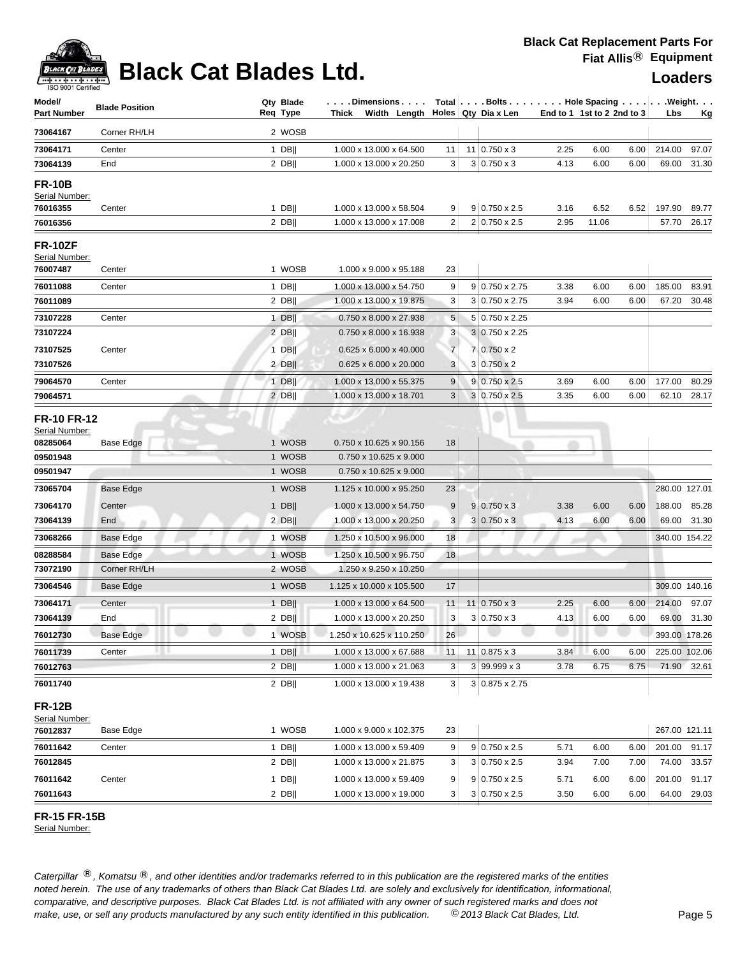## **Black Cat Blades Ltd. Loaders Leaders Loaders**

| Model/<br><b>Part Number</b>                                             | <b>Blade Position</b> | Qty Blade<br>Reg Type      | Dimensions<br>Thick Width Length Holes Qty Dia x Len                        |                     | Total $\vert \ldots$ . Bolts $\ldots \vert \ldots$ . Hole Spacing $\ldots \vert \ldots$ . Weight. $\ldots$ |      | End to 1 1st to 2 2nd to 3 |              | Lbs           | <u>Kg</u>   |
|--------------------------------------------------------------------------|-----------------------|----------------------------|-----------------------------------------------------------------------------|---------------------|------------------------------------------------------------------------------------------------------------|------|----------------------------|--------------|---------------|-------------|
| 73064167                                                                 | Corner RH/LH          | 2 WOSB                     |                                                                             |                     |                                                                                                            |      |                            |              |               |             |
| 73064171                                                                 | Center                | $1$ DB                     | 1.000 x 13.000 x 64.500                                                     | 11                  | $11 0.750 \times 3$                                                                                        | 2.25 | 6.00                       | 6.00         | 214.00        | 97.07       |
| 73064139                                                                 | End                   | $2$ DB                     | 1.000 x 13.000 x 20.250                                                     | 3                   | $3 0.750 \times 3$                                                                                         | 4.13 | 6.00                       | 6.00         | 69.00         | 31.30       |
| <b>FR-10B</b><br>Serial Number:<br>76016355                              | Center                | $1$ DB                     | 1.000 x 13.000 x 58.504                                                     | 9                   | $9 0.750 \times 2.5$                                                                                       | 3.16 | 6.52                       | 6.52         | 197.90        | 89.77       |
| 76016356                                                                 |                       | $2$ DB                     | 1.000 x 13.000 x 17.008                                                     | $\overline{2}$      | 2 0.750 x 2.5                                                                                              | 2.95 | 11.06                      |              | 57.70         | 26.17       |
| <b>FR-10ZF</b><br>Serial Number:<br>76007487                             | Center                | 1 WOSB                     | 1.000 x 9.000 x 95.188                                                      | 23                  |                                                                                                            |      |                            |              |               |             |
| 76011088                                                                 | Center                | $1$ DB                     | 1.000 x 13.000 x 54.750                                                     | 9                   | $9 0.750 \times 2.75$                                                                                      | 3.38 | 6.00                       | 6.00         | 185.00        | 83.91       |
| 76011089                                                                 |                       | $2$ DB                     | 1.000 x 13.000 x 19.875                                                     | 3                   | $3 0.750 \times 2.75$                                                                                      | 3.94 | 6.00                       | 6.00         | 67.20         | 30.48       |
| 73107228                                                                 | Center                | $1$ DB  <br>$2$ DB         | 0.750 x 8.000 x 27.938<br>0.750 x 8.000 x 16.938                            | 5 <sup>5</sup><br>3 | 5 0.750 x 2.25<br>3 0.750 x 2.25                                                                           |      |                            |              |               |             |
| 73107224                                                                 |                       |                            |                                                                             |                     |                                                                                                            |      |                            |              |               |             |
| 73107525<br>73107526                                                     | Center                | $1$ DB<br>$2$ DB           | $0.625 \times 6.000 \times 40.000$<br>0.625 x 6.000 x 20.000                | $\overline{7}$<br>3 | 7 0.750 x 2<br>$3 0.750 \times 2$                                                                          |      |                            |              |               |             |
| 79064570                                                                 |                       |                            | 1.000 x 13.000 x 55.375                                                     | 9                   | $9 0.750 \times 2.5$                                                                                       | 3.69 | 6.00                       |              | 177.00        | 80.29       |
| 79064571                                                                 | Center                | $1$ DB  <br>$2$ DB         | 1.000 x 13.000 x 18.701                                                     | 3                   | 3 0.750 x 2.5                                                                                              | 3.35 | 6.00                       | 6.00<br>6.00 | 62.10         | 28.17       |
| <b>FR-10 FR-12</b><br>Serial Number:<br>08285064<br>09501948<br>09501947 | Base Edge             | 1 WOSB<br>1 WOSB<br>1 WOSB | 0.750 x 10.625 x 90.156<br>0.750 x 10.625 x 9.000<br>0.750 x 10.625 x 9.000 | 18                  | m                                                                                                          | m    |                            |              |               |             |
| 73065704                                                                 | Base Edge             | 1 WOSB                     | 1.125 x 10.000 x 95.250                                                     | 23                  |                                                                                                            |      |                            |              | 280.00 127.01 |             |
| 73064170                                                                 | Center                | $1$ DB                     | 1.000 x 13.000 x 54.750                                                     | 9                   | $9 0.750 \times 3$                                                                                         | 3.38 | 6.00                       | 6.00         | 188.00        | 85.28       |
| 73064139                                                                 | End                   | $2$ DB                     | 1.000 x 13.000 x 20.250                                                     | 3                   | $3 0.750 \times 3$                                                                                         | 4.13 | 6.00                       | 6.00         |               | 69.00 31.30 |
| 73068266                                                                 | Base Edge             | 1 WOSB                     | 1.250 x 10.500 x 96.000                                                     | 18                  |                                                                                                            |      |                            |              | 340.00 154.22 |             |
| 08288584                                                                 | <b>Base Edge</b>      | 1 WOSB                     | 1.250 x 10.500 x 96.750                                                     | 18                  |                                                                                                            |      |                            |              |               |             |
| 73072190                                                                 | Corner RH/LH          | 2 WOSB                     | 1.250 x 9.250 x 10.250                                                      |                     |                                                                                                            |      |                            |              |               |             |
| 73064546                                                                 | <b>Base Edge</b>      | 1 WOSB                     | 1.125 x 10.000 x 105.500                                                    | 17                  |                                                                                                            |      |                            |              | 309.00 140.16 |             |
| 73064171                                                                 | Center                | $1$ DB                     | 1.000 x 13.000 x 64.500                                                     | 11                  | $11 0.750 \times 3$                                                                                        | 2.25 | 6.00                       | 6.00         | 214.00 97.07  |             |
| 73064139                                                                 | End                   | $2$ DB                     | 1.000 x 13.000 x 20.250                                                     | 3                   | $3 0.750 \times 3$                                                                                         | 4.13 | 6.00                       | 6.00         |               | 69.00 31.30 |
| 76012730                                                                 | Base Edge             | 1 WOSB                     | 1.250 x 10.625 x 110.250                                                    | 26                  |                                                                                                            |      |                            |              | 393.00 178.26 |             |
| 76011739                                                                 | Center                | $1$ DB                     | 1.000 x 13.000 x 67.688                                                     | 11                  | $11 0.875 \times 3$                                                                                        | 3.84 | 6.00                       | 6.00         | 225.00 102.06 |             |
| 76012763                                                                 |                       | $2$ DB                     | 1.000 x 13.000 x 21.063                                                     | 3                   | $3 99.999 \times 3$                                                                                        | 3.78 | 6.75                       | 6.75         |               | 71.90 32.61 |
| 76011740                                                                 |                       | $2$ DB                     | 1.000 x 13.000 x 19.438                                                     | 3 <sup>1</sup>      | $3 0.875 \times 2.75$                                                                                      |      |                            |              |               |             |
| <b>FR-12B</b><br>Serial Number:<br>76012837                              | Base Edge             | 1 WOSB                     | 1.000 x 9.000 x 102.375                                                     | 23                  |                                                                                                            |      |                            |              | 267.00 121.11 |             |
| 76011642                                                                 | Center                | 1 DB                       | 1.000 x 13.000 x 59.409                                                     | 9                   | $9 0.750 \times 2.5$                                                                                       | 5.71 | 6.00                       | 6.00         | 201.00        | 91.17       |
| 76012845                                                                 |                       | $2$ DB                     | 1.000 x 13.000 x 21.875                                                     | 3                   | $3 0.750 \times 2.5$                                                                                       | 3.94 | 7.00                       | 7.00         | 74.00         | 33.57       |
| 76011642                                                                 | Center                | $1$ DB                     | 1.000 x 13.000 x 59.409                                                     | 9 <sup>°</sup>      | $9 0.750 \times 2.5$                                                                                       | 5.71 | 6.00                       | 6.00         | 201.00 91.17  |             |
| 76011643                                                                 |                       | $2$ DB                     | 1.000 x 13.000 x 19.000                                                     | 3 <sup>1</sup>      | $3 0.750 \times 2.5$                                                                                       | 3.50 | 6.00                       | 6.00         |               | 64.00 29.03 |

**FR-15 FR-15B** 

Serial Number: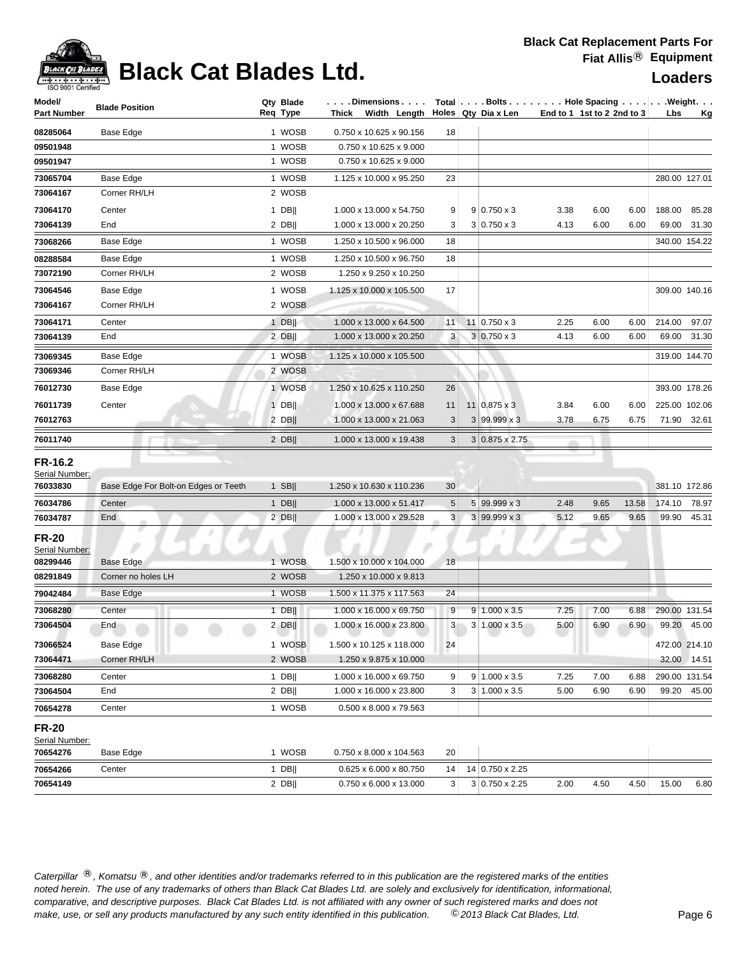

## **Black Cat Blades Ltd. Loaders Legaters Loaders**

| Model/                           | <b>Blade Position</b>                | Qty Blade | Dimensions                             |                 | Total Bolts Hole Spacing Weight. |                            |      |       |               |               |
|----------------------------------|--------------------------------------|-----------|----------------------------------------|-----------------|----------------------------------|----------------------------|------|-------|---------------|---------------|
| <b>Part Number</b>               |                                      | Req Type  | Thick Width Length Holes Qty Dia x Len |                 |                                  | End to 1 1st to 2 2nd to 3 |      |       | Lbs           | <u>Kg</u>     |
| 08285064                         | Base Edge                            | 1 WOSB    | 0.750 x 10.625 x 90.156                | 18              |                                  |                            |      |       |               |               |
| 09501948                         |                                      | 1 WOSB    | 0.750 x 10.625 x 9.000                 |                 |                                  |                            |      |       |               |               |
| 09501947                         |                                      | 1 WOSB    | 0.750 x 10.625 x 9.000                 |                 |                                  |                            |      |       |               |               |
| 73065704                         | Base Edge                            | 1 WOSB    | 1.125 x 10.000 x 95.250                | 23              |                                  |                            |      |       |               | 280.00 127.01 |
| 73064167                         | Corner RH/LH                         | 2 WOSB    |                                        |                 |                                  |                            |      |       |               |               |
| 73064170                         | Center                               | $1$ DB    | 1.000 x 13.000 x 54.750                | 9               | $9 0.750 \times 3$               | 3.38                       | 6.00 | 6.00  | 188.00        | 85.28         |
| 73064139                         | End                                  | $2$ DB    | 1.000 x 13.000 x 20.250                | 3               | $3 0.750 \times 3$               | 4.13                       | 6.00 | 6.00  |               | 69.00 31.30   |
| 73068266                         | Base Edge                            | 1 WOSB    | 1.250 x 10.500 x 96.000                | 18              |                                  |                            |      |       |               | 340.00 154.22 |
| 08288584                         | Base Edge                            | 1 WOSB    | 1.250 x 10.500 x 96.750                | 18              |                                  |                            |      |       |               |               |
| 73072190                         | Corner RH/LH                         | 2 WOSB    | 1.250 x 9.250 x 10.250                 |                 |                                  |                            |      |       |               |               |
| 73064546                         | Base Edge                            | 1 WOSB    | 1.125 x 10.000 x 105.500               | 17              |                                  |                            |      |       |               | 309.00 140.16 |
| 73064167                         | Corner RH/LH                         | 2 WOSB    |                                        |                 |                                  |                            |      |       |               |               |
| 73064171                         | Center                               | $1$ DB    | 1.000 x 13.000 x 64.500                | 11              | 11 0.750 x 3                     | 2.25                       | 6.00 | 6.00  | 214.00 97.07  |               |
| 73064139                         | End                                  | $2$ DB    | 1.000 x 13.000 x 20.250                | 3 <sup>1</sup>  | $3 0.750 \times 3$               | 4.13                       | 6.00 | 6.00  |               | 69.00 31.30   |
| 73069345                         | Base Edge                            | 1 WOSB    | 1.125 x 10.000 x 105.500               |                 |                                  |                            |      |       |               | 319.00 144.70 |
| 73069346                         | Corner RH/LH                         | 2 WOSB    |                                        |                 |                                  |                            |      |       |               |               |
| 76012730                         | Base Edge                            | 1 WOSB    | 1.250 x 10.625 x 110.250               | 26              |                                  |                            |      |       |               | 393.00 178.26 |
| 76011739                         | Center                               | $1$ DB    | 1.000 x 13.000 x 67.688                | 11              | 11   0.875 x 3                   | 3.84                       | 6.00 | 6.00  |               | 225.00 102.06 |
| 76012763                         |                                      | $2$ DB    | 1.000 x 13.000 x 21.063                | 3               | $3 99.999 \times 3$              | 3.78                       | 6.75 | 6.75  |               | 71.90 32.61   |
| 76011740                         |                                      | $2$ DB    | 1.000 x 13.000 x 19.438                | 3               | $3 0.875 \times 2.75$            |                            |      |       |               |               |
|                                  |                                      |           |                                        |                 |                                  |                            |      |       |               |               |
| <b>FR-16.2</b><br>Serial Number: |                                      |           |                                        |                 |                                  |                            |      |       |               |               |
| 76033830                         | Base Edge For Bolt-on Edges or Teeth | $1$ SB    | 1.250 x 10.630 x 110.236               | 30 <sup>°</sup> |                                  |                            |      |       |               | 381.10 172.86 |
| 76034786                         | Center                               | $1$ DB    | 1.000 x 13.000 x 51.417                | 5               | 5 99.999 x 3                     | 2.48                       | 9.65 | 13.58 |               | 174.10 78.97  |
| 76034787                         | End                                  | $2$ DB    | 1.000 x 13.000 x 29.528                | 3 <sup>1</sup>  | $3 99.999 \times 3$              | 5.12                       | 9.65 | 9.65  |               | 99.90 45.31   |
| <b>FR-20</b>                     |                                      |           |                                        |                 |                                  |                            |      |       |               |               |
| Serial Number:                   |                                      |           |                                        |                 |                                  |                            |      |       |               |               |
| 08299446                         | Base Edge                            | 1 WOSB    | 1.500 x 10.000 x 104.000               | 18              |                                  |                            |      |       |               |               |
| 08291849                         | Corner no holes LH                   | 2 WOSB    | 1.250 x 10.000 x 9.813                 |                 |                                  |                            |      |       |               |               |
| 79042484                         | Base Edge                            | 1 WOSB    | 1.500 x 11.375 x 117.563               | 24              |                                  |                            |      |       |               |               |
| 73068280                         | Center                               | $1$ DB    | 1.000 x 16.000 x 69.750                | 9               | $9 1.000 \times 3.5$             | 7.25                       | 7.00 | 6.88  | 290.00 131.54 |               |
| 73064504                         | End                                  | $2$ DB    | 1.000 x 16.000 x 23.800                | 3 <sup>1</sup>  | 3 1.000 x 3.5                    | 5.00                       | 6.90 | 6.90  |               | 99.20 45.00   |
| 73066524                         | <b>Base Edge</b>                     | 1 WOSB    | 1.500 x 10.125 x 118.000               | 24              |                                  |                            |      |       |               | 472.00 214.10 |
| 73064471                         | Corner RH/LH                         | 2 WOSB    | 1.250 x 9.875 x 10.000                 |                 |                                  |                            |      |       |               | 32.00 14.51   |
| 73068280                         | Center                               | 1 DB      | 1.000 x 16.000 x 69.750                | 9               | $9 1.000 \times 3.5$             | 7.25                       | 7.00 | 6.88  |               | 290.00 131.54 |
| 73064504                         | End                                  | $2$ DB    | 1.000 x 16.000 x 23.800                | 3               | $3 1.000 \times 3.5$             | 5.00                       | 6.90 | 6.90  |               | 99.20 45.00   |
| 70654278                         | Center                               | 1 WOSB    | 0.500 x 8.000 x 79.563                 |                 |                                  |                            |      |       |               |               |
| <b>FR-20</b>                     |                                      |           |                                        |                 |                                  |                            |      |       |               |               |
| Serial Number:                   |                                      |           |                                        |                 |                                  |                            |      |       |               |               |
| 70654276                         | Base Edge                            | 1 WOSB    | 0.750 x 8.000 x 104.563                | 20              |                                  |                            |      |       |               |               |
| 70654266                         | Center                               | 1 DB      | 0.625 x 6.000 x 80.750                 | 14              | 14 0.750 x 2.25                  |                            |      |       |               |               |
| 70654149                         |                                      | $2$ DB    | 0.750 x 6.000 x 13.000                 | 3 <sup>2</sup>  | 3 0.750 x 2.25                   | 2.00                       | 4.50 | 4.50  | 15.00         | 6.80          |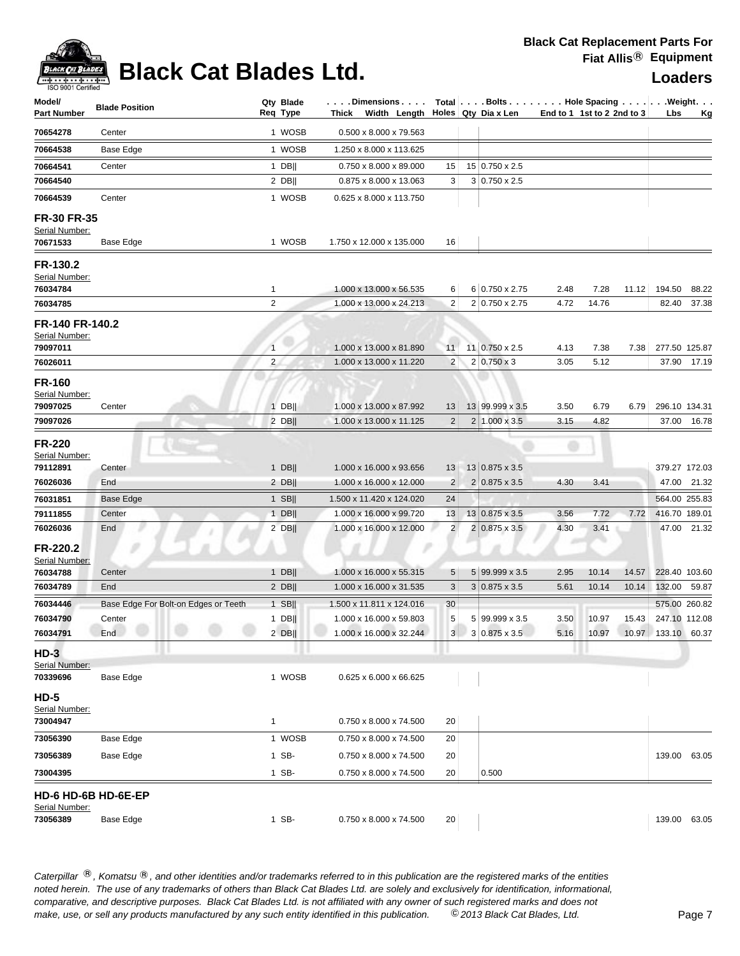

# **Black Cat Blades Ltd. Loaders Leaders Loaders**

| Model/<br><b>Part Number</b>      | <b>Blade Position</b> |                                      | Qty Blade<br>Reg Type | . Dimensions<br>Thick Width Length |                         | Total   Bolts   Hole Spacing   Weight.<br>Holes Qty Dia x Len | End to 1 1st to 2 2nd to 3 |            |       | Lbs                | <u>Kg</u>   |
|-----------------------------------|-----------------------|--------------------------------------|-----------------------|------------------------------------|-------------------------|---------------------------------------------------------------|----------------------------|------------|-------|--------------------|-------------|
| 70654278                          | Center                |                                      | 1 WOSB                | 0.500 x 8.000 x 79.563             |                         |                                                               |                            |            |       |                    |             |
| 70664538                          | Base Edge             |                                      | 1 WOSB                | 1.250 x 8.000 x 113.625            |                         |                                                               |                            |            |       |                    |             |
| 70664541                          | Center                |                                      | $1$ DB                | 0.750 x 8.000 x 89.000             | 15                      | 15 0.750 x 2.5                                                |                            |            |       |                    |             |
| 70664540                          |                       |                                      | $2$ DB                | 0.875 x 8.000 x 13.063             | 3                       | $3 0.750 \times 2.5$                                          |                            |            |       |                    |             |
| 70664539                          | Center                |                                      | 1 WOSB                | 0.625 x 8.000 x 113.750            |                         |                                                               |                            |            |       |                    |             |
| FR-30 FR-35<br>Serial Number:     |                       |                                      |                       |                                    |                         |                                                               |                            |            |       |                    |             |
| 70671533                          | Base Edge             |                                      | 1 WOSB                | 1.750 x 12.000 x 135.000           | 16                      |                                                               |                            |            |       |                    |             |
| FR-130.2<br>Serial Number:        |                       |                                      |                       |                                    |                         |                                                               |                            |            |       |                    |             |
| 76034784                          |                       |                                      | $\mathbf{1}$          | 1.000 x 13.000 x 56.535            | 6                       | 6 0.750 x 2.75                                                | 2.48                       | 7.28       | 11.12 | 194.50             | 88.22       |
| 76034785                          |                       |                                      | 2                     | 1.000 x 13.000 x 24.213            | $\overline{c}$          | 2 0.750 x 2.75                                                | 4.72                       | 14.76      |       | 82.40              | 37.38       |
| FR-140 FR-140.2<br>Serial Number: |                       |                                      |                       |                                    |                         |                                                               |                            |            |       |                    |             |
| 79097011                          |                       |                                      | $\mathbf{1}$          | 1.000 x 13.000 x 81.890            | 11                      | 11 0.750 x 2.5                                                | 4.13                       | 7.38       | 7.38  | 277.50 125.87      |             |
| 76026011                          |                       |                                      | $\overline{2}$        | 1.000 x 13.000 x 11.220            | $\overline{c}$          | $2 0.750 \times 3$                                            | 3.05                       | 5.12       |       |                    | 37.90 17.19 |
| <b>FR-160</b><br>Serial Number:   |                       |                                      |                       |                                    |                         |                                                               |                            |            |       |                    |             |
| 79097025                          | Center                |                                      | $1$ DB                | 1.000 x 13.000 x 87.992            | 13                      | 13 99.999 x 3.5                                               | 3.50                       | 6.79       | 6.79  | 296.10 134.31      |             |
| 79097026                          |                       |                                      | $2$ DB                | 1.000 x 13.000 x 11.125            | $\overline{\mathbf{c}}$ | $2 1.000 \times 3.5 $                                         | 3.15                       | 4.82       |       |                    | 37.00 16.78 |
| <b>FR-220</b><br>Serial Number:   |                       |                                      |                       |                                    |                         |                                                               |                            |            |       |                    |             |
| 79112891                          | Center                |                                      | $1$ DB                | 1.000 x 16.000 x 93.656            | 13                      | 13 0.875 x 3.5                                                |                            |            |       | 379.27 172.03      |             |
| 76026036                          | End                   |                                      | $2$ DB                | 1.000 x 16.000 x 12.000            | 2                       | $2 0.875 \times 3.5$                                          | 4.30                       | 3.41       |       | 47.00              | 21.32       |
| 76031851                          | <b>Base Edge</b>      |                                      | $1$ SB                | 1.500 x 11.420 x 124.020           | 24                      |                                                               |                            |            |       | 564.00 255.83      |             |
| 79111855                          | Center                |                                      | $1$ DB                | 1.000 x 16.000 x 99.720            | 13                      | $13 0.875 \times 3.5$                                         | 3.56                       | 7.72       | 7.72  | 416.70 189.01      |             |
| 76026036                          | End                   |                                      | $2$ DB                | 1.000 x 16.000 x 12.000            | $\overline{\mathbf{c}}$ | $2 0.875 \times 3.5$                                          | 4.30                       | 3.41<br>79 |       | 47.00              | 21.32       |
| FR-220.2<br>Serial Number:        | s                     |                                      |                       |                                    |                         |                                                               |                            |            |       |                    |             |
| 76034788                          | Center                |                                      | $1$ DB                | 1.000 x 16.000 x 55.315            | 5                       | 5 99.999 x 3.5                                                | 2.95                       | 10.14      | 14.57 | 228.40 103.60      |             |
| 76034789                          | End                   |                                      | $2$ DB                | 1.000 x 16.000 x 31.535            | 3                       | $3 0.875 \times 3.5$                                          | 5.61                       | 10.14      | 10.14 | 132.00             | 59.87       |
| 76034446                          |                       | Base Edge For Bolt-on Edges or Teeth | $1$ SB                | 1.500 x 11.811 x 124.016           | 30                      |                                                               |                            |            |       | 575.00 260.82      |             |
| 76034790                          | Center                |                                      | $1$ DB                | 1.000 x 16.000 x 59.803            | 5                       | 5 99.999 x 3.5                                                | 3.50                       | 10.97      | 15.43 | 247.10 112.08      |             |
| 76034791<br>$HD-3$                | End                   |                                      | $2$ DB                | 1.000 x 16.000 x 32.244            | 3 <sup>1</sup>          | $3 0.875 \times 3.5$                                          | 5.16                       | 10.97      |       | 10.97 133.10 60.37 |             |
| Serial Number:                    |                       |                                      |                       |                                    |                         |                                                               |                            |            |       |                    |             |
| 70339696<br><b>HD-5</b>           | Base Edge             |                                      | 1 WOSB                | $0.625 \times 6.000 \times 66.625$ |                         |                                                               |                            |            |       |                    |             |
| Serial Number:<br>73004947        |                       |                                      | 1                     | 0.750 x 8.000 x 74.500             | 20                      |                                                               |                            |            |       |                    |             |
| 73056390                          | Base Edge             |                                      | 1 WOSB                | 0.750 x 8.000 x 74.500             | 20                      |                                                               |                            |            |       |                    |             |
| 73056389                          | Base Edge             |                                      | 1 SB-                 | 0.750 x 8.000 x 74.500             | 20                      |                                                               |                            |            |       | 139.00             | 63.05       |
| 73004395                          |                       |                                      | 1 SB-                 | 0.750 x 8.000 x 74.500             | 20                      | 0.500                                                         |                            |            |       |                    |             |
| HD-6 HD-6B HD-6E-EP               |                       |                                      |                       |                                    |                         |                                                               |                            |            |       |                    |             |
| Serial Number:<br>73056389        | Base Edge             |                                      | 1 SB-                 | 0.750 x 8.000 x 74.500             | 20                      |                                                               |                            |            |       | 139.00 63.05       |             |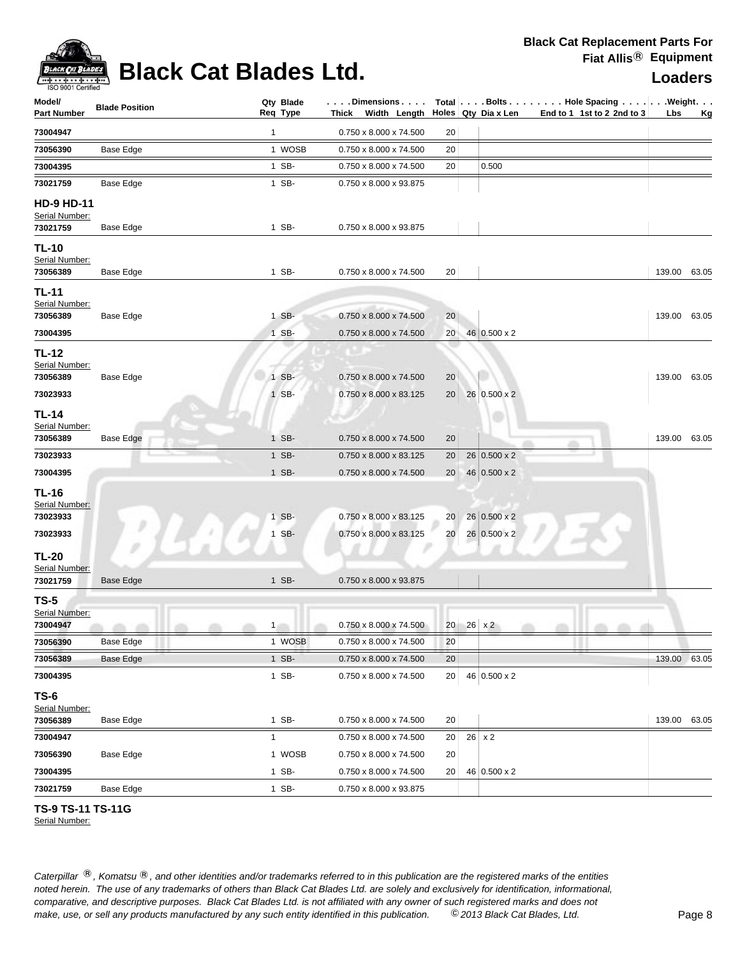

# **Black Cat Blades Ltd. Loaders Leaders**

| $\mathbf{1}$<br>0.750 x 8.000 x 74.500<br>73004947<br>20<br>1 WOSB<br>73056390<br>Base Edge<br>0.750 x 8.000 x 74.500<br>20<br>1 SB-<br>0.750 x 8.000 x 74.500<br>0.500<br>73004395<br>20<br>1 SB-<br>73021759<br>Base Edge<br>0.750 x 8.000 x 93.875<br><b>HD-9 HD-11</b><br>Serial Number:<br>73021759<br>1 SB-<br>0.750 x 8.000 x 93.875<br>Base Edge<br><b>TL-10</b><br>Serial Number:<br>1 SB-<br>0.750 x 8.000 x 74.500<br>20<br>139.00 63.05<br>73056389<br>Base Edge<br><b>TL-11</b><br>Serial Number:<br>1 SB-<br>73056389<br>Base Edge<br>0.750 x 8.000 x 74.500<br>20<br>139.00 63.05<br>73004395<br>1 SB-<br>46 0.500 x 2<br>0.750 x 8.000 x 74.500<br>20<br><b>TL-12</b><br>Serial Number:<br>1 SB-<br>139.00 63.05<br>73056389<br>Base Edge<br>0.750 x 8.000 x 74.500<br>20<br>73023933<br>1 SB-<br>26 0.500 x 2<br>0.750 x 8.000 x 83.125<br>20<br><b>TL-14</b><br>Serial Number:<br>1 SB-<br>0.750 x 8.000 x 74.500<br>Base Edge<br>20<br>139.00 63.05<br>73056389<br>73023933<br>1 SB-<br>0.750 x 8.000 x 83.125<br>$26 0.500 \times 2$<br>20<br>73004395<br>46 0.500 x 2<br>1 SB-<br>20<br>0.750 x 8.000 x 74.500<br><b>TL-16</b><br>Serial Number:<br>26 0.500 x 2<br>1 SB-<br>0.750 x 8.000 x 83.125<br>20 <br>73023933<br>26 0.500 x 2<br>73023933<br>1 SB-<br>0.750 x 8.000 x 83.125<br>20 <sub>1</sub><br><b>TL-20</b><br>Serial Number:<br>1 SB-<br>$0.750 \times 8.000 \times 93.875$<br>73021759<br><b>Base Edge</b><br>$TS-5$<br>Serial Number:<br>73004947<br>0.750 x 8.000 x 74.500<br>20 <sub>1</sub><br>$26 \times 2$<br>$1 -$<br>73056390<br>Base Edge<br>1 WOSB<br>0.750 x 8.000 x 74.500<br>20<br>73056389<br>1 SB-<br>$0.750 \times 8.000 \times 74.500$<br>139.00 63.05<br><b>Base Edge</b><br>20<br>1 SB-<br>46 0.500 x 2<br>20<br>73004395<br>0.750 x 8.000 x 74.500<br><b>TS-6</b><br>Serial Number:<br>73056389<br>1 SB-<br>0.750 x 8.000 x 74.500<br>20<br>139.00<br>Base Edge<br>73004947<br>$26 \times 2$<br>$\mathbf{1}$<br>0.750 x 8.000 x 74.500<br>20<br>1 WOSB<br>$0.750 \times 8.000 \times 74.500$<br>20<br>Base Edge<br>73056390<br>1 SB-<br>$0.750 \times 8.000 \times 74.500$<br>46 0.500 x 2<br>20<br>73004395<br>73021759<br>Base Edge<br>1 SB-<br>0.750 x 8.000 x 93.875 | Model/<br><b>Part Number</b> | <b>Blade Position</b> | Qty Blade<br>Req Type | . Dimensions  <br>Thick Width Length $\vert$ Holes Qty Dia x Len |  |  | Total $\vert \ldots$ Bolts $\ldots \vert \ldots$ Hole Spacing $\ldots \vert \ldots$ Weight. $\ldots$<br>End to 1 1st to 2 2nd to 3 | Lbs | <u>Kg</u> |
|----------------------------------------------------------------------------------------------------------------------------------------------------------------------------------------------------------------------------------------------------------------------------------------------------------------------------------------------------------------------------------------------------------------------------------------------------------------------------------------------------------------------------------------------------------------------------------------------------------------------------------------------------------------------------------------------------------------------------------------------------------------------------------------------------------------------------------------------------------------------------------------------------------------------------------------------------------------------------------------------------------------------------------------------------------------------------------------------------------------------------------------------------------------------------------------------------------------------------------------------------------------------------------------------------------------------------------------------------------------------------------------------------------------------------------------------------------------------------------------------------------------------------------------------------------------------------------------------------------------------------------------------------------------------------------------------------------------------------------------------------------------------------------------------------------------------------------------------------------------------------------------------------------------------------------------------------------------------------------------------------------------------------------------------------------------------------------------------------------------------------------------------------------------------------------------------------------------------------------|------------------------------|-----------------------|-----------------------|------------------------------------------------------------------|--|--|------------------------------------------------------------------------------------------------------------------------------------|-----|-----------|
|                                                                                                                                                                                                                                                                                                                                                                                                                                                                                                                                                                                                                                                                                                                                                                                                                                                                                                                                                                                                                                                                                                                                                                                                                                                                                                                                                                                                                                                                                                                                                                                                                                                                                                                                                                                                                                                                                                                                                                                                                                                                                                                                                                                                                                  |                              |                       |                       |                                                                  |  |  |                                                                                                                                    |     |           |
|                                                                                                                                                                                                                                                                                                                                                                                                                                                                                                                                                                                                                                                                                                                                                                                                                                                                                                                                                                                                                                                                                                                                                                                                                                                                                                                                                                                                                                                                                                                                                                                                                                                                                                                                                                                                                                                                                                                                                                                                                                                                                                                                                                                                                                  |                              |                       |                       |                                                                  |  |  |                                                                                                                                    |     |           |
|                                                                                                                                                                                                                                                                                                                                                                                                                                                                                                                                                                                                                                                                                                                                                                                                                                                                                                                                                                                                                                                                                                                                                                                                                                                                                                                                                                                                                                                                                                                                                                                                                                                                                                                                                                                                                                                                                                                                                                                                                                                                                                                                                                                                                                  |                              |                       |                       |                                                                  |  |  |                                                                                                                                    |     |           |
|                                                                                                                                                                                                                                                                                                                                                                                                                                                                                                                                                                                                                                                                                                                                                                                                                                                                                                                                                                                                                                                                                                                                                                                                                                                                                                                                                                                                                                                                                                                                                                                                                                                                                                                                                                                                                                                                                                                                                                                                                                                                                                                                                                                                                                  |                              |                       |                       |                                                                  |  |  |                                                                                                                                    |     |           |
|                                                                                                                                                                                                                                                                                                                                                                                                                                                                                                                                                                                                                                                                                                                                                                                                                                                                                                                                                                                                                                                                                                                                                                                                                                                                                                                                                                                                                                                                                                                                                                                                                                                                                                                                                                                                                                                                                                                                                                                                                                                                                                                                                                                                                                  |                              |                       |                       |                                                                  |  |  |                                                                                                                                    |     |           |
|                                                                                                                                                                                                                                                                                                                                                                                                                                                                                                                                                                                                                                                                                                                                                                                                                                                                                                                                                                                                                                                                                                                                                                                                                                                                                                                                                                                                                                                                                                                                                                                                                                                                                                                                                                                                                                                                                                                                                                                                                                                                                                                                                                                                                                  |                              |                       |                       |                                                                  |  |  |                                                                                                                                    |     |           |
|                                                                                                                                                                                                                                                                                                                                                                                                                                                                                                                                                                                                                                                                                                                                                                                                                                                                                                                                                                                                                                                                                                                                                                                                                                                                                                                                                                                                                                                                                                                                                                                                                                                                                                                                                                                                                                                                                                                                                                                                                                                                                                                                                                                                                                  |                              |                       |                       |                                                                  |  |  |                                                                                                                                    |     |           |
|                                                                                                                                                                                                                                                                                                                                                                                                                                                                                                                                                                                                                                                                                                                                                                                                                                                                                                                                                                                                                                                                                                                                                                                                                                                                                                                                                                                                                                                                                                                                                                                                                                                                                                                                                                                                                                                                                                                                                                                                                                                                                                                                                                                                                                  |                              |                       |                       |                                                                  |  |  |                                                                                                                                    |     |           |
|                                                                                                                                                                                                                                                                                                                                                                                                                                                                                                                                                                                                                                                                                                                                                                                                                                                                                                                                                                                                                                                                                                                                                                                                                                                                                                                                                                                                                                                                                                                                                                                                                                                                                                                                                                                                                                                                                                                                                                                                                                                                                                                                                                                                                                  |                              |                       |                       |                                                                  |  |  |                                                                                                                                    |     |           |
|                                                                                                                                                                                                                                                                                                                                                                                                                                                                                                                                                                                                                                                                                                                                                                                                                                                                                                                                                                                                                                                                                                                                                                                                                                                                                                                                                                                                                                                                                                                                                                                                                                                                                                                                                                                                                                                                                                                                                                                                                                                                                                                                                                                                                                  |                              |                       |                       |                                                                  |  |  |                                                                                                                                    |     |           |
|                                                                                                                                                                                                                                                                                                                                                                                                                                                                                                                                                                                                                                                                                                                                                                                                                                                                                                                                                                                                                                                                                                                                                                                                                                                                                                                                                                                                                                                                                                                                                                                                                                                                                                                                                                                                                                                                                                                                                                                                                                                                                                                                                                                                                                  |                              |                       |                       |                                                                  |  |  |                                                                                                                                    |     |           |
|                                                                                                                                                                                                                                                                                                                                                                                                                                                                                                                                                                                                                                                                                                                                                                                                                                                                                                                                                                                                                                                                                                                                                                                                                                                                                                                                                                                                                                                                                                                                                                                                                                                                                                                                                                                                                                                                                                                                                                                                                                                                                                                                                                                                                                  |                              |                       |                       |                                                                  |  |  |                                                                                                                                    |     |           |
|                                                                                                                                                                                                                                                                                                                                                                                                                                                                                                                                                                                                                                                                                                                                                                                                                                                                                                                                                                                                                                                                                                                                                                                                                                                                                                                                                                                                                                                                                                                                                                                                                                                                                                                                                                                                                                                                                                                                                                                                                                                                                                                                                                                                                                  |                              |                       |                       |                                                                  |  |  |                                                                                                                                    |     |           |
|                                                                                                                                                                                                                                                                                                                                                                                                                                                                                                                                                                                                                                                                                                                                                                                                                                                                                                                                                                                                                                                                                                                                                                                                                                                                                                                                                                                                                                                                                                                                                                                                                                                                                                                                                                                                                                                                                                                                                                                                                                                                                                                                                                                                                                  |                              |                       |                       |                                                                  |  |  |                                                                                                                                    |     |           |
|                                                                                                                                                                                                                                                                                                                                                                                                                                                                                                                                                                                                                                                                                                                                                                                                                                                                                                                                                                                                                                                                                                                                                                                                                                                                                                                                                                                                                                                                                                                                                                                                                                                                                                                                                                                                                                                                                                                                                                                                                                                                                                                                                                                                                                  |                              |                       |                       |                                                                  |  |  |                                                                                                                                    |     |           |
|                                                                                                                                                                                                                                                                                                                                                                                                                                                                                                                                                                                                                                                                                                                                                                                                                                                                                                                                                                                                                                                                                                                                                                                                                                                                                                                                                                                                                                                                                                                                                                                                                                                                                                                                                                                                                                                                                                                                                                                                                                                                                                                                                                                                                                  |                              |                       |                       |                                                                  |  |  |                                                                                                                                    |     |           |
|                                                                                                                                                                                                                                                                                                                                                                                                                                                                                                                                                                                                                                                                                                                                                                                                                                                                                                                                                                                                                                                                                                                                                                                                                                                                                                                                                                                                                                                                                                                                                                                                                                                                                                                                                                                                                                                                                                                                                                                                                                                                                                                                                                                                                                  |                              |                       |                       |                                                                  |  |  |                                                                                                                                    |     |           |
|                                                                                                                                                                                                                                                                                                                                                                                                                                                                                                                                                                                                                                                                                                                                                                                                                                                                                                                                                                                                                                                                                                                                                                                                                                                                                                                                                                                                                                                                                                                                                                                                                                                                                                                                                                                                                                                                                                                                                                                                                                                                                                                                                                                                                                  |                              |                       |                       |                                                                  |  |  |                                                                                                                                    |     |           |
|                                                                                                                                                                                                                                                                                                                                                                                                                                                                                                                                                                                                                                                                                                                                                                                                                                                                                                                                                                                                                                                                                                                                                                                                                                                                                                                                                                                                                                                                                                                                                                                                                                                                                                                                                                                                                                                                                                                                                                                                                                                                                                                                                                                                                                  |                              |                       |                       |                                                                  |  |  |                                                                                                                                    |     |           |
|                                                                                                                                                                                                                                                                                                                                                                                                                                                                                                                                                                                                                                                                                                                                                                                                                                                                                                                                                                                                                                                                                                                                                                                                                                                                                                                                                                                                                                                                                                                                                                                                                                                                                                                                                                                                                                                                                                                                                                                                                                                                                                                                                                                                                                  |                              |                       |                       |                                                                  |  |  |                                                                                                                                    |     |           |
|                                                                                                                                                                                                                                                                                                                                                                                                                                                                                                                                                                                                                                                                                                                                                                                                                                                                                                                                                                                                                                                                                                                                                                                                                                                                                                                                                                                                                                                                                                                                                                                                                                                                                                                                                                                                                                                                                                                                                                                                                                                                                                                                                                                                                                  |                              |                       |                       |                                                                  |  |  |                                                                                                                                    |     |           |
|                                                                                                                                                                                                                                                                                                                                                                                                                                                                                                                                                                                                                                                                                                                                                                                                                                                                                                                                                                                                                                                                                                                                                                                                                                                                                                                                                                                                                                                                                                                                                                                                                                                                                                                                                                                                                                                                                                                                                                                                                                                                                                                                                                                                                                  |                              |                       |                       |                                                                  |  |  |                                                                                                                                    |     | 63.05     |
|                                                                                                                                                                                                                                                                                                                                                                                                                                                                                                                                                                                                                                                                                                                                                                                                                                                                                                                                                                                                                                                                                                                                                                                                                                                                                                                                                                                                                                                                                                                                                                                                                                                                                                                                                                                                                                                                                                                                                                                                                                                                                                                                                                                                                                  |                              |                       |                       |                                                                  |  |  |                                                                                                                                    |     |           |
|                                                                                                                                                                                                                                                                                                                                                                                                                                                                                                                                                                                                                                                                                                                                                                                                                                                                                                                                                                                                                                                                                                                                                                                                                                                                                                                                                                                                                                                                                                                                                                                                                                                                                                                                                                                                                                                                                                                                                                                                                                                                                                                                                                                                                                  |                              |                       |                       |                                                                  |  |  |                                                                                                                                    |     |           |
|                                                                                                                                                                                                                                                                                                                                                                                                                                                                                                                                                                                                                                                                                                                                                                                                                                                                                                                                                                                                                                                                                                                                                                                                                                                                                                                                                                                                                                                                                                                                                                                                                                                                                                                                                                                                                                                                                                                                                                                                                                                                                                                                                                                                                                  |                              |                       |                       |                                                                  |  |  |                                                                                                                                    |     |           |
|                                                                                                                                                                                                                                                                                                                                                                                                                                                                                                                                                                                                                                                                                                                                                                                                                                                                                                                                                                                                                                                                                                                                                                                                                                                                                                                                                                                                                                                                                                                                                                                                                                                                                                                                                                                                                                                                                                                                                                                                                                                                                                                                                                                                                                  |                              |                       |                       |                                                                  |  |  |                                                                                                                                    |     |           |

### **TS-9 TS-11 TS-11G**

Serial Number: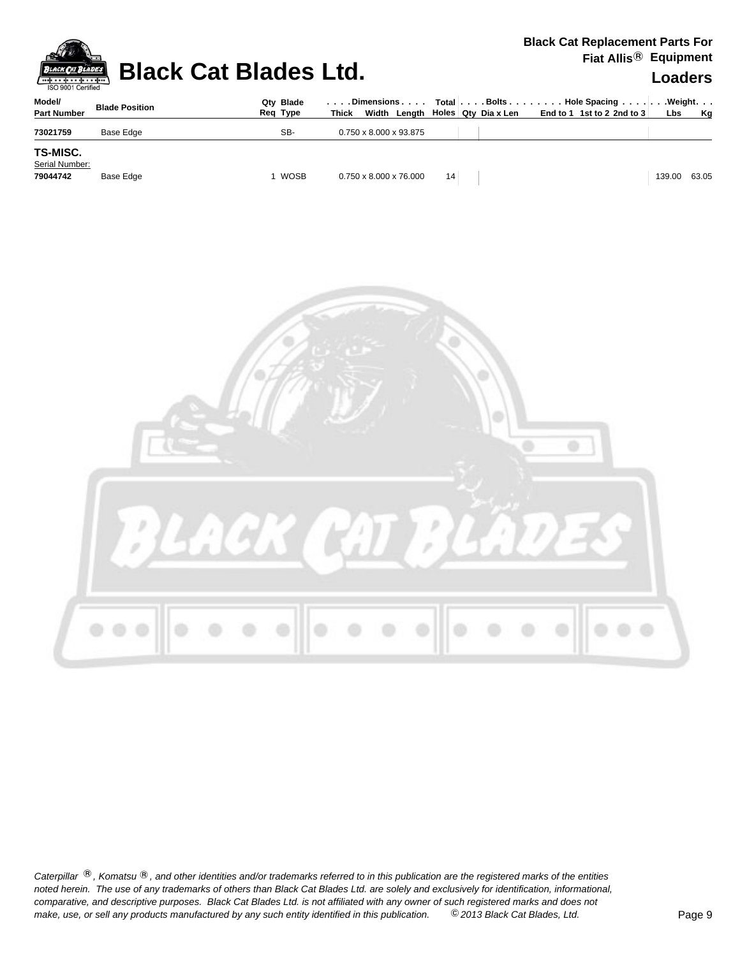

### **Black Cat Blades Ltd. Loaders Leaders**

### **Black Cat Replacement Parts For Fiat Allis**® **Equipment**

| Model/<br><b>Part Number</b>                  | <b>Blade Position</b> | Qtv Blade<br>Req Type | . Dimensions<br>Width<br><b>Thick</b> |    | Length   Holes   Qty Dia x Len | Total Bolts Hole Spacing Weight.<br>End to 1 1st to 2 2nd to 3 | Lbs    | Kg    |
|-----------------------------------------------|-----------------------|-----------------------|---------------------------------------|----|--------------------------------|----------------------------------------------------------------|--------|-------|
| 73021759                                      | Base Edge             | SB-                   | $0.750 \times 8.000 \times 93.875$    |    |                                |                                                                |        |       |
| <b>TS-MISC.</b><br>Serial Number:<br>79044742 | Base Edge             | WOSB                  | $0.750 \times 8.000 \times 76.000$    | 14 |                                |                                                                | 139.00 | 63.05 |

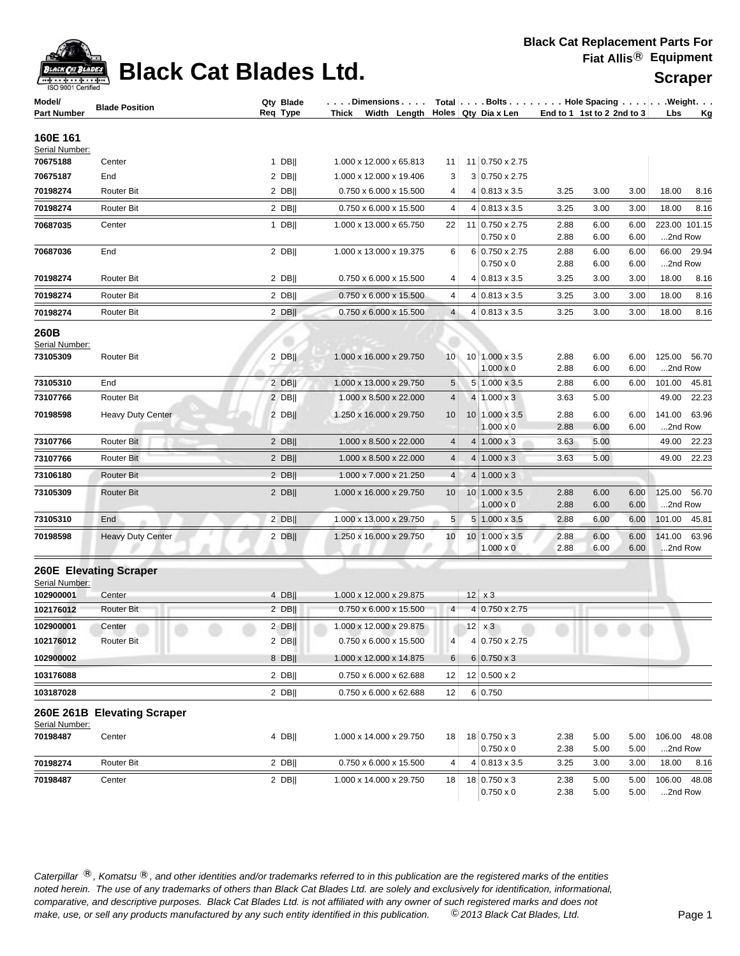| ack Cat        |
|----------------|
| 9001 Certified |

### **Black Cat Blades Ltd.**

| Scraper |
|---------|
|---------|

| Model/<br><b>Part Number</b> | <b>Blade Position</b>       | Qty Blade<br>Req Type | $\ldots$ . Dimensions $\ldots$ .<br>Thick Width Length Holes Qty Dia x Len |                 |                                          |              | Total $\vert \ldots$ . Bolts $\ldots \vert \ldots$ . Hole Spacing $\ldots \vert \ldots$ . Weight. $\ldots$<br>End to 1 1st to 2 2nd to 3 | Lbs<br><u>Kg</u>           |
|------------------------------|-----------------------------|-----------------------|----------------------------------------------------------------------------|-----------------|------------------------------------------|--------------|------------------------------------------------------------------------------------------------------------------------------------------|----------------------------|
|                              |                             |                       |                                                                            |                 |                                          |              |                                                                                                                                          |                            |
| 160E 161                     |                             |                       |                                                                            |                 |                                          |              |                                                                                                                                          |                            |
| Serial Number:<br>70675188   | Center                      | $1$ DB                | 1.000 x 12.000 x 65.813                                                    | 11              | 11 0.750 x 2.75                          |              |                                                                                                                                          |                            |
| 70675187                     | End                         | 2 DB                  | 1.000 x 12.000 x 19.406                                                    | 3               | 3 0.750 x 2.75                           |              |                                                                                                                                          |                            |
| 70198274                     | <b>Router Bit</b>           | $2$ DB                | 0.750 x 6.000 x 15.500                                                     | 4               | $4 0.813 \times 3.5$                     | 3.25         | 3.00<br>3.00                                                                                                                             | 18.00<br>8.16              |
| 70198274                     | <b>Router Bit</b>           | $2$ DB                | 0.750 x 6.000 x 15.500                                                     | 4               | $4 0.813 \times 3.5$                     | 3.25         | 3.00<br>3.00                                                                                                                             | 18.00<br>8.16              |
| 70687035                     | Center                      | 1 DB                  | 1.000 x 13.000 x 65.750                                                    | 22              | 11 0.750 x 2.75                          | 2.88         | 6.00<br>6.00                                                                                                                             | 223.00 101.15              |
|                              |                             |                       |                                                                            |                 | $0.750 \times 0$                         | 2.88         | 6.00<br>6.00                                                                                                                             | 2nd Row                    |
| 70687036                     | End                         | $2$ DB                | 1.000 x 13.000 x 19.375                                                    | 6               | 6 0.750 x 2.75                           | 2.88         | 6.00<br>6.00                                                                                                                             | 66.00 29.94                |
|                              |                             |                       |                                                                            |                 | $0.750 \times 0$                         | 2.88         | 6.00<br>6.00                                                                                                                             | 2nd Row                    |
| 70198274                     | Router Bit                  | 2 DB                  | 0.750 x 6.000 x 15.500                                                     | 4               | $4 0.813 \times 3.5$                     | 3.25         | 3.00<br>3.00                                                                                                                             | 18.00<br>8.16              |
| 70198274                     | <b>Router Bit</b>           | $2$ DB                | 0.750 x 6.000 x 15.500                                                     | 4               | $4 0.813 \times 3.5$                     | 3.25         | 3.00<br>3.00                                                                                                                             | 18.00<br>8.16              |
| 70198274                     | Router Bit                  | $2$ DB                | 0.750 x 6.000 x 15.500                                                     | 4               | $4 0.813 \times 3.5$                     | 3.25         | 3.00<br>3.00                                                                                                                             | 18.00<br>8.16              |
| 260B                         |                             |                       |                                                                            |                 |                                          |              |                                                                                                                                          |                            |
| Serial Number:               |                             |                       |                                                                            |                 |                                          |              |                                                                                                                                          |                            |
| 73105309                     | Router Bit                  | $2$ DB                | 1.000 x 16.000 x 29.750                                                    | 10 <sup>1</sup> | 10 1.000 x 3.5<br>$1.000 \times 0$       | 2.88<br>2.88 | 6.00<br>6.00<br>6.00<br>6.00                                                                                                             | 125.00 56.70<br>2nd Row    |
| 73105310                     | End                         | $2$ DB                | 1.000 x 13.000 x 29.750                                                    | 5               | 5 1.000 x 3.5                            | 2.88         | 6.00<br>6.00                                                                                                                             | 101.00<br>45.81            |
| 73107766                     | <b>Router Bit</b>           | $2$ DB                | 1.000 x 8.500 x 22.000                                                     | 4               | $4 1.000 \times 3$                       | 3.63         | 5.00                                                                                                                                     | 49.00 22.23                |
| 70198598                     | Heavy Duty Center           | $2$ DB                | 1.250 x 16.000 x 29.750                                                    | 10              | 10 1.000 x 3.5                           | 2.88         | 6.00<br>6.00                                                                                                                             | 141.00 63.96               |
|                              |                             |                       |                                                                            |                 | $1.000 \times 0$                         | 2.88         | 6.00<br>6.00                                                                                                                             | 2nd Row                    |
| 73107766                     | Router Bit                  | $2$ DB                | 1.000 x 8.500 x 22.000                                                     | 4               | $4 1.000 \times 3$                       | 3.63         | 5.00                                                                                                                                     | 49.00<br>22.23             |
| 73107766                     | Router Bit                  | $2$ DB                | 1.000 x 8.500 x 22.000                                                     | $\overline{4}$  | $4 1.000 \times 3$                       | 3.63         | 5.00                                                                                                                                     | 49.00 22.23                |
| 73106180                     | <b>Router Bit</b>           | $2$ DB                | 1.000 x 7.000 x 21.250                                                     | 4               | $4 1.000 \times 3$                       |              |                                                                                                                                          |                            |
| 73105309                     | <b>Router Bit</b>           | $2$ DB                | 1.000 x 16.000 x 29.750                                                    | 10              | $10 1.000 \times 3.5$                    | 2.88         | 6.00<br>6.00                                                                                                                             | 125.00<br>56.70            |
|                              |                             |                       |                                                                            |                 | $1.000 \times 0$                         | 2.88         | 6.00<br>6.00                                                                                                                             | 2nd Row                    |
| 73105310                     | End                         | $2$ DB                | 1.000 x 13.000 x 29.750                                                    | 5               | $5 1.000 \times 3.5$                     | 2.88         | 6.00<br>6.00                                                                                                                             | 101.00 45.81               |
| 70198598                     | <b>Heavy Duty Center</b>    | $2$ DB                | 1.250 x 16.000 x 29.750                                                    | 10              | $10 1.000 \times 3.5$                    | 2.88         | 6.00<br>6.00                                                                                                                             | 141.00 63.96               |
|                              |                             |                       |                                                                            |                 | $1.000 \times 0$                         | 2.88         | 6.00<br>6.00                                                                                                                             | 2nd Row                    |
|                              | 260E Elevating Scraper      |                       |                                                                            |                 |                                          |              |                                                                                                                                          |                            |
| Serial Number:               |                             |                       |                                                                            |                 |                                          |              |                                                                                                                                          |                            |
| 102900001                    | Center                      | $4$ DB                | 1.000 x 12.000 x 29.875                                                    |                 | $12 \mid x3$                             |              |                                                                                                                                          |                            |
| 102176012                    | <b>Router Bit</b>           | $2$ DB                | 0.750 x 6.000 x 15.500                                                     | 4 <sup>1</sup>  | 4 0.750 x 2.75                           |              |                                                                                                                                          |                            |
| 102900001                    | Center                      | $2$ DB                | 1.000 x 12.000 x 29.875                                                    |                 | $12 \times 3$                            |              |                                                                                                                                          |                            |
| 102176012                    | Router Bit                  | $2$ DB                | 0.750 x 6.000 x 15.500                                                     | 4               | 4 0.750 x 2.75                           |              |                                                                                                                                          |                            |
| 102900002                    |                             | 8 DB                  | 1.000 x 12.000 x 14.875                                                    | 6               | $6 0.750 \times 3$                       |              |                                                                                                                                          |                            |
| 103176088                    |                             | $2$ DB                | 0.750 x 6.000 x 62.688                                                     | 12              | 12 0.500 x 2                             |              |                                                                                                                                          |                            |
| 103187028                    |                             | $2$ DB                | 0.750 x 6.000 x 62.688                                                     | 12              | 6 0.750                                  |              |                                                                                                                                          |                            |
|                              | 260E 261B Elevating Scraper |                       |                                                                            |                 |                                          |              |                                                                                                                                          |                            |
| Serial Number:               |                             |                       |                                                                            |                 |                                          |              |                                                                                                                                          |                            |
| 70198487                     | Center                      | 4 DB                  | 1.000 x 14.000 x 29.750                                                    | 18 <sup>1</sup> | $18$ 0.750 x 3                           | 2.38         | 5.00<br>5.00                                                                                                                             | 106.00<br>48.08            |
| 70198274                     | Router Bit                  | $2$ DB                | 0.750 x 6.000 x 15.500                                                     | 4               | $0.750 \times 0$<br>$4 0.813 \times 3.5$ | 2.38<br>3.25 | 5.00<br>5.00<br>3.00<br>3.00                                                                                                             | 2nd Row<br>18.00<br>8.16   |
|                              |                             |                       |                                                                            |                 |                                          |              |                                                                                                                                          |                            |
| 70198487                     | Center                      | $2$ DB                | 1.000 x 14.000 x 29.750                                                    | 18              | 18 0.750 x 3<br>$0.750 \times 0$         | 2.38<br>2.38 | 5.00<br>5.00<br>5.00<br>5.00                                                                                                             | 106.00<br>48.08<br>2nd Row |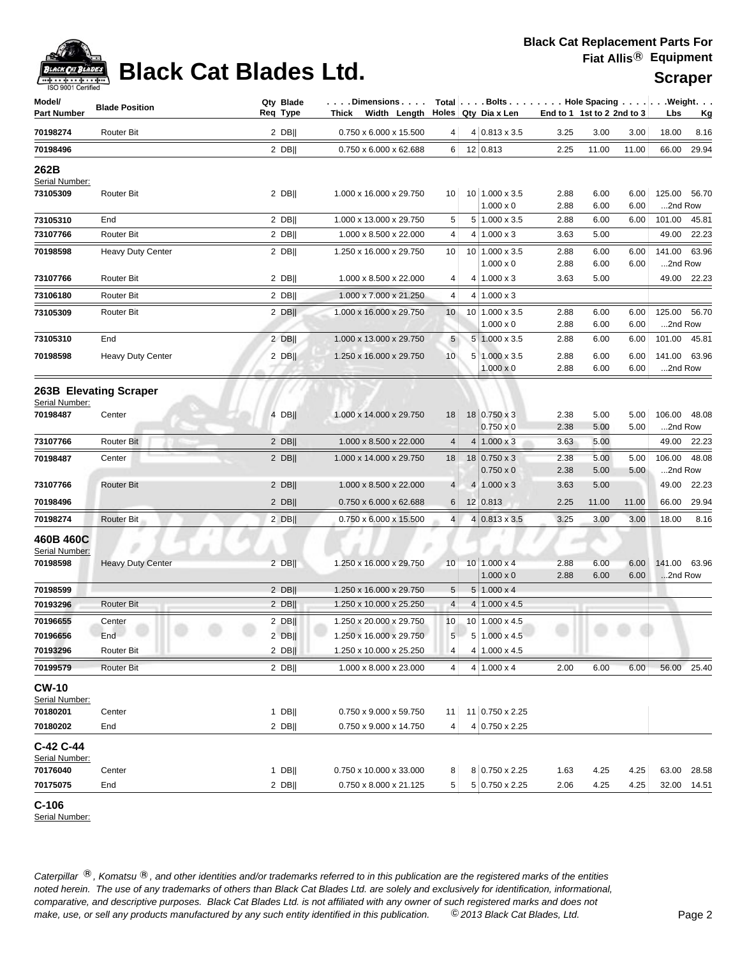

# **Black Cat Blades Ltd. Supplies 1999 Report Cat Blades Ltd.** Scraper

| Model/                         | <b>Blade Position</b>    | Qty Blade |          | . Dimensions |                                                   | Total   Bolts   Hole Spacing   Weight. |                                           |              |                            |              |                   |                             |
|--------------------------------|--------------------------|-----------|----------|--------------|---------------------------------------------------|----------------------------------------|-------------------------------------------|--------------|----------------------------|--------------|-------------------|-----------------------------|
| <b>Part Number</b>             |                          |           | Req Type |              | Thick Width Length Holes Qty Dia x Len            |                                        |                                           |              | End to 1 1st to 2 2nd to 3 |              | Lbs               | <u>Kg</u>                   |
| 70198274                       | Router Bit               |           | $2$ DB   |              | 0.750 x 6.000 x 15.500                            | $\vert 4 \vert$                        | $4 0.813 \times 3.5$                      | 3.25         | 3.00                       | 3.00         | 18.00             | 8.16                        |
| 70198496                       |                          |           | $2$ DB   |              | 0.750 x 6.000 x 62.688                            | 6                                      | 12 0.813                                  | 2.25         | 11.00                      | 11.00        | 66.00             | 29.94                       |
| 262B<br>Serial Number:         |                          |           |          |              |                                                   |                                        |                                           |              |                            |              |                   |                             |
| 73105309                       | <b>Router Bit</b>        |           | $2$ DB   |              | 1.000 x 16.000 x 29.750                           | 10 <sup>1</sup>                        | 10 1.000 x 3.5                            | 2.88         | 6.00                       | 6.00         |                   | 125.00 56.70                |
|                                |                          |           |          |              |                                                   |                                        | $1.000 \times 0$                          | 2.88         | 6.00                       | 6.00         | 2nd Row           |                             |
| 73105310<br>73107766           | End<br><b>Router Bit</b> |           | $2$ DB   |              | 1.000 x 13.000 x 29.750<br>1.000 x 8.500 x 22.000 | 5<br>$\overline{4}$                    | 5 1.000 x 3.5                             | 2.88<br>3.63 | 6.00<br>5.00               | 6.00         |                   | 101.00 45.81<br>49.00 22.23 |
|                                |                          |           | $2$ DB   |              |                                                   |                                        | $4 1.000 \times 3$                        |              |                            |              |                   |                             |
| 70198598                       | <b>Heavy Duty Center</b> |           | $2$ DB   |              | 1.250 x 16.000 x 29.750                           | 10                                     | $10 1.000 \times 3.5$<br>$1.000 \times 0$ | 2.88<br>2.88 | 6.00<br>6.00               | 6.00<br>6.00 | 2nd Row           | 141.00 63.96                |
| 73107766                       | <b>Router Bit</b>        |           | $2$ DB   |              | 1.000 x 8.500 x 22.000                            | 4                                      | $4 1.000 \times 3$                        | 3.63         | 5.00                       |              |                   | 49.00 22.23                 |
| 73106180                       | Router Bit               |           | 2 DB     |              | 1.000 x 7.000 x 21.250                            | 4                                      | $4 1.000 \times 3$                        |              |                            |              |                   |                             |
| 73105309                       | <b>Router Bit</b>        |           | $2$ DB   |              | 1.000 x 16.000 x 29.750                           | 10                                     | 10 1.000 x 3.5<br>$1.000 \times 0$        | 2.88<br>2.88 | 6.00<br>6.00               | 6.00<br>6.00 | 125.00<br>2nd Row | 56.70                       |
| 73105310                       | End                      |           | $2$ DB   |              | 1.000 x 13.000 x 29.750                           | 5                                      | $5 1.000 \times 3.5$                      | 2.88         | 6.00                       | 6.00         |                   | 101.00 45.81                |
| 70198598                       | <b>Heavy Duty Center</b> |           | 2 DB     |              | 1.250 x 16.000 x 29.750                           | 10                                     | 5 1.000 x 3.5<br>$1.000 \times 0$         | 2.88<br>2.88 | 6.00<br>6.00               | 6.00<br>6.00 | 2nd Row           | 141.00 63.96                |
| Serial Number:                 | 263B Elevating Scraper   |           |          |              |                                                   |                                        |                                           |              |                            |              |                   |                             |
| 70198487                       | Center                   |           | $4$ DB   |              | 1.000 x 14.000 x 29.750                           | 18                                     | 18 0.750 x 3<br>$0.750 \times 0$          | 2.38<br>2.38 | 5.00<br>5.00               | 5.00<br>5.00 | 2nd Row           | 106.00 48.08                |
| 73107766                       | Router Bit               |           | $2$ DB   |              | 1.000 x 8.500 x 22.000                            | 4                                      | $4 1.000 \times 3$                        | 3.63         | 5.00                       |              |                   | 49.00 22.23                 |
| 70198487                       | Center                   |           | $2$ DB   |              | 1.000 x 14.000 x 29.750                           | 18                                     | $18 0.750 \times 3$<br>$0.750 \times 0$   | 2.38<br>2.38 | 5.00<br>5.00               | 5.00<br>5.00 | 2nd Row           | 106.00 48.08                |
| 73107766                       | <b>Router Bit</b>        |           | $2$ DB   |              | 1.000 x 8.500 x 22.000                            | 4                                      | $4 1.000 \times 3$                        | 3.63         | 5.00                       |              | 49.00             | 22.23                       |
| 70198496                       |                          |           | $2$ DB   |              | 0.750 x 6.000 x 62.688                            | 6                                      | 12 0.813                                  | 2.25         | 11.00                      | 11.00        | 66.00             | 29.94                       |
| 70198274                       | Router Bit               |           | $2$ DB   |              | 0.750 x 6.000 x 15.500                            | 4 <sup>1</sup>                         | $4 0.813 \times 3.5$                      | 3.25         | 3.00                       | 3.00         | 18.00             | 8.16                        |
| 460B 460C<br>Serial Number:    |                          |           |          |              |                                                   |                                        |                                           |              | ×.                         |              |                   |                             |
| 70198598                       | <b>Heavy Duty Center</b> |           | $2$ DB   |              | 1.250 x 16.000 x 29.750                           | 10 <sup>1</sup>                        | $10 1.000 \times 4$<br>$1.000 \times 0$   | 2.88<br>2.88 | 6.00<br>6.00               | 6.00<br>6.00 | 2nd Row           | 141.00 63.96                |
| 70198599                       |                          |           | $2$ DB   |              | 1.250 x 16.000 x 29.750                           | 5                                      | $5 1.000 \times 4$                        |              |                            |              |                   |                             |
| 70193296                       | <b>Router Bit</b>        |           | $2$ DB   |              | 1.250 x 10.000 x 25.250                           | $\overline{4}$                         | $4 1.000 \times 4.5$                      |              |                            |              |                   |                             |
| 70196655                       | Center                   |           | $2$ DB   |              | 1.250 x 20.000 x 29.750                           | 10 <sub>1</sub>                        | 10 1.000 x 4.5                            |              |                            |              |                   |                             |
| 70196656                       | End                      |           | $2$ DB   |              | 1.250 x 16.000 x 29.750                           | 5 <sup>1</sup>                         | $5 1.000 \times 4.5 $                     |              |                            |              |                   |                             |
| 70193296                       | Router Bit               |           | $2$ DB   |              | 1.250 x 10.000 x 25.250                           | 4                                      | $4 1.000 \times 4.5$                      |              |                            |              |                   |                             |
| 70199579                       | Router Bit               |           | $2$ DB   |              | 1.000 x 8.000 x 23.000                            | 4                                      | $4 1.000 \times 4$                        | 2.00         | 6.00                       | 6.00         |                   | 56.00 25.40                 |
| <b>CW-10</b><br>Serial Number: |                          |           |          |              |                                                   |                                        |                                           |              |                            |              |                   |                             |
| 70180201                       | Center                   |           | $1$ DB   |              | 0.750 x 9.000 x 59.750                            | 11                                     | 11 0.750 x 2.25                           |              |                            |              |                   |                             |
| 70180202                       | End                      |           | 2 DB     |              | 0.750 x 9.000 x 14.750                            | 4                                      | 4 0.750 x 2.25                            |              |                            |              |                   |                             |
| C-42 C-44<br>Serial Number:    |                          |           |          |              |                                                   |                                        |                                           |              |                            |              |                   |                             |
| 70176040                       | Center                   |           | $1$ DB   |              | 0.750 x 10.000 x 33.000                           | 8                                      | 8 0.750 x 2.25                            | 1.63         | 4.25                       | 4.25         | 63.00             | 28.58                       |
| 70175075                       | End                      |           | $2$ DB   |              | 0.750 x 8.000 x 21.125                            | 5 <sup>5</sup>                         | $5 0.750 \times 2.25$                     | 2.06         | 4.25                       | 4.25         |                   | 32.00 14.51                 |

**C-106** 

Serial Number: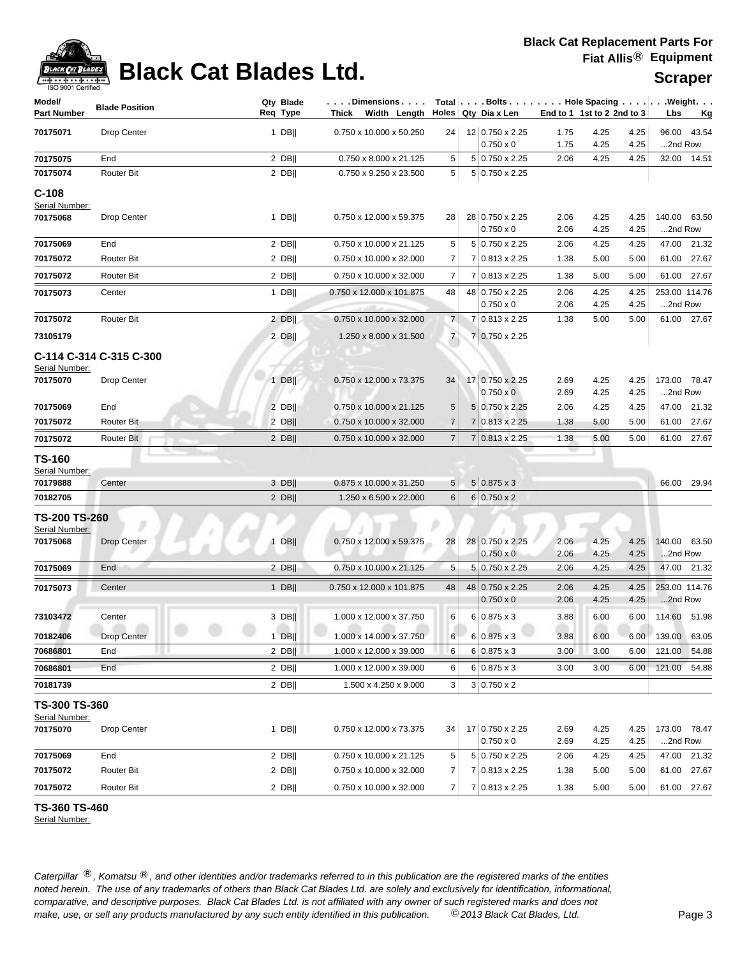

# **Black Cat Blades Ltd. Suppliers Scraper**

| Model/<br>Part Number      | <b>Blade Position</b>   |              | Qty Blade<br>Req Type | $\ldots$ . Dimensions $\ldots$ .<br>Thick Width Length Holes Qty Dia x Len |                     | Total   Bolts   Hole Spacing   Weight. |              | End to 1 1st to 2 2nd to 3 |              | Lbs     | <u>Kg</u>     |
|----------------------------|-------------------------|--------------|-----------------------|----------------------------------------------------------------------------|---------------------|----------------------------------------|--------------|----------------------------|--------------|---------|---------------|
| 70175071                   | Drop Center             |              | $1$ DB                | 0.750 x 10.000 x 50.250                                                    | 24                  | 12 0.750 x 2.25                        | 1.75         | 4.25                       | 4.25         |         | 96.00 43.54   |
|                            |                         |              |                       |                                                                            |                     | $0.750 \times 0$                       | 1.75         | 4.25                       | 4.25         | 2nd Row |               |
| 70175075                   | End                     |              | $2$ DB                | 0.750 x 8.000 x 21.125                                                     | 5                   | 5 0.750 x 2.25                         | 2.06         | 4.25                       | 4.25         |         | 32.00 14.51   |
| 70175074                   | Router Bit              |              | $2$ DB                | 0.750 x 9.250 x 23.500                                                     | 5                   | 5 0.750 x 2.25                         |              |                            |              |         |               |
| $C-108$                    |                         |              |                       |                                                                            |                     |                                        |              |                            |              |         |               |
| Serial Number:             |                         |              |                       |                                                                            |                     |                                        |              |                            |              |         |               |
| 70175068                   | Drop Center             |              | $1$ DB                | 0.750 x 12.000 x 59.375                                                    | 28                  | 28 0.750 x 2.25                        | 2.06         | 4.25                       | 4.25         |         | 140.00 63.50  |
| 70175069                   | End                     |              | 2 DBII                | 0.750 x 10.000 x 21.125                                                    |                     | $0.750 \times 0$<br>5 0.750 x 2.25     | 2.06         | 4.25<br>4.25               | 4.25         | 2nd Row | 47.00 21.32   |
| 70175072                   | <b>Router Bit</b>       |              | 2 DB                  | 0.750 x 10.000 x 32.000                                                    | 5<br>$\overline{7}$ | 7 0.813 x 2.25                         | 2.06<br>1.38 | 5.00                       | 4.25<br>5.00 |         | 61.00 27.67   |
|                            |                         |              |                       |                                                                            |                     |                                        |              |                            |              |         |               |
| 70175072                   | <b>Router Bit</b>       |              | $2$ DB                | 0.750 x 10.000 x 32.000                                                    | $\overline{7}$      | 7 0.813 x 2.25                         | 1.38         | 5.00                       | 5.00         |         | 61.00 27.67   |
| 70175073                   | Center                  |              | $1$ DB                | 0.750 x 12.000 x 101.875                                                   | 48                  | 48 0.750 x 2.25<br>$0.750 \times 0$    | 2.06<br>2.06 | 4.25<br>4.25               | 4.25<br>4.25 | 2nd Row | 253.00 114.76 |
| 70175072                   | <b>Router Bit</b>       |              | $2$ DB                | 0.750 x 10.000 x 32.000                                                    | 7 <sup>1</sup>      | 7 0.813 x 2.25                         | 1.38         | 5.00                       | 5.00         |         | 61.00 27.67   |
| 73105179                   |                         |              | $2$ DB                | 1.250 x 8.000 x 31.500                                                     | $\overline{7}$      | 7 0.750 x 2.25                         |              |                            |              |         |               |
|                            |                         |              |                       |                                                                            |                     |                                        |              |                            |              |         |               |
|                            | C-114 C-314 C-315 C-300 |              |                       |                                                                            |                     |                                        |              |                            |              |         |               |
| Serial Number:<br>70175070 | Drop Center             |              | $1$ DB                | 0.750 x 12.000 x 73.375                                                    | 34                  | 17 0.750 x 2.25                        | 2.69         | 4.25                       | 4.25         |         | 173.00 78.47  |
|                            |                         |              |                       |                                                                            |                     | $0.750 \times 0$                       | 2.69         | 4.25                       | 4.25         | 2nd Row |               |
| 70175069                   | End                     |              | 2 DB                  | 0.750 x 10.000 x 21.125                                                    | 5                   | 5 0.750 x 2.25                         | 2.06         | 4.25                       | 4.25         |         | 47.00 21.32   |
| 70175072                   | <b>Router Bit</b>       |              | $2$ DB                | 0.750 x 10.000 x 32.000                                                    | $\overline{7}$      | $7 0.813 \times 2.25$                  | 1.38         | 5.00                       | 5.00         |         | 61.00 27.67   |
| 70175072                   | Router Bit              |              | $2$ DB                | 0.750 x 10.000 x 32.000                                                    | 7 <sup>1</sup>      | 7 0.813 x 2.25                         | 1.38         | 5.00                       | 5.00         |         | 61.00 27.67   |
| TS-160                     |                         |              |                       |                                                                            |                     |                                        |              |                            |              |         |               |
| Serial Number:             |                         |              |                       |                                                                            |                     |                                        |              |                            |              |         |               |
| 70179888                   | Center                  |              | 3 DB                  | 0.875 x 10.000 x 31.250                                                    | 5 <sup>5</sup>      | $5 0.875 \times 3$                     |              |                            |              |         | 66.00 29.94   |
| 70182705                   |                         |              | $2$ DB                | 1.250 x 6.500 x 22.000                                                     | 6                   | $6 0.750 \times 2$                     |              |                            |              |         |               |
| <b>TS-200 TS-260</b>       |                         |              |                       |                                                                            |                     |                                        |              |                            |              |         |               |
| Serial Number:             |                         |              |                       |                                                                            |                     |                                        |              |                            |              |         |               |
| 70175068                   | <b>Drop Center</b>      | $\mathbf{1}$ | <b>DBII</b>           | $0.750 \times 12.000 \times 59.375$                                        | 28                  | 28 0.750 x 2.25<br>$0.750 \times 0$    | 2.06<br>2.06 | 4.25<br>4.25               | 4.25<br>4.25 | 2nd Row | 140.00 63.50  |
| 70175069                   | End                     |              | $2$ DB                | 0.750 x 10.000 x 21.125                                                    | 5                   | 5 0.750 x 2.25                         | 2.06         | 4.25                       | 4.25         |         | 47.00 21.32   |
|                            |                         |              |                       |                                                                            |                     |                                        |              |                            |              |         |               |
| 70175073                   | Center                  |              | $1$ DB                | 0.750 x 12.000 x 101.875                                                   | 48                  | 48 0.750 x 2.25<br>$0.750 \times 0$    | 2.06<br>2.06 | 4.25<br>4.25               | 4.25<br>4.25 | 2nd Row | 253.00 114.76 |
| 73103472                   | Center                  |              | $3$ DB                | 1.000 x 12.000 x 37.750                                                    | 6                   | $6 0.875 \times 3$                     | 3.88         | 6.00                       | 6.00         |         | 114.60 51.98  |
|                            |                         |              |                       |                                                                            |                     |                                        |              |                            |              |         |               |
| 70182406                   | Drop Center             |              | 1 DB                  | 1.000 x 14.000 x 37.750                                                    | 6                   | $6 \mid 0.875 \times 3$                | 3.88         | 6.00                       | 6.00         |         | 139.00 63.05  |
| 70686801                   | End                     |              | $2$ DB                | 1.000 x 12.000 x 39.000                                                    | 6                   | $6 0.875 \times 3$                     | 3.00         | 3.00                       | 6.00         | 121.00  | 54.88         |
| 70686801                   | End                     |              | $2$ DB                | 1.000 x 12.000 x 39.000                                                    | 6                   | $6 0.875 \times 3$                     | 3.00         | 3.00                       | 6.00         |         | 121.00 54.88  |
| 70181739                   |                         |              | $2$ DB                | 1.500 x 4.250 x 9.000                                                      | 3                   | $3 0.750 \times 2$                     |              |                            |              |         |               |
| <b>TS-300 TS-360</b>       |                         |              |                       |                                                                            |                     |                                        |              |                            |              |         |               |
| Serial Number:             |                         |              |                       |                                                                            |                     |                                        |              |                            |              |         |               |
| 70175070                   | Drop Center             |              | $1$ DB                | 0.750 x 12.000 x 73.375                                                    | 34                  | 17 0.750 x 2.25<br>$0.750 \times 0$    | 2.69<br>2.69 | 4.25<br>4.25               | 4.25<br>4.25 | 2nd Row | 173.00 78.47  |
| 70175069                   | End                     |              | $2$ DB                | 0.750 x 10.000 x 21.125                                                    | 5                   | 5 0.750 x 2.25                         | 2.06         | 4.25                       | 4.25         |         | 47.00 21.32   |
| 70175072                   | Router Bit              |              | $2$ DB                | 0.750 x 10.000 x 32.000                                                    | 7                   | 7 0.813 x 2.25                         | 1.38         | 5.00                       | 5.00         |         | 61.00 27.67   |
|                            | Router Bit              |              |                       | 0.750 x 10.000 x 32.000                                                    | $\overline{7}$      | 7 0.813 x 2.25                         | 1.38         | 5.00                       | 5.00         |         |               |
| 70175072                   |                         |              | $2$ DB                |                                                                            |                     |                                        |              |                            |              |         | 61.00 27.67   |

**TS-360 TS-460** 

Serial Number: